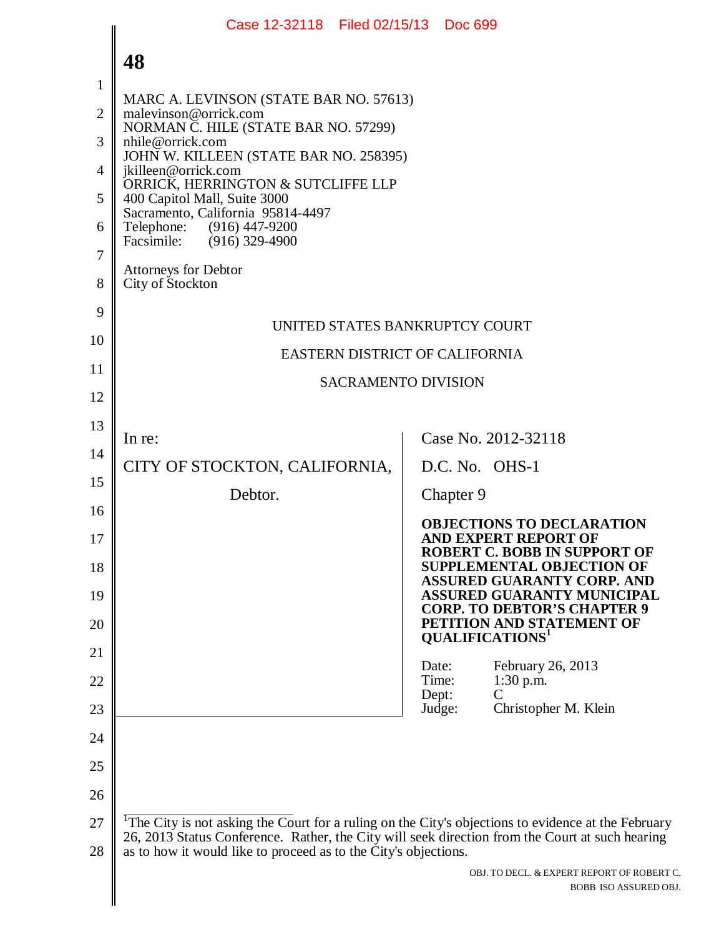|    | Case 12-32118 Filed 02/15/13 Doc 699                                                                                                                               |
|----|--------------------------------------------------------------------------------------------------------------------------------------------------------------------|
|    | 48                                                                                                                                                                 |
| 1  |                                                                                                                                                                    |
| 2  | MARC A. LEVINSON (STATE BAR NO. 57613)<br>malevinson@orrick.com<br>NORMAN C. HILE (STATE BAR NO. 57299)                                                            |
| 3  | nhile@orrick.com<br>JOHN W. KILLEEN (STATE BAR NO. 258395)                                                                                                         |
| 4  | jkilleen@orrick.com                                                                                                                                                |
| 5  | ORRICK, HERRINGTON & SUTCLIFFE LLP<br>400 Capitol Mall, Suite 3000                                                                                                 |
| 6  | Sacramento, California 95814-4497<br>Telephone:<br>(916) 447-9200<br>Facsimile: (916) 329-4900                                                                     |
| 7  | Attorneys for Debtor                                                                                                                                               |
| 8  | City of Stockton                                                                                                                                                   |
| 9  | UNITED STATES BANKRUPTCY COURT                                                                                                                                     |
| 10 | EASTERN DISTRICT OF CALIFORNIA                                                                                                                                     |
| 11 | <b>SACRAMENTO DIVISION</b>                                                                                                                                         |
| 12 |                                                                                                                                                                    |
| 13 | Case No. 2012-32118<br>In re:                                                                                                                                      |
| 14 | CITY OF STOCKTON, CALIFORNIA,<br>D.C. No. OHS-1                                                                                                                    |
| 15 | Debtor.<br>Chapter 9                                                                                                                                               |
| 16 |                                                                                                                                                                    |
| 17 | <b>OBJECTIONS TO DECLARATION</b><br><b>AND EXPERT REPORT OF</b>                                                                                                    |
| 18 | <b>ROBERT C. BOBB IN SUPPORT OF</b><br><b>SUPPLEMENTAL OBJECTION OF</b>                                                                                            |
| 19 | <b>ASSURED GUARANTY CORP. AND</b><br><b>ASSURED GUARANTY MUNICIPAL</b>                                                                                             |
| 20 | <b>CORP. TO DEBTOR'S CHAPTER 9</b><br>PETITION AND STATEMENT OF                                                                                                    |
| 21 | <b>QUALIFICATIONS</b> <sup>1</sup>                                                                                                                                 |
| 22 | February 26, 2013<br>Date:<br>Time:<br>$1:30$ p.m.                                                                                                                 |
| 23 | Dept:<br>C<br>Judge:<br>Christopher M. Klein                                                                                                                       |
| 24 |                                                                                                                                                                    |
| 25 |                                                                                                                                                                    |
| 26 |                                                                                                                                                                    |
| 27 | <sup>1</sup> The City is not asking the Court for a ruling on the City's objections to evidence at the February                                                    |
| 28 | 26, 2013 Status Conference. Rather, the City will seek direction from the Court at such hearing<br>as to how it would like to proceed as to the City's objections. |
|    | OBJ. TO DECL. & EXPERT REPORT OF ROBERT C.<br>BOBB ISO ASSURED OBJ.                                                                                                |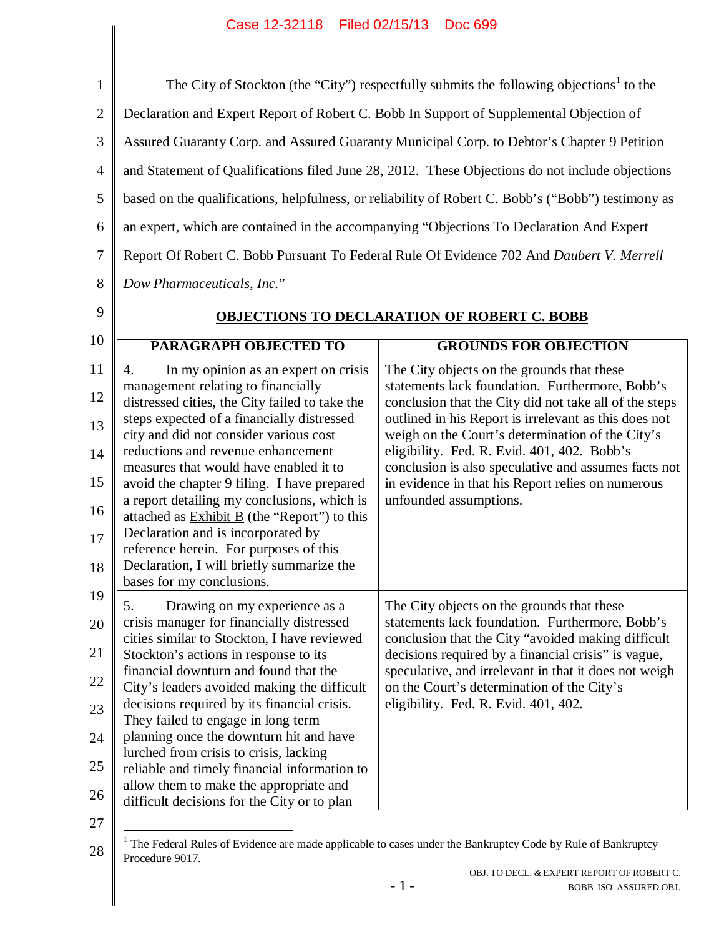## Case 12-32118 Filed 02/15/13 Doc 699

| $\mathbf{1}$   |                                                                                                    | The City of Stockton (the "City") respectfully submits the following objections <sup>1</sup> to the                     |
|----------------|----------------------------------------------------------------------------------------------------|-------------------------------------------------------------------------------------------------------------------------|
| $\mathbf{2}$   |                                                                                                    | Declaration and Expert Report of Robert C. Bobb In Support of Supplemental Objection of                                 |
| 3              |                                                                                                    | Assured Guaranty Corp. and Assured Guaranty Municipal Corp. to Debtor's Chapter 9 Petition                              |
| $\overline{4}$ |                                                                                                    | and Statement of Qualifications filed June 28, 2012. These Objections do not include objections                         |
| 5              |                                                                                                    | based on the qualifications, helpfulness, or reliability of Robert C. Bobb's ("Bobb") testimony as                      |
| 6              |                                                                                                    | an expert, which are contained in the accompanying "Objections To Declaration And Expert                                |
| 7              |                                                                                                    | Report Of Robert C. Bobb Pursuant To Federal Rule Of Evidence 702 And Daubert V. Merrell                                |
| 8              | Dow Pharmaceuticals, Inc."                                                                         |                                                                                                                         |
| 9              |                                                                                                    | <b>OBJECTIONS TO DECLARATION OF ROBERT C. BOBB</b>                                                                      |
| 10             | <b>PARAGRAPH OBJECTED TO</b>                                                                       | <b>GROUNDS FOR OBJECTION</b>                                                                                            |
| 11             | In my opinion as an expert on crisis<br>4.                                                         | The City objects on the grounds that these                                                                              |
| 12             | management relating to financially<br>distressed cities, the City failed to take the               | statements lack foundation. Furthermore, Bobb's<br>conclusion that the City did not take all of the steps               |
| 13             | steps expected of a financially distressed<br>city and did not consider various cost               | outlined in his Report is irrelevant as this does not                                                                   |
| 14             | reductions and revenue enhancement                                                                 | weigh on the Court's determination of the City's<br>eligibility. Fed. R. Evid. 401, 402. Bobb's                         |
| 15             | measures that would have enabled it to<br>avoid the chapter 9 filing. I have prepared              | conclusion is also speculative and assumes facts not<br>in evidence in that his Report relies on numerous               |
| 16             | a report detailing my conclusions, which is<br>attached as <b>Exhibit B</b> (the "Report") to this | unfounded assumptions.                                                                                                  |
| 17             | Declaration and is incorporated by<br>reference herein. For purposes of this                       |                                                                                                                         |
| 18             | Declaration, I will briefly summarize the                                                          |                                                                                                                         |
| 19             | bases for my conclusions.                                                                          |                                                                                                                         |
| 20             | Drawing on my experience as a<br>5.<br>crisis manager for financially distressed                   | The City objects on the grounds that these<br>statements lack foundation. Furthermore, Bobb's                           |
| 21             | cities similar to Stockton, I have reviewed<br>Stockton's actions in response to its               | conclusion that the City "avoided making difficult<br>decisions required by a financial crisis" is vague,               |
| 22             | financial downturn and found that the<br>City's leaders avoided making the difficult               | speculative, and irrelevant in that it does not weigh<br>on the Court's determination of the City's                     |
| 23             | decisions required by its financial crisis.<br>They failed to engage in long term                  | eligibility. Fed. R. Evid. 401, 402.                                                                                    |
| 24             | planning once the downturn hit and have                                                            |                                                                                                                         |
| 25             | lurched from crisis to crisis, lacking<br>reliable and timely financial information to             |                                                                                                                         |
| 26             | allow them to make the appropriate and<br>difficult decisions for the City or to plan              |                                                                                                                         |
| 27             |                                                                                                    |                                                                                                                         |
| 28             | Procedure 9017.                                                                                    | <sup>1</sup> The Federal Rules of Evidence are made applicable to cases under the Bankruptcy Code by Rule of Bankruptcy |

OBJ. TO DECL. & EXPERT REPORT OF ROBERT C. BOBB ISO ASSURED OBJ.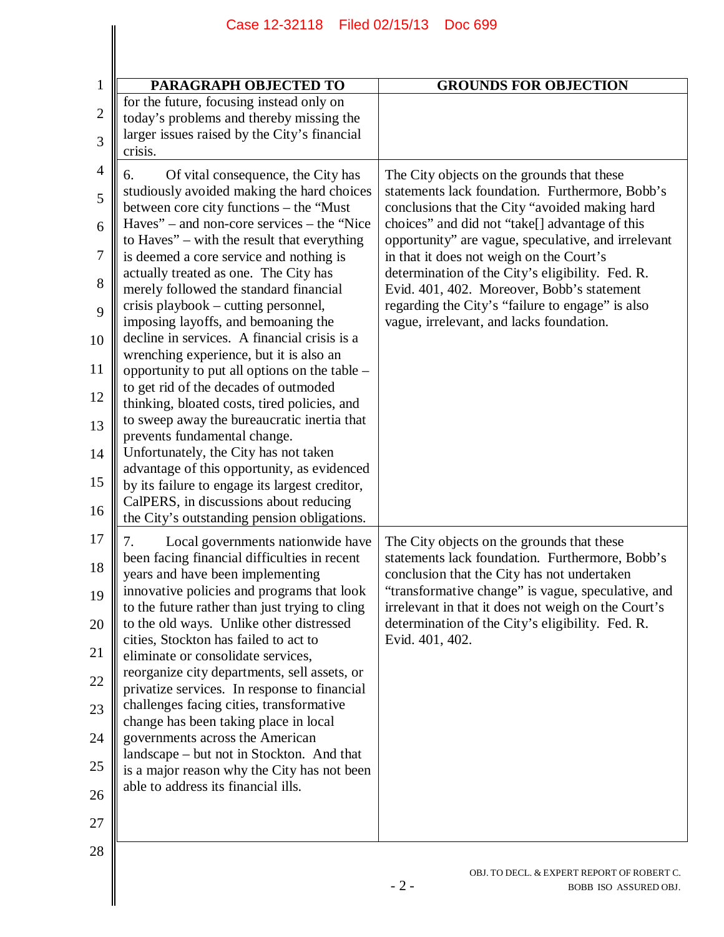| PARAGRAPH OBJECTED TO<br><b>GROUNDS FOR OBJECTION</b><br>Of vital consequence, the City has<br>The City objects on the grounds that these<br>choices" and did not "take[] advantage of this<br>in that it does not weigh on the Court's<br>determination of the City's eligibility. Fed. R.<br>Evid. 401, 402. Moreover, Bobb's statement<br>regarding the City's "failure to engage" is also<br>vague, irrelevant, and lacks foundation.<br>Local governments nationwide have<br>The City objects on the grounds that these<br>conclusion that the City has not undertaken<br>determination of the City's eligibility. Fed. R.<br>Evid. 401, 402. |                                                                                                                                                                                                                                                                                                                                                                                                                                                                                                                                                                                                                                                                                                                                                                                                                                                                                                                                                               |                                                                                                                                                              |
|----------------------------------------------------------------------------------------------------------------------------------------------------------------------------------------------------------------------------------------------------------------------------------------------------------------------------------------------------------------------------------------------------------------------------------------------------------------------------------------------------------------------------------------------------------------------------------------------------------------------------------------------------|---------------------------------------------------------------------------------------------------------------------------------------------------------------------------------------------------------------------------------------------------------------------------------------------------------------------------------------------------------------------------------------------------------------------------------------------------------------------------------------------------------------------------------------------------------------------------------------------------------------------------------------------------------------------------------------------------------------------------------------------------------------------------------------------------------------------------------------------------------------------------------------------------------------------------------------------------------------|--------------------------------------------------------------------------------------------------------------------------------------------------------------|
|                                                                                                                                                                                                                                                                                                                                                                                                                                                                                                                                                                                                                                                    |                                                                                                                                                                                                                                                                                                                                                                                                                                                                                                                                                                                                                                                                                                                                                                                                                                                                                                                                                               |                                                                                                                                                              |
|                                                                                                                                                                                                                                                                                                                                                                                                                                                                                                                                                                                                                                                    | for the future, focusing instead only on<br>today's problems and thereby missing the<br>larger issues raised by the City's financial<br>crisis.                                                                                                                                                                                                                                                                                                                                                                                                                                                                                                                                                                                                                                                                                                                                                                                                               |                                                                                                                                                              |
|                                                                                                                                                                                                                                                                                                                                                                                                                                                                                                                                                                                                                                                    | 6.<br>studiously avoided making the hard choices<br>between core city functions – the "Must<br>Haves" – and non-core services – the "Nice"<br>to Haves" – with the result that everything<br>is deemed a core service and nothing is<br>actually treated as one. The City has<br>merely followed the standard financial<br>crisis playbook – cutting personnel,<br>imposing layoffs, and bemoaning the<br>decline in services. A financial crisis is a<br>wrenching experience, but it is also an<br>opportunity to put all options on the table -<br>to get rid of the decades of outmoded<br>thinking, bloated costs, tired policies, and<br>to sweep away the bureaucratic inertia that<br>prevents fundamental change.<br>Unfortunately, the City has not taken<br>advantage of this opportunity, as evidenced<br>by its failure to engage its largest creditor,<br>CalPERS, in discussions about reducing<br>the City's outstanding pension obligations. | statements lack foundation. Furthermore, Bobb's<br>conclusions that the City "avoided making hard<br>opportunity" are vague, speculative, and irrelevant     |
| able to address its financial ills.                                                                                                                                                                                                                                                                                                                                                                                                                                                                                                                                                                                                                | been facing financial difficulties in recent<br>years and have been implementing<br>innovative policies and programs that look<br>to the future rather than just trying to cling<br>to the old ways. Unlike other distressed<br>cities, Stockton has failed to act to<br>eliminate or consolidate services,<br>reorganize city departments, sell assets, or<br>privatize services. In response to financial<br>challenges facing cities, transformative<br>change has been taking place in local<br>governments across the American<br>landscape – but not in Stockton. And that<br>is a major reason why the City has not been                                                                                                                                                                                                                                                                                                                               | statements lack foundation. Furthermore, Bobb's<br>"transformative change" is vague, speculative, and<br>irrelevant in that it does not weigh on the Court's |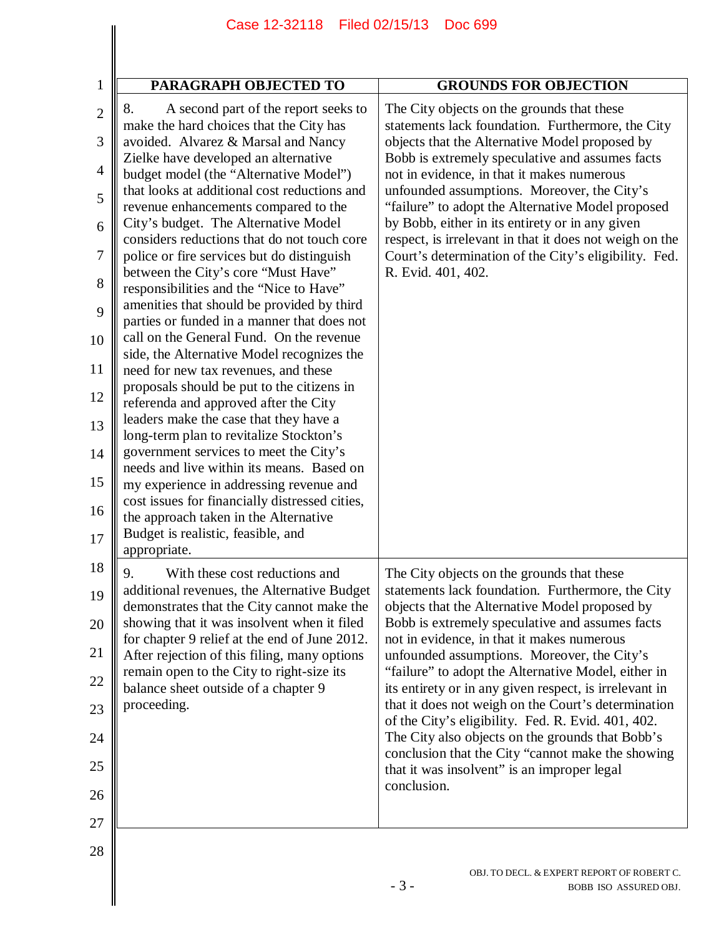|                | Case 12-32118 Filed 02/15/13                                                                  | <b>Doc 699</b>                                                                                                   |
|----------------|-----------------------------------------------------------------------------------------------|------------------------------------------------------------------------------------------------------------------|
|                |                                                                                               |                                                                                                                  |
| $\mathbf{1}$   | <b>PARAGRAPH OBJECTED TO</b>                                                                  | <b>GROUNDS FOR OBJECTION</b>                                                                                     |
| $\overline{2}$ | A second part of the report seeks to<br>8.<br>make the hard choices that the City has         | The City objects on the grounds that these<br>statements lack foundation. Furthermore, the City                  |
| 3              | avoided. Alvarez & Marsal and Nancy<br>Zielke have developed an alternative                   | objects that the Alternative Model proposed by<br>Bobb is extremely speculative and assumes facts                |
| 4              | budget model (the "Alternative Model")<br>that looks at additional cost reductions and        | not in evidence, in that it makes numerous<br>unfounded assumptions. Moreover, the City's                        |
| 5<br>6         | revenue enhancements compared to the<br>City's budget. The Alternative Model                  | "failure" to adopt the Alternative Model proposed<br>by Bobb, either in its entirety or in any given             |
| 7              | considers reductions that do not touch core<br>police or fire services but do distinguish     | respect, is irrelevant in that it does not weigh on the<br>Court's determination of the City's eligibility. Fed. |
| 8              | between the City's core "Must Have"<br>responsibilities and the "Nice to Have"                | R. Evid. 401, 402.                                                                                               |
| 9              | amenities that should be provided by third<br>parties or funded in a manner that does not     |                                                                                                                  |
| 10             | call on the General Fund. On the revenue<br>side, the Alternative Model recognizes the        |                                                                                                                  |
| 11             | need for new tax revenues, and these                                                          |                                                                                                                  |
| 12             | proposals should be put to the citizens in<br>referenda and approved after the City           |                                                                                                                  |
| 13             | leaders make the case that they have a<br>long-term plan to revitalize Stockton's             |                                                                                                                  |
| 14             | government services to meet the City's<br>needs and live within its means. Based on           |                                                                                                                  |
| 15<br>16       | my experience in addressing revenue and<br>cost issues for financially distressed cities,     |                                                                                                                  |
| 17             | the approach taken in the Alternative<br>Budget is realistic, feasible, and                   |                                                                                                                  |
|                | appropriate.                                                                                  |                                                                                                                  |
| 18<br>19       | With these cost reductions and<br>9.<br>additional revenues, the Alternative Budget           | The City objects on the grounds that these<br>statements lack foundation. Furthermore, the City                  |
| 20             | demonstrates that the City cannot make the<br>showing that it was insolvent when it filed     | objects that the Alternative Model proposed by<br>Bobb is extremely speculative and assumes facts                |
| 21             | for chapter 9 relief at the end of June 2012.<br>After rejection of this filing, many options | not in evidence, in that it makes numerous<br>unfounded assumptions. Moreover, the City's                        |
| 22             | remain open to the City to right-size its<br>balance sheet outside of a chapter 9             | "failure" to adopt the Alternative Model, either in<br>its entirety or in any given respect, is irrelevant in    |
| 23             | proceeding.                                                                                   | that it does not weigh on the Court's determination                                                              |
| 24             |                                                                                               | of the City's eligibility. Fed. R. Evid. 401, 402.<br>The City also objects on the grounds that Bobb's           |
| 25             |                                                                                               | conclusion that the City "cannot make the showing<br>that it was insolvent" is an improper legal                 |
| 26             |                                                                                               | conclusion.                                                                                                      |
| 27             |                                                                                               |                                                                                                                  |
| 28             |                                                                                               | OBJ. TO DECL. & EXPERT REPORT OF ROBERT C.<br>$-3-$<br>BOBB ISO ASSURED OBJ.                                     |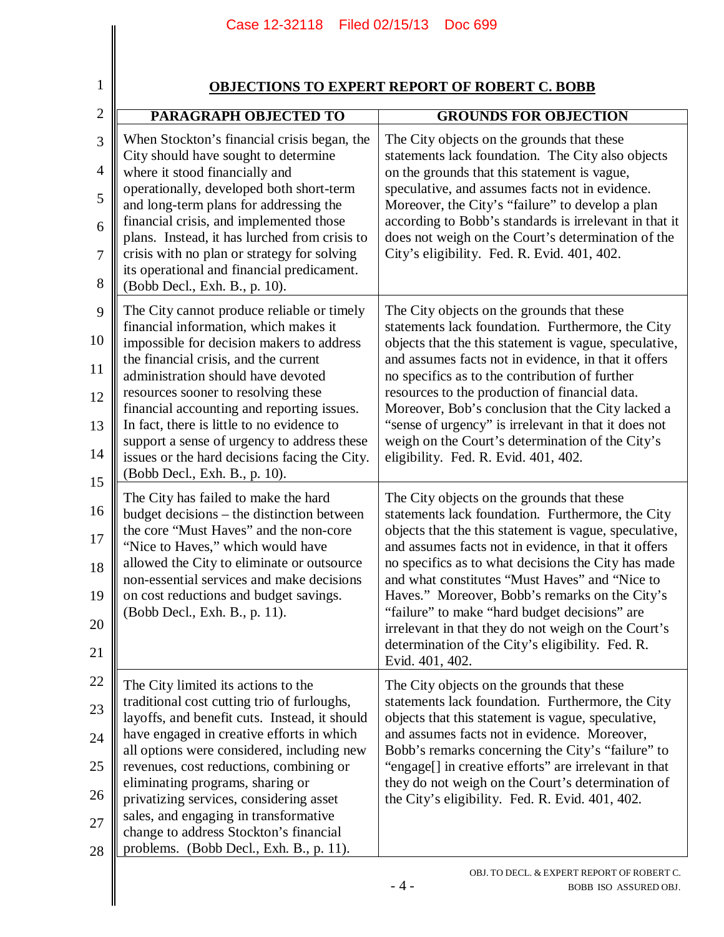|                | Case 12-32118                                                                                                                 | Filed 02/15/13<br>Doc 699                                                                                                                                     |
|----------------|-------------------------------------------------------------------------------------------------------------------------------|---------------------------------------------------------------------------------------------------------------------------------------------------------------|
| $\mathbf{1}$   |                                                                                                                               | <b>OBJECTIONS TO EXPERT REPORT OF ROBERT C. BOBB</b>                                                                                                          |
| $\overline{2}$ | PARAGRAPH OBJECTED TO                                                                                                         | <b>GROUNDS FOR OBJECTION</b>                                                                                                                                  |
| 3              | When Stockton's financial crisis began, the                                                                                   | The City objects on the grounds that these                                                                                                                    |
| 4              | City should have sought to determine<br>where it stood financially and                                                        | statements lack foundation. The City also objects<br>on the grounds that this statement is vague,                                                             |
| 5              | operationally, developed both short-term<br>and long-term plans for addressing the<br>financial crisis, and implemented those | speculative, and assumes facts not in evidence.<br>Moreover, the City's "failure" to develop a plan<br>according to Bobb's standards is irrelevant in that it |
| 6<br>$\tau$    | plans. Instead, it has lurched from crisis to<br>crisis with no plan or strategy for solving                                  | does not weigh on the Court's determination of the<br>City's eligibility. Fed. R. Evid. 401, 402.                                                             |
| 8              | its operational and financial predicament.<br>(Bobb Decl., Exh. B., p. 10).                                                   |                                                                                                                                                               |
| 9              | The City cannot produce reliable or timely<br>financial information, which makes it                                           | The City objects on the grounds that these<br>statements lack foundation. Furthermore, the City                                                               |
| 10<br>11       | impossible for decision makers to address<br>the financial crisis, and the current                                            | objects that the this statement is vague, speculative,<br>and assumes facts not in evidence, in that it offers                                                |
| 12             | administration should have devoted<br>resources sooner to resolving these<br>financial accounting and reporting issues.       | no specifics as to the contribution of further<br>resources to the production of financial data.<br>Moreover, Bob's conclusion that the City lacked a         |
| 13             | In fact, there is little to no evidence to                                                                                    | "sense of urgency" is irrelevant in that it does not                                                                                                          |
| 14             | support a sense of urgency to address these<br>issues or the hard decisions facing the City.<br>(Bobb Decl., Exh. B., p. 10). | weigh on the Court's determination of the City's<br>eligibility. Fed. R. Evid. 401, 402.                                                                      |
| 15             | The City has failed to make the hard                                                                                          | The City objects on the grounds that these                                                                                                                    |
| 16<br>$17\,$   | budget decisions – the distinction between<br>the core "Must Haves" and the non-core                                          | statements lack foundation. Furthermore, the City<br>objects that the this statement is vague, speculative,                                                   |
| 18             | "Nice to Haves," which would have<br>allowed the City to eliminate or outsource                                               | and assumes facts not in evidence, in that it offers<br>no specifics as to what decisions the City has made                                                   |
| 19             | non-essential services and make decisions<br>on cost reductions and budget savings.                                           | and what constitutes "Must Haves" and "Nice to<br>Haves." Moreover, Bobb's remarks on the City's                                                              |
| 20             | (Bobb Decl., Exh. B., p. 11).                                                                                                 | "failure" to make "hard budget decisions" are<br>irrelevant in that they do not weigh on the Court's                                                          |
| 21             |                                                                                                                               | determination of the City's eligibility. Fed. R.<br>Evid. 401, 402.                                                                                           |
| 22             | The City limited its actions to the                                                                                           | The City objects on the grounds that these                                                                                                                    |
| 23             | traditional cost cutting trio of furloughs,<br>layoffs, and benefit cuts. Instead, it should                                  | statements lack foundation. Furthermore, the City<br>objects that this statement is vague, speculative,                                                       |
| 24             | have engaged in creative efforts in which<br>all options were considered, including new                                       | and assumes facts not in evidence. Moreover,<br>Bobb's remarks concerning the City's "failure" to                                                             |
| 25             | revenues, cost reductions, combining or<br>eliminating programs, sharing or                                                   | "engage[] in creative efforts" are irrelevant in that<br>they do not weigh on the Court's determination of                                                    |
| 26             | privatizing services, considering asset<br>sales, and engaging in transformative                                              | the City's eligibility. Fed. R. Evid. 401, 402.                                                                                                               |
| 27<br>28       | change to address Stockton's financial<br>problems. (Bobb Decl., Exh. B., p. 11).                                             |                                                                                                                                                               |

 $\parallel$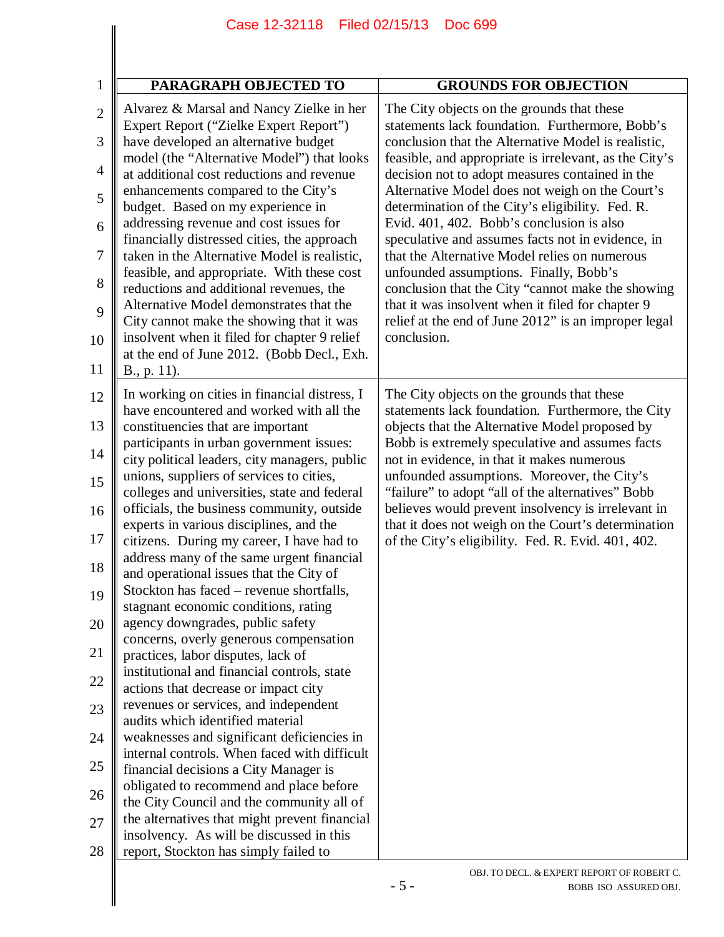| <b>PARAGRAPH OBJECTED TO</b>                                                                                                                                                                                                                                                                                                                                                                                                                                                                                                                                                                                                                                                                                                                                                                                                                                                                                                                                                                                                                                                                                                                                                                                                                                                                           | <b>GROUNDS FOR OBJECTION</b>                                                                                                                                                                                                                                                                                                                                                                                                                                                                                                                                                                                                                                                                                                                           |
|--------------------------------------------------------------------------------------------------------------------------------------------------------------------------------------------------------------------------------------------------------------------------------------------------------------------------------------------------------------------------------------------------------------------------------------------------------------------------------------------------------------------------------------------------------------------------------------------------------------------------------------------------------------------------------------------------------------------------------------------------------------------------------------------------------------------------------------------------------------------------------------------------------------------------------------------------------------------------------------------------------------------------------------------------------------------------------------------------------------------------------------------------------------------------------------------------------------------------------------------------------------------------------------------------------|--------------------------------------------------------------------------------------------------------------------------------------------------------------------------------------------------------------------------------------------------------------------------------------------------------------------------------------------------------------------------------------------------------------------------------------------------------------------------------------------------------------------------------------------------------------------------------------------------------------------------------------------------------------------------------------------------------------------------------------------------------|
| Alvarez & Marsal and Nancy Zielke in her<br>Expert Report ("Zielke Expert Report")<br>have developed an alternative budget<br>model (the "Alternative Model") that looks<br>at additional cost reductions and revenue<br>enhancements compared to the City's<br>budget. Based on my experience in<br>addressing revenue and cost issues for<br>financially distressed cities, the approach<br>taken in the Alternative Model is realistic,<br>feasible, and appropriate. With these cost<br>reductions and additional revenues, the<br>Alternative Model demonstrates that the<br>City cannot make the showing that it was<br>insolvent when it filed for chapter 9 relief<br>at the end of June 2012. (Bobb Decl., Exh.<br>B., p. 11).                                                                                                                                                                                                                                                                                                                                                                                                                                                                                                                                                                | The City objects on the grounds that these<br>statements lack foundation. Furthermore, Bobb's<br>conclusion that the Alternative Model is realistic,<br>feasible, and appropriate is irrelevant, as the City's<br>decision not to adopt measures contained in the<br>Alternative Model does not weigh on the Court's<br>determination of the City's eligibility. Fed. R.<br>Evid. 401, 402. Bobb's conclusion is also<br>speculative and assumes facts not in evidence, in<br>that the Alternative Model relies on numerous<br>unfounded assumptions. Finally, Bobb's<br>conclusion that the City "cannot make the showing<br>that it was insolvent when it filed for chapter 9<br>relief at the end of June 2012" is an improper legal<br>conclusion. |
| In working on cities in financial distress, I<br>have encountered and worked with all the<br>constituencies that are important<br>participants in urban government issues:<br>city political leaders, city managers, public<br>unions, suppliers of services to cities,<br>colleges and universities, state and federal<br>officials, the business community, outside<br>experts in various disciplines, and the<br>citizens. During my career, I have had to<br>address many of the same urgent financial<br>and operational issues that the City of<br>Stockton has faced – revenue shortfalls,<br>stagnant economic conditions, rating<br>agency downgrades, public safety<br>concerns, overly generous compensation<br>practices, labor disputes, lack of<br>institutional and financial controls, state<br>actions that decrease or impact city<br>revenues or services, and independent<br>audits which identified material<br>weaknesses and significant deficiencies in<br>internal controls. When faced with difficult<br>financial decisions a City Manager is<br>obligated to recommend and place before<br>the City Council and the community all of<br>the alternatives that might prevent financial<br>insolvency. As will be discussed in this<br>report, Stockton has simply failed to | The City objects on the grounds that these<br>statements lack foundation. Furthermore, the City<br>objects that the Alternative Model proposed by<br>Bobb is extremely speculative and assumes facts<br>not in evidence, in that it makes numerous<br>unfounded assumptions. Moreover, the City's<br>"failure" to adopt "all of the alternatives" Bobb<br>believes would prevent insolvency is irrelevant in<br>that it does not weigh on the Court's determination<br>of the City's eligibility. Fed. R. Evid. 401, 402.                                                                                                                                                                                                                              |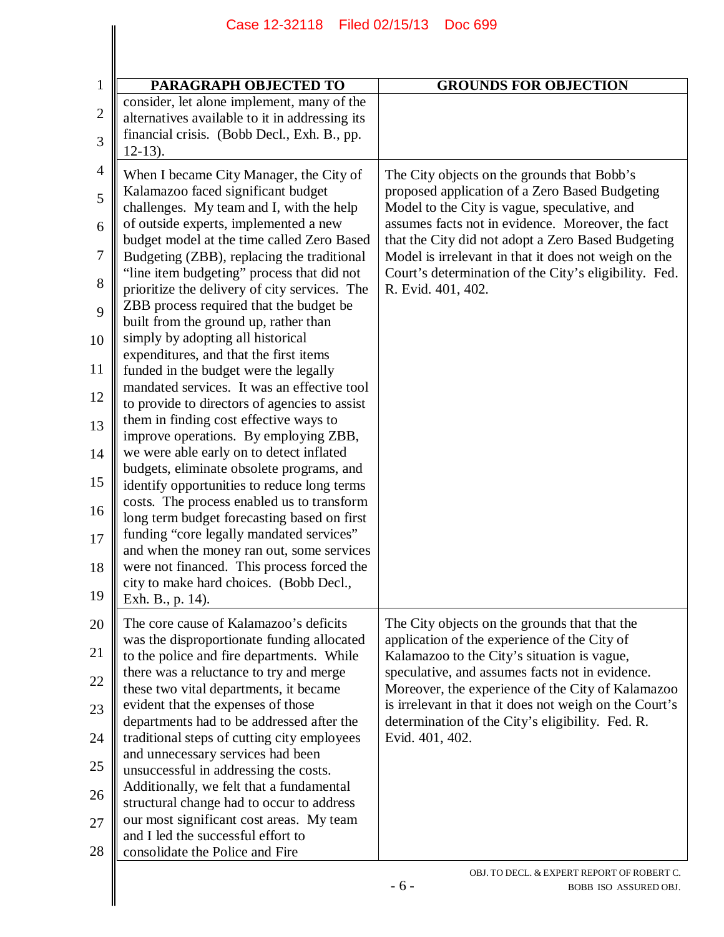|                | Case 12-32118                                                                            | Filed 02/15/13<br>Doc 699                                                                                     |
|----------------|------------------------------------------------------------------------------------------|---------------------------------------------------------------------------------------------------------------|
|                |                                                                                          |                                                                                                               |
|                |                                                                                          |                                                                                                               |
| $\mathbf{1}$   | PARAGRAPH OBJECTED TO                                                                    | <b>GROUNDS FOR OBJECTION</b>                                                                                  |
| $\mathbf{2}$   | consider, let alone implement, many of the                                               |                                                                                                               |
|                | alternatives available to it in addressing its                                           |                                                                                                               |
| 3              | financial crisis. (Bobb Decl., Exh. B., pp.                                              |                                                                                                               |
|                | $12-13$ ).                                                                               |                                                                                                               |
| $\overline{4}$ | When I became City Manager, the City of                                                  | The City objects on the grounds that Bobb's                                                                   |
| 5              | Kalamazoo faced significant budget                                                       | proposed application of a Zero Based Budgeting                                                                |
|                | challenges. My team and I, with the help                                                 | Model to the City is vague, speculative, and                                                                  |
| 6              | of outside experts, implemented a new                                                    | assumes facts not in evidence. Moreover, the fact                                                             |
| 7              | budget model at the time called Zero Based                                               | that the City did not adopt a Zero Based Budgeting                                                            |
|                | Budgeting (ZBB), replacing the traditional<br>"line item budgeting" process that did not | Model is irrelevant in that it does not weigh on the<br>Court's determination of the City's eligibility. Fed. |
| 8              | prioritize the delivery of city services. The                                            | R. Evid. 401, 402.                                                                                            |
|                | ZBB process required that the budget be                                                  |                                                                                                               |
| 9              | built from the ground up, rather than                                                    |                                                                                                               |
| 10             | simply by adopting all historical                                                        |                                                                                                               |
|                | expenditures, and that the first items                                                   |                                                                                                               |
| 11             | funded in the budget were the legally                                                    |                                                                                                               |
| 12             | mandated services. It was an effective tool                                              |                                                                                                               |
|                | to provide to directors of agencies to assist                                            |                                                                                                               |
| 13             | them in finding cost effective ways to<br>improve operations. By employing ZBB,          |                                                                                                               |
| 14             | we were able early on to detect inflated                                                 |                                                                                                               |
|                | budgets, eliminate obsolete programs, and                                                |                                                                                                               |
| 15             | identify opportunities to reduce long terms                                              |                                                                                                               |
|                | costs. The process enabled us to transform                                               |                                                                                                               |
| 16             | long term budget forecasting based on first                                              |                                                                                                               |
| 17             | funding "core legally mandated services"                                                 |                                                                                                               |
|                | and when the money ran out, some services                                                |                                                                                                               |
| 18             | were not financed. This process forced the<br>city to make hard choices. (Bobb Decl.,    |                                                                                                               |
| 19             | Exh. B., p. 14).                                                                         |                                                                                                               |
|                |                                                                                          |                                                                                                               |
| 20             | The core cause of Kalamazoo's deficits<br>was the disproportionate funding allocated     | The City objects on the grounds that that the<br>application of the experience of the City of                 |
| 21             | to the police and fire departments. While                                                | Kalamazoo to the City's situation is vague,                                                                   |
|                | there was a reluctance to try and merge                                                  | speculative, and assumes facts not in evidence.                                                               |
| 22             | these two vital departments, it became                                                   | Moreover, the experience of the City of Kalamazoo                                                             |
| 23             | evident that the expenses of those                                                       | is irrelevant in that it does not weigh on the Court's                                                        |
|                | departments had to be addressed after the                                                | determination of the City's eligibility. Fed. R.                                                              |
| 24             | traditional steps of cutting city employees                                              | Evid. 401, 402.                                                                                               |
| 25             | and unnecessary services had been                                                        |                                                                                                               |
|                | unsuccessful in addressing the costs.                                                    |                                                                                                               |
| 26             | Additionally, we felt that a fundamental<br>structural change had to occur to address    |                                                                                                               |
|                | our most significant cost areas. My team                                                 |                                                                                                               |
| 27             | and I led the successful effort to                                                       |                                                                                                               |
| 28             | consolidate the Police and Fire                                                          |                                                                                                               |
|                |                                                                                          | OBJ. TO DECL. & EXPERT REPORT OF ROBERT C.                                                                    |
|                |                                                                                          | $-6-$<br>BOBB ISO ASSURED OBJ.                                                                                |
|                |                                                                                          |                                                                                                               |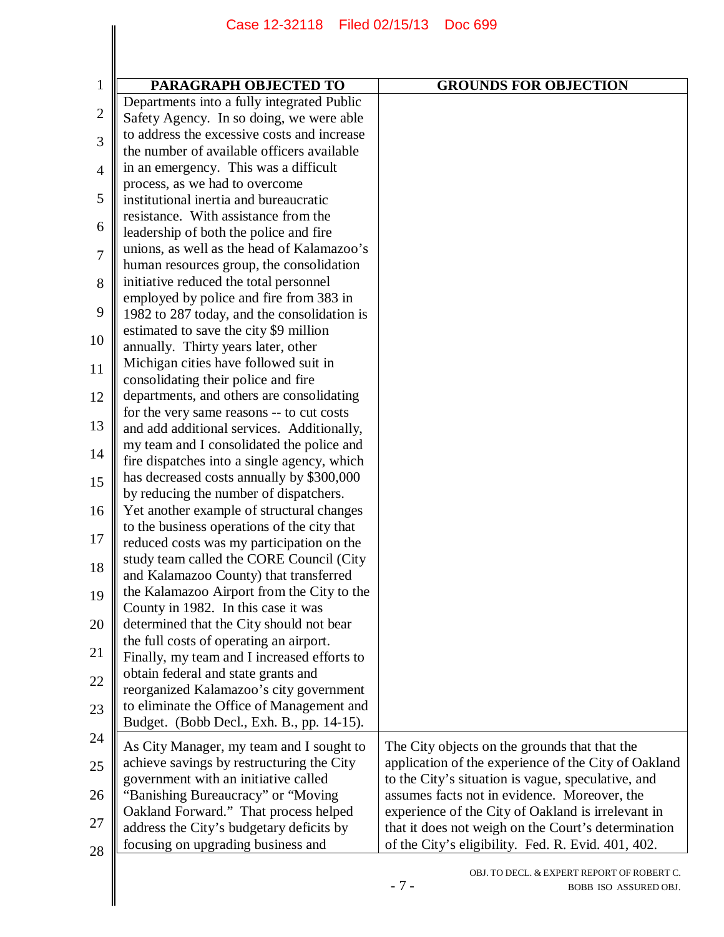|                | Case 12-32118 Filed 02/15/13                                                           | Doc 699                                                                      |
|----------------|----------------------------------------------------------------------------------------|------------------------------------------------------------------------------|
|                |                                                                                        |                                                                              |
|                |                                                                                        |                                                                              |
| $\mathbf{1}$   | PARAGRAPH OBJECTED TO                                                                  | <b>GROUNDS FOR OBJECTION</b>                                                 |
| $\overline{2}$ | Departments into a fully integrated Public<br>Safety Agency. In so doing, we were able |                                                                              |
|                | to address the excessive costs and increase                                            |                                                                              |
| 3              | the number of available officers available                                             |                                                                              |
| $\overline{4}$ | in an emergency. This was a difficult                                                  |                                                                              |
|                | process, as we had to overcome                                                         |                                                                              |
| 5              | institutional inertia and bureaucratic                                                 |                                                                              |
|                | resistance. With assistance from the                                                   |                                                                              |
| 6              | leadership of both the police and fire                                                 |                                                                              |
| 7              | unions, as well as the head of Kalamazoo's                                             |                                                                              |
|                | human resources group, the consolidation                                               |                                                                              |
| 8              | initiative reduced the total personnel                                                 |                                                                              |
| 9              | employed by police and fire from 383 in                                                |                                                                              |
|                | 1982 to 287 today, and the consolidation is<br>estimated to save the city \$9 million  |                                                                              |
| 10             | annually. Thirty years later, other                                                    |                                                                              |
|                | Michigan cities have followed suit in                                                  |                                                                              |
| 11             | consolidating their police and fire                                                    |                                                                              |
| 12             | departments, and others are consolidating                                              |                                                                              |
|                | for the very same reasons -- to cut costs                                              |                                                                              |
| 13             | and add additional services. Additionally,                                             |                                                                              |
|                | my team and I consolidated the police and                                              |                                                                              |
| 14             | fire dispatches into a single agency, which                                            |                                                                              |
| 15             | has decreased costs annually by \$300,000                                              |                                                                              |
|                | by reducing the number of dispatchers.                                                 |                                                                              |
| 16             | Yet another example of structural changes                                              |                                                                              |
| 17             | to the business operations of the city that                                            |                                                                              |
|                | reduced costs was my participation on the                                              |                                                                              |
| 18             | study team called the CORE Council (City                                               |                                                                              |
|                | and Kalamazoo County) that transferred<br>the Kalamazoo Airport from the City to the   |                                                                              |
| 19             | County in 1982. In this case it was                                                    |                                                                              |
| 20             | determined that the City should not bear                                               |                                                                              |
|                | the full costs of operating an airport.                                                |                                                                              |
| 21             | Finally, my team and I increased efforts to                                            |                                                                              |
| $22\,$         | obtain federal and state grants and                                                    |                                                                              |
|                | reorganized Kalamazoo's city government                                                |                                                                              |
| 23             | to eliminate the Office of Management and                                              |                                                                              |
|                | Budget. (Bobb Decl., Exh. B., pp. 14-15).                                              |                                                                              |
| 24             | As City Manager, my team and I sought to                                               | The City objects on the grounds that that the                                |
| 25             | achieve savings by restructuring the City                                              | application of the experience of the City of Oakland                         |
|                | government with an initiative called                                                   | to the City's situation is vague, speculative, and                           |
| 26             | "Banishing Bureaucracy" or "Moving"                                                    | assumes facts not in evidence. Moreover, the                                 |
|                | Oakland Forward." That process helped                                                  | experience of the City of Oakland is irrelevant in                           |
| 27             | address the City's budgetary deficits by                                               | that it does not weigh on the Court's determination                          |
| 28             | focusing on upgrading business and                                                     | of the City's eligibility. Fed. R. Evid. 401, 402.                           |
|                |                                                                                        | OBJ. TO DECL. & EXPERT REPORT OF ROBERT C.<br>$-7-$<br>BOBB ISO ASSURED OBJ. |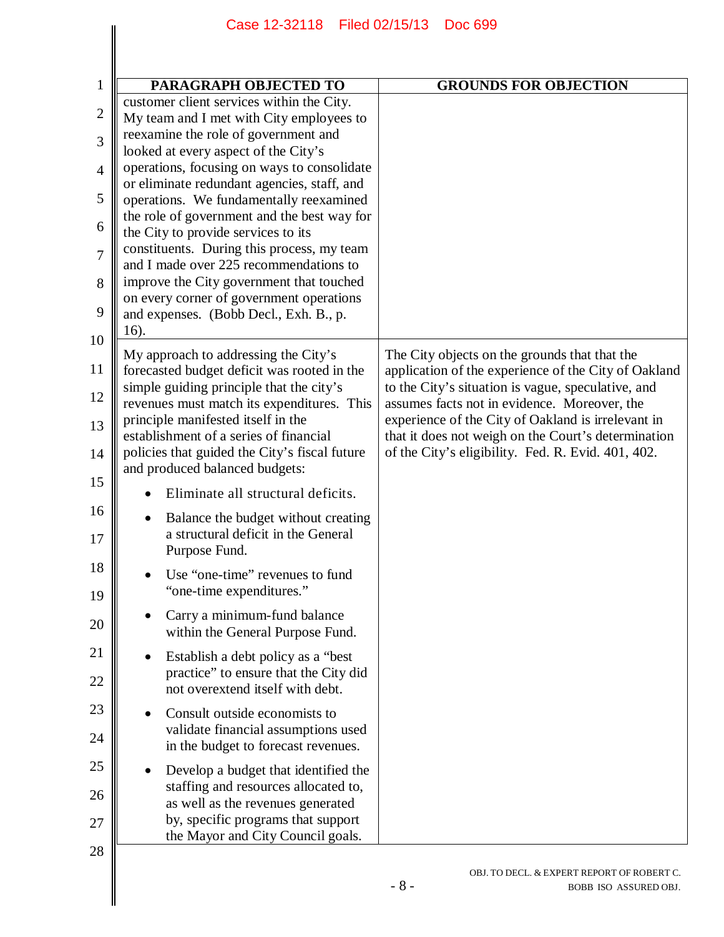| PARAGRAPH OBJECTED TO                                                                                                                                                                        | <b>GROUNDS FOR OBJECTION</b>                                                                                                                                |
|----------------------------------------------------------------------------------------------------------------------------------------------------------------------------------------------|-------------------------------------------------------------------------------------------------------------------------------------------------------------|
| customer client services within the City.<br>My team and I met with City employees to                                                                                                        |                                                                                                                                                             |
| reexamine the role of government and                                                                                                                                                         |                                                                                                                                                             |
| looked at every aspect of the City's<br>operations, focusing on ways to consolidate                                                                                                          |                                                                                                                                                             |
| or eliminate redundant agencies, staff, and<br>operations. We fundamentally reexamined                                                                                                       |                                                                                                                                                             |
| the role of government and the best way for<br>the City to provide services to its                                                                                                           |                                                                                                                                                             |
| constituents. During this process, my team<br>and I made over 225 recommendations to                                                                                                         |                                                                                                                                                             |
| improve the City government that touched                                                                                                                                                     |                                                                                                                                                             |
| on every corner of government operations<br>and expenses. (Bobb Decl., Exh. B., p.                                                                                                           |                                                                                                                                                             |
| 16).                                                                                                                                                                                         |                                                                                                                                                             |
| My approach to addressing the City's<br>forecasted budget deficit was rooted in the<br>simple guiding principle that the city's                                                              | The City objects on the grounds that that the<br>application of the experience of the City of Oakland<br>to the City's situation is vague, speculative, and |
| revenues must match its expenditures. This<br>principle manifested itself in the                                                                                                             | assumes facts not in evidence. Moreover, the<br>experience of the City of Oakland is irrelevant in                                                          |
| establishment of a series of financial<br>policies that guided the City's fiscal future<br>and produced balanced budgets:                                                                    | that it does not weigh on the Court's determination<br>of the City's eligibility. Fed. R. Evid. 401, 402.                                                   |
| Eliminate all structural deficits.                                                                                                                                                           |                                                                                                                                                             |
| Balance the budget without creating<br>a structural deficit in the General<br>Purpose Fund.                                                                                                  |                                                                                                                                                             |
| Use "one-time" revenues to fund<br>"one-time expenditures."                                                                                                                                  |                                                                                                                                                             |
| Carry a minimum-fund balance<br>within the General Purpose Fund.                                                                                                                             |                                                                                                                                                             |
| Establish a debt policy as a "best"<br>practice" to ensure that the City did<br>not overextend itself with debt.                                                                             |                                                                                                                                                             |
| Consult outside economists to<br>validate financial assumptions used<br>in the budget to forecast revenues.                                                                                  |                                                                                                                                                             |
| Develop a budget that identified the<br>staffing and resources allocated to,<br>as well as the revenues generated<br>by, specific programs that support<br>the Mayor and City Council goals. |                                                                                                                                                             |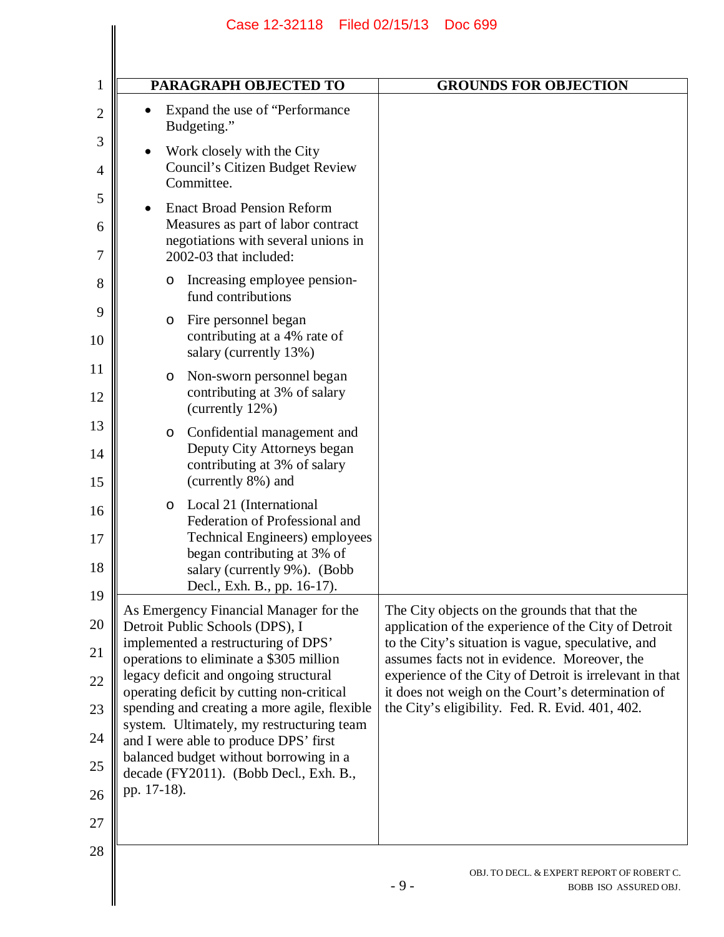|             | PARAGRAPH OBJECTED TO                                                                                                                                                                     | <b>GROUNDS FOR OBJECTION</b>                                                                                                                                                                                    |
|-------------|-------------------------------------------------------------------------------------------------------------------------------------------------------------------------------------------|-----------------------------------------------------------------------------------------------------------------------------------------------------------------------------------------------------------------|
|             | Expand the use of "Performance"<br>Budgeting."                                                                                                                                            |                                                                                                                                                                                                                 |
|             | Work closely with the City<br>Council's Citizen Budget Review<br>Committee.                                                                                                               |                                                                                                                                                                                                                 |
|             | <b>Enact Broad Pension Reform</b><br>Measures as part of labor contract<br>negotiations with several unions in<br>2002-03 that included:                                                  |                                                                                                                                                                                                                 |
| O           | Increasing employee pension-<br>fund contributions                                                                                                                                        |                                                                                                                                                                                                                 |
| O           | Fire personnel began<br>contributing at a 4% rate of<br>salary (currently 13%)                                                                                                            |                                                                                                                                                                                                                 |
| O           | Non-sworn personnel began<br>contributing at 3% of salary<br>(currently 12%)                                                                                                              |                                                                                                                                                                                                                 |
| O           | Confidential management and<br>Deputy City Attorneys began<br>contributing at 3% of salary<br>(currently 8%) and                                                                          |                                                                                                                                                                                                                 |
| O           | Local 21 (International<br>Federation of Professional and<br>Technical Engineers) employees<br>began contributing at 3% of<br>salary (currently 9%). (Bobb<br>Decl., Exh. B., pp. 16-17). |                                                                                                                                                                                                                 |
|             | As Emergency Financial Manager for the<br>Detroit Public Schools (DPS), I<br>implemented a restructuring of DPS'                                                                          | The City objects on the grounds that that the<br>application of the experience of the City of Detroit<br>to the City's situation is vague, speculative, and                                                     |
|             | operations to eliminate a \$305 million<br>legacy deficit and ongoing structural<br>operating deficit by cutting non-critical<br>spending and creating a more agile, flexible             | assumes facts not in evidence. Moreover, the<br>experience of the City of Detroit is irrelevant in that<br>it does not weigh on the Court's determination of<br>the City's eligibility. Fed. R. Evid. 401, 402. |
|             | system. Ultimately, my restructuring team<br>and I were able to produce DPS' first<br>balanced budget without borrowing in a                                                              |                                                                                                                                                                                                                 |
| pp. 17-18). | decade (FY2011). (Bobb Decl., Exh. B.,                                                                                                                                                    |                                                                                                                                                                                                                 |
|             |                                                                                                                                                                                           |                                                                                                                                                                                                                 |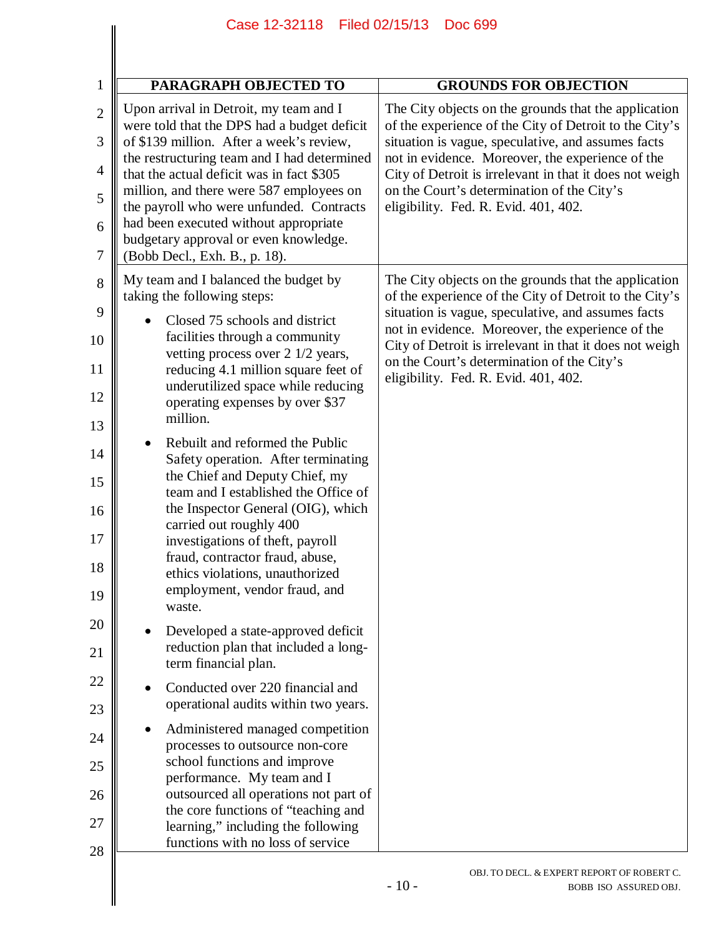| PARAGRAPH OBJECTED TO                                                                              | <b>GROUNDS FOR OBJECTION</b>                                                                                                                  |
|----------------------------------------------------------------------------------------------------|-----------------------------------------------------------------------------------------------------------------------------------------------|
| Upon arrival in Detroit, my team and I<br>were told that the DPS had a budget deficit              | The City objects on the grounds that the application<br>of the experience of the City of Detroit to the City's                                |
| of \$139 million. After a week's review,<br>the restructuring team and I had determined            | situation is vague, speculative, and assumes facts<br>not in evidence. Moreover, the experience of the                                        |
| that the actual deficit was in fact \$305<br>million, and there were 587 employees on              | City of Detroit is irrelevant in that it does not weigh<br>on the Court's determination of the City's                                         |
| the payroll who were unfunded. Contracts<br>had been executed without appropriate                  | eligibility. Fed. R. Evid. 401, 402.                                                                                                          |
| budgetary approval or even knowledge.<br>(Bobb Decl., Exh. B., p. 18).                             |                                                                                                                                               |
| My team and I balanced the budget by<br>taking the following steps:                                | The City objects on the grounds that the application<br>of the experience of the City of Detroit to the City's                                |
| Closed 75 schools and district<br>facilities through a community                                   | situation is vague, speculative, and assumes facts<br>not in evidence. Moreover, the experience of the                                        |
| vetting process over 2 1/2 years,<br>reducing 4.1 million square feet of                           | City of Detroit is irrelevant in that it does not weigh<br>on the Court's determination of the City's<br>eligibility. Fed. R. Evid. 401, 402. |
| underutilized space while reducing<br>operating expenses by over \$37<br>million.                  |                                                                                                                                               |
| Rebuilt and reformed the Public                                                                    |                                                                                                                                               |
| Safety operation. After terminating<br>the Chief and Deputy Chief, my                              |                                                                                                                                               |
| team and I established the Office of<br>the Inspector General (OIG), which                         |                                                                                                                                               |
| carried out roughly 400<br>investigations of theft, payroll                                        |                                                                                                                                               |
| fraud, contractor fraud, abuse,<br>ethics violations, unauthorized                                 |                                                                                                                                               |
| employment, vendor fraud, and<br>waste.                                                            |                                                                                                                                               |
| Developed a state-approved deficit<br>reduction plan that included a long-<br>term financial plan. |                                                                                                                                               |
| Conducted over 220 financial and<br>operational audits within two years.                           |                                                                                                                                               |
| Administered managed competition<br>processes to outsource non-core                                |                                                                                                                                               |
| school functions and improve<br>performance. My team and I                                         |                                                                                                                                               |
| outsourced all operations not part of<br>the core functions of "teaching and                       |                                                                                                                                               |
| learning," including the following<br>functions with no loss of service                            |                                                                                                                                               |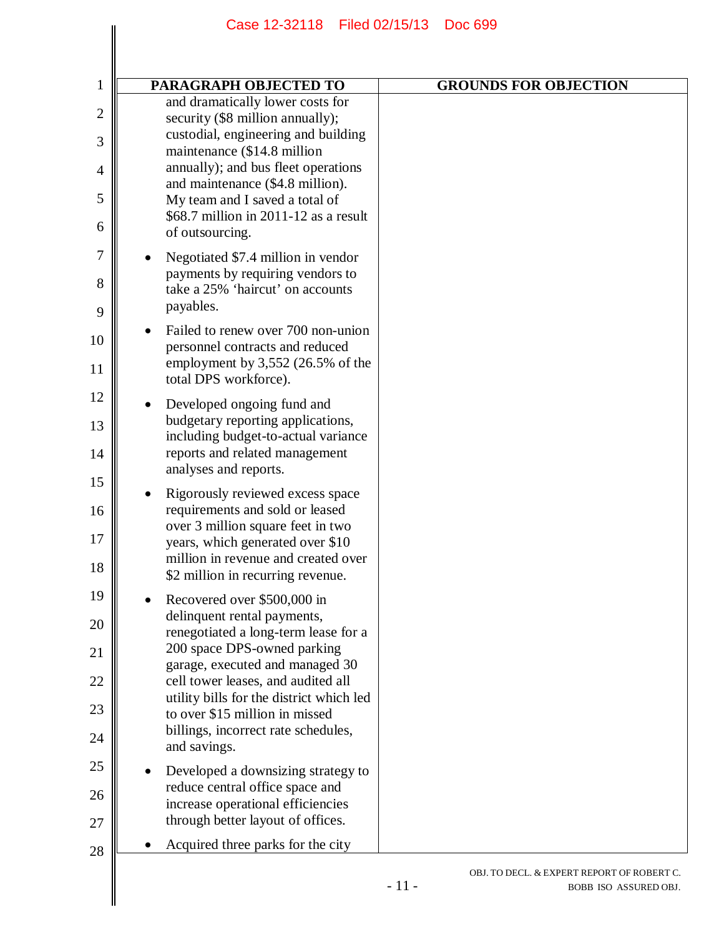| PARAGRAPH OBJECTED TO                                                                                                                                                                                                                                                                                                                           | <b>GROUNDS FOR OBJECTION</b> |
|-------------------------------------------------------------------------------------------------------------------------------------------------------------------------------------------------------------------------------------------------------------------------------------------------------------------------------------------------|------------------------------|
| and dramatically lower costs for<br>security (\$8 million annually);<br>custodial, engineering and building<br>maintenance (\$14.8 million<br>annually); and bus fleet operations<br>and maintenance (\$4.8 million).<br>My team and I saved a total of<br>$$68.7$ million in 2011-12 as a result<br>of outsourcing.                            |                              |
| Negotiated \$7.4 million in vendor<br>payments by requiring vendors to<br>take a 25% 'haircut' on accounts<br>payables.                                                                                                                                                                                                                         |                              |
| Failed to renew over 700 non-union<br>personnel contracts and reduced<br>employment by 3,552 (26.5% of the<br>total DPS workforce).                                                                                                                                                                                                             |                              |
| Developed ongoing fund and<br>budgetary reporting applications,<br>including budget-to-actual variance<br>reports and related management<br>analyses and reports.                                                                                                                                                                               |                              |
| Rigorously reviewed excess space<br>requirements and sold or leased<br>over 3 million square feet in two<br>years, which generated over \$10<br>million in revenue and created over<br>\$2 million in recurring revenue.                                                                                                                        |                              |
| Recovered over \$500,000 in<br>delinquent rental payments,<br>renegotiated a long-term lease for a<br>200 space DPS-owned parking<br>garage, executed and managed 30<br>cell tower leases, and audited all<br>utility bills for the district which led<br>to over \$15 million in missed<br>billings, incorrect rate schedules,<br>and savings. |                              |
| Developed a downsizing strategy to<br>reduce central office space and<br>increase operational efficiencies<br>through better layout of offices.                                                                                                                                                                                                 |                              |
| Acquired three parks for the city                                                                                                                                                                                                                                                                                                               |                              |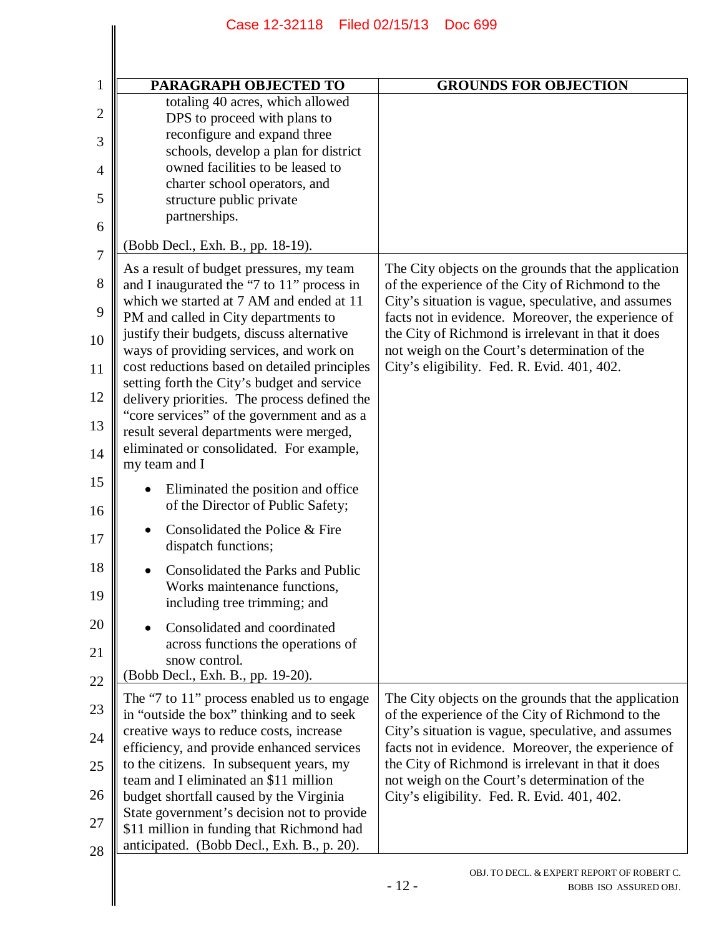|                | Case 12-32118 Filed 02/15/13                                                                             | <b>Doc 699</b>                                                                                            |
|----------------|----------------------------------------------------------------------------------------------------------|-----------------------------------------------------------------------------------------------------------|
|                |                                                                                                          |                                                                                                           |
| 1              | PARAGRAPH OBJECTED TO                                                                                    | <b>GROUNDS FOR OBJECTION</b>                                                                              |
|                | totaling 40 acres, which allowed                                                                         |                                                                                                           |
| $\overline{2}$ | DPS to proceed with plans to                                                                             |                                                                                                           |
| 3              | reconfigure and expand three<br>schools, develop a plan for district<br>owned facilities to be leased to |                                                                                                           |
| $\overline{4}$ | charter school operators, and                                                                            |                                                                                                           |
| 5              | structure public private<br>partnerships.                                                                |                                                                                                           |
| 6              | (Bobb Decl., Exh. B., pp. 18-19).                                                                        |                                                                                                           |
| $\overline{7}$ | As a result of budget pressures, my team                                                                 | The City objects on the grounds that the application                                                      |
| 8              | and I inaugurated the "7 to 11" process in                                                               | of the experience of the City of Richmond to the                                                          |
| 9              | which we started at 7 AM and ended at 11<br>PM and called in City departments to                         | City's situation is vague, speculative, and assumes<br>facts not in evidence. Moreover, the experience of |
| 10             | justify their budgets, discuss alternative<br>ways of providing services, and work on                    | the City of Richmond is irrelevant in that it does<br>not weigh on the Court's determination of the       |
| 11             | cost reductions based on detailed principles<br>setting forth the City's budget and service              | City's eligibility. Fed. R. Evid. 401, 402.                                                               |
| 12             | delivery priorities. The process defined the                                                             |                                                                                                           |
| 13             | "core services" of the government and as a<br>result several departments were merged,                    |                                                                                                           |
| 14             | eliminated or consolidated. For example,<br>my team and I                                                |                                                                                                           |
| 15             | Eliminated the position and office                                                                       |                                                                                                           |
| 16             | of the Director of Public Safety;                                                                        |                                                                                                           |
| 17             | Consolidated the Police & Fire<br>dispatch functions;                                                    |                                                                                                           |
| 18             | Consolidated the Parks and Public                                                                        |                                                                                                           |
| 19             | Works maintenance functions,<br>including tree trimming; and                                             |                                                                                                           |
| 20             | Consolidated and coordinated<br>across functions the operations of                                       |                                                                                                           |
| 21<br>22       | snow control.<br>(Bobb Decl., Exh. B., pp. 19-20).                                                       |                                                                                                           |
| 23             | The "7 to 11" process enabled us to engage                                                               | The City objects on the grounds that the application                                                      |
| 24             | in "outside the box" thinking and to seek<br>creative ways to reduce costs, increase                     | of the experience of the City of Richmond to the<br>City's situation is vague, speculative, and assumes   |
| 25             | efficiency, and provide enhanced services<br>to the citizens. In subsequent years, my                    | facts not in evidence. Moreover, the experience of<br>the City of Richmond is irrelevant in that it does  |
| 26             | team and I eliminated an \$11 million<br>budget shortfall caused by the Virginia                         | not weigh on the Court's determination of the<br>City's eligibility. Fed. R. Evid. 401, 402.              |
| 27             | State government's decision not to provide                                                               |                                                                                                           |
| 28             | \$11 million in funding that Richmond had<br>anticipated. (Bobb Decl., Exh. B., p. 20).                  |                                                                                                           |
|                |                                                                                                          | OBJ. TO DECL. & EXPERT REPORT OF ROBERT C.<br>$-12-$<br>BOBB ISO ASSURED OBJ.                             |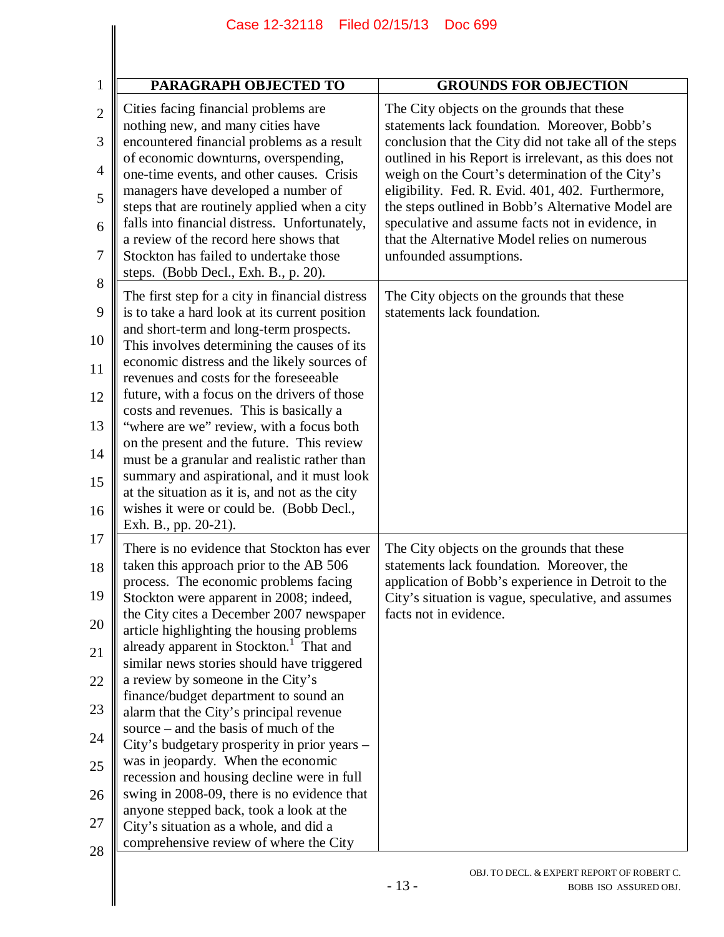|                | Case 12-32118 Filed 02/15/13                                                                      | Doc 699                                                                                                          |
|----------------|---------------------------------------------------------------------------------------------------|------------------------------------------------------------------------------------------------------------------|
|                |                                                                                                   |                                                                                                                  |
|                |                                                                                                   |                                                                                                                  |
| 1              | PARAGRAPH OBJECTED TO                                                                             | <b>GROUNDS FOR OBJECTION</b>                                                                                     |
| $\overline{2}$ | Cities facing financial problems are<br>nothing new, and many cities have                         | The City objects on the grounds that these<br>statements lack foundation. Moreover, Bobb's                       |
| 3              | encountered financial problems as a result<br>of economic downturns, overspending,                | conclusion that the City did not take all of the steps<br>outlined in his Report is irrelevant, as this does not |
| $\overline{4}$ | one-time events, and other causes. Crisis<br>managers have developed a number of                  | weigh on the Court's determination of the City's<br>eligibility. Fed. R. Evid. 401, 402. Furthermore,            |
| 5              | steps that are routinely applied when a city<br>falls into financial distress. Unfortunately,     | the steps outlined in Bobb's Alternative Model are<br>speculative and assume facts not in evidence, in           |
| 6              | a review of the record here shows that                                                            | that the Alternative Model relies on numerous                                                                    |
| 7<br>8         | Stockton has failed to undertake those<br>steps. (Bobb Decl., Exh. B., p. 20).                    | unfounded assumptions.                                                                                           |
| 9              | The first step for a city in financial distress<br>is to take a hard look at its current position | The City objects on the grounds that these<br>statements lack foundation.                                        |
| 10             | and short-term and long-term prospects.<br>This involves determining the causes of its            |                                                                                                                  |
| 11             | economic distress and the likely sources of<br>revenues and costs for the foreseeable             |                                                                                                                  |
| 12             | future, with a focus on the drivers of those<br>costs and revenues. This is basically a           |                                                                                                                  |
| 13             | "where are we" review, with a focus both                                                          |                                                                                                                  |
| 14             | on the present and the future. This review<br>must be a granular and realistic rather than        |                                                                                                                  |
| 15             | summary and aspirational, and it must look<br>at the situation as it is, and not as the city      |                                                                                                                  |
| 16             | wishes it were or could be. (Bobb Decl.,<br>Exh. B., pp. 20-21).                                  |                                                                                                                  |
| 17<br>18       | There is no evidence that Stockton has ever<br>taken this approach prior to the AB 506            | The City objects on the grounds that these<br>statements lack foundation. Moreover, the                          |
| 19             | process. The economic problems facing<br>Stockton were apparent in 2008; indeed,                  | application of Bobb's experience in Detroit to the                                                               |
| 20             | the City cites a December 2007 newspaper                                                          | City's situation is vague, speculative, and assumes<br>facts not in evidence.                                    |
| 21             | article highlighting the housing problems<br>already apparent in Stockton. <sup>1</sup> That and  |                                                                                                                  |
| 22             | similar news stories should have triggered<br>a review by someone in the City's                   |                                                                                                                  |
| 23             | finance/budget department to sound an<br>alarm that the City's principal revenue                  |                                                                                                                  |
| 24             | source – and the basis of much of the<br>City's budgetary prosperity in prior years -             |                                                                                                                  |
| 25             | was in jeopardy. When the economic<br>recession and housing decline were in full                  |                                                                                                                  |
| 26             | swing in 2008-09, there is no evidence that                                                       |                                                                                                                  |
| 27             | anyone stepped back, took a look at the<br>City's situation as a whole, and did a                 |                                                                                                                  |
| 28             | comprehensive review of where the City                                                            |                                                                                                                  |

 $\parallel$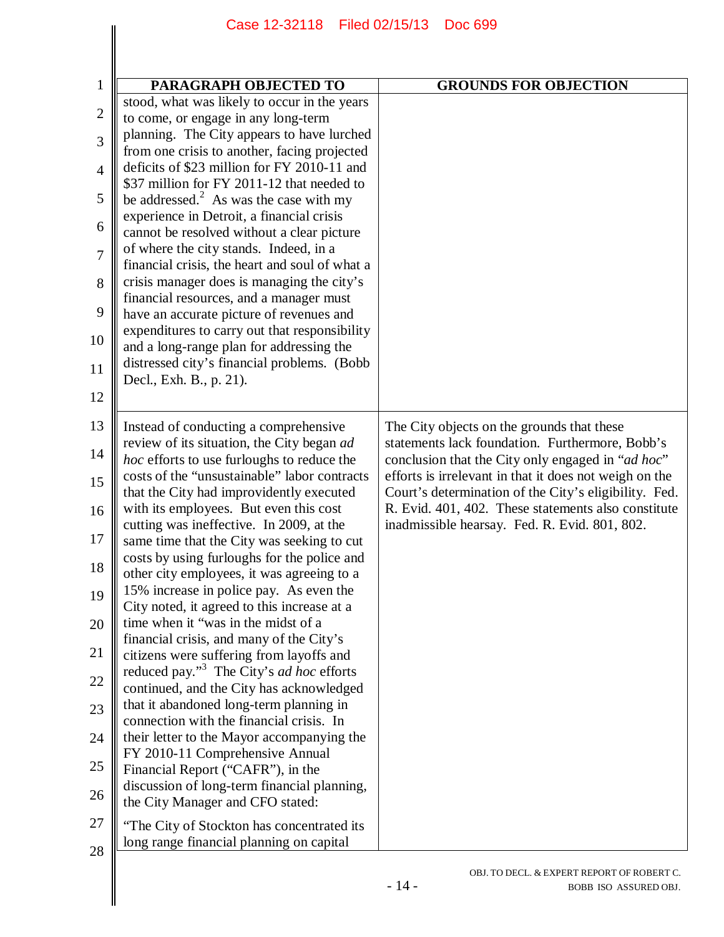|                | Case 12-32118 Filed 02/15/13                                                                            | <b>Doc 699</b>                                                                                               |
|----------------|---------------------------------------------------------------------------------------------------------|--------------------------------------------------------------------------------------------------------------|
|                |                                                                                                         |                                                                                                              |
| $\mathbf{1}$   | PARAGRAPH OBJECTED TO                                                                                   | <b>GROUNDS FOR OBJECTION</b>                                                                                 |
| $\overline{2}$ | stood, what was likely to occur in the years<br>to come, or engage in any long-term                     |                                                                                                              |
| 3              | planning. The City appears to have lurched                                                              |                                                                                                              |
|                | from one crisis to another, facing projected<br>deficits of \$23 million for FY 2010-11 and             |                                                                                                              |
| $\overline{4}$ | \$37 million for FY 2011-12 that needed to                                                              |                                                                                                              |
| 5              | be addressed. $2$ As was the case with my<br>experience in Detroit, a financial crisis                  |                                                                                                              |
| 6              | cannot be resolved without a clear picture                                                              |                                                                                                              |
| $\overline{7}$ | of where the city stands. Indeed, in a<br>financial crisis, the heart and soul of what a                |                                                                                                              |
| 8              | crisis manager does is managing the city's                                                              |                                                                                                              |
| 9              | financial resources, and a manager must<br>have an accurate picture of revenues and                     |                                                                                                              |
| 10             | expenditures to carry out that responsibility                                                           |                                                                                                              |
|                | and a long-range plan for addressing the<br>distressed city's financial problems. (Bobb                 |                                                                                                              |
| 11             | Decl., Exh. B., p. 21).                                                                                 |                                                                                                              |
| 12             |                                                                                                         |                                                                                                              |
| 13             | Instead of conducting a comprehensive                                                                   | The City objects on the grounds that these                                                                   |
| 14             | review of its situation, the City began ad<br>hoc efforts to use furloughs to reduce the                | statements lack foundation. Furthermore, Bobb's<br>conclusion that the City only engaged in "ad hoc"         |
| 15             | costs of the "unsustainable" labor contracts                                                            | efforts is irrelevant in that it does not weigh on the                                                       |
| 16             | that the City had improvidently executed<br>with its employees. But even this cost                      | Court's determination of the City's eligibility. Fed.<br>R. Evid. 401, 402. These statements also constitute |
| 17             | cutting was ineffective. In 2009, at the                                                                | inadmissible hearsay. Fed. R. Evid. 801, 802.                                                                |
|                | same time that the City was seeking to cut<br>costs by using furloughs for the police and               |                                                                                                              |
| 18             | other city employees, it was agreeing to a                                                              |                                                                                                              |
| 19             | 15% increase in police pay. As even the<br>City noted, it agreed to this increase at a                  |                                                                                                              |
| 20             | time when it "was in the midst of a                                                                     |                                                                                                              |
| 21             | financial crisis, and many of the City's<br>citizens were suffering from layoffs and                    |                                                                                                              |
| 22             | reduced pay." <sup>3</sup> The City's <i>ad hoc</i> efforts<br>continued, and the City has acknowledged |                                                                                                              |
| 23             | that it abandoned long-term planning in                                                                 |                                                                                                              |
|                | connection with the financial crisis. In                                                                |                                                                                                              |
| 24             | their letter to the Mayor accompanying the<br>FY 2010-11 Comprehensive Annual                           |                                                                                                              |
| 25             | Financial Report ("CAFR"), in the<br>discussion of long-term financial planning,                        |                                                                                                              |
| 26             | the City Manager and CFO stated:                                                                        |                                                                                                              |
| 27             | "The City of Stockton has concentrated its                                                              |                                                                                                              |
| 28             | long range financial planning on capital                                                                |                                                                                                              |
|                |                                                                                                         | OBJ. TO DECL. & EXPERT REPORT OF ROBERT C.<br>$-14-$                                                         |
|                |                                                                                                         | BOBB ISO ASSURED OBJ.                                                                                        |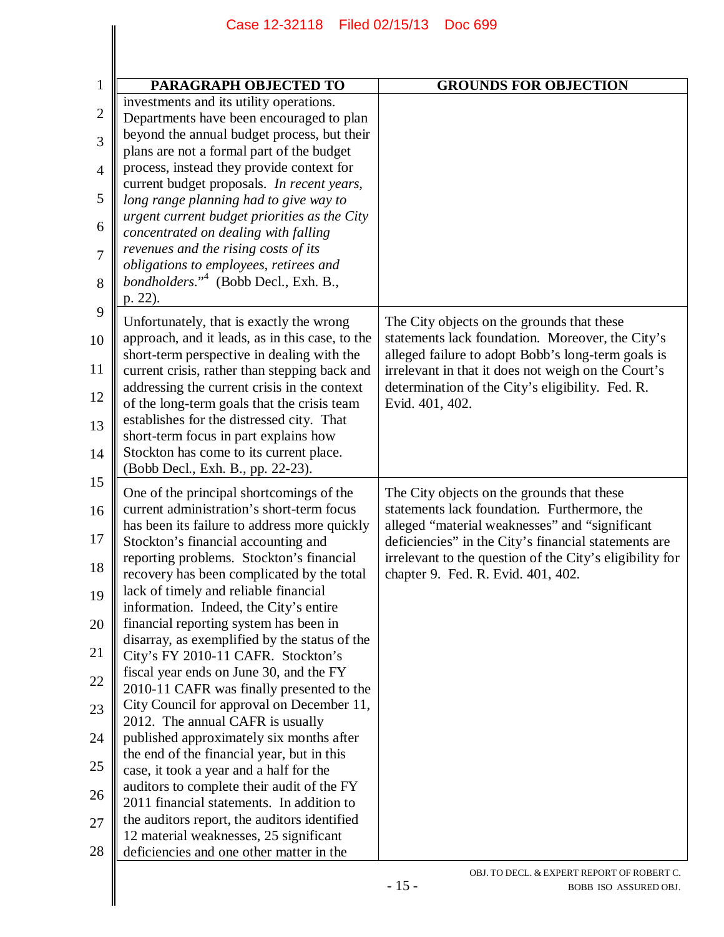|                | Case 12-32118 Filed 02/15/13                                                                  | Doc 699                                                                                                          |  |
|----------------|-----------------------------------------------------------------------------------------------|------------------------------------------------------------------------------------------------------------------|--|
|                |                                                                                               |                                                                                                                  |  |
|                |                                                                                               |                                                                                                                  |  |
| $\mathbf{1}$   | PARAGRAPH OBJECTED TO                                                                         | <b>GROUNDS FOR OBJECTION</b>                                                                                     |  |
| 2              | investments and its utility operations.                                                       |                                                                                                                  |  |
|                | Departments have been encouraged to plan<br>beyond the annual budget process, but their       |                                                                                                                  |  |
| 3              | plans are not a formal part of the budget                                                     |                                                                                                                  |  |
| $\overline{4}$ | process, instead they provide context for                                                     |                                                                                                                  |  |
|                | current budget proposals. In recent years,                                                    |                                                                                                                  |  |
| 5              | long range planning had to give way to                                                        |                                                                                                                  |  |
| 6              | urgent current budget priorities as the City<br>concentrated on dealing with falling          |                                                                                                                  |  |
| $\overline{7}$ | revenues and the rising costs of its                                                          |                                                                                                                  |  |
|                | obligations to employees, retirees and                                                        |                                                                                                                  |  |
| 8              | bondholders." <sup>4</sup> (Bobb Decl., Exh. B.,                                              |                                                                                                                  |  |
| 9              | p. 22).                                                                                       |                                                                                                                  |  |
|                | Unfortunately, that is exactly the wrong                                                      | The City objects on the grounds that these                                                                       |  |
| 10             | approach, and it leads, as in this case, to the<br>short-term perspective in dealing with the | statements lack foundation. Moreover, the City's<br>alleged failure to adopt Bobb's long-term goals is           |  |
| 11             | current crisis, rather than stepping back and                                                 | irrelevant in that it does not weigh on the Court's                                                              |  |
|                | addressing the current crisis in the context                                                  | determination of the City's eligibility. Fed. R.                                                                 |  |
| 12             | of the long-term goals that the crisis team                                                   | Evid. 401, 402.                                                                                                  |  |
| 13             | establishes for the distressed city. That                                                     |                                                                                                                  |  |
| 14             | short-term focus in part explains how<br>Stockton has come to its current place.              |                                                                                                                  |  |
|                | (Bobb Decl., Exh. B., pp. 22-23).                                                             |                                                                                                                  |  |
| 15             | One of the principal shortcomings of the                                                      | The City objects on the grounds that these                                                                       |  |
| 16             | current administration's short-term focus                                                     | statements lack foundation. Furthermore, the                                                                     |  |
|                | has been its failure to address more quickly                                                  | alleged "material weaknesses" and "significant                                                                   |  |
| 17             | Stockton's financial accounting and<br>reporting problems. Stockton's financial               | deficiencies" in the City's financial statements are<br>irrelevant to the question of the City's eligibility for |  |
| 18             | recovery has been complicated by the total                                                    | chapter 9. Fed. R. Evid. 401, 402.                                                                               |  |
| 19             | lack of timely and reliable financial                                                         |                                                                                                                  |  |
|                | information. Indeed, the City's entire                                                        |                                                                                                                  |  |
| 20             | financial reporting system has been in<br>disarray, as exemplified by the status of the       |                                                                                                                  |  |
| 21             | City's FY 2010-11 CAFR. Stockton's                                                            |                                                                                                                  |  |
|                | fiscal year ends on June 30, and the FY                                                       |                                                                                                                  |  |
| 22             | 2010-11 CAFR was finally presented to the                                                     |                                                                                                                  |  |
| 23             | City Council for approval on December 11,<br>2012. The annual CAFR is usually                 |                                                                                                                  |  |
| 24             | published approximately six months after                                                      |                                                                                                                  |  |
|                | the end of the financial year, but in this                                                    |                                                                                                                  |  |
| 25             | case, it took a year and a half for the                                                       |                                                                                                                  |  |
| 26             | auditors to complete their audit of the FY                                                    |                                                                                                                  |  |
| 27             | 2011 financial statements. In addition to<br>the auditors report, the auditors identified     |                                                                                                                  |  |
|                | 12 material weaknesses, 25 significant                                                        |                                                                                                                  |  |
| 28             | deficiencies and one other matter in the                                                      |                                                                                                                  |  |
|                |                                                                                               | OBJ. TO DECL. & EXPERT REPORT OF ROBERT C.                                                                       |  |
|                |                                                                                               | $-15-$<br>BOBB ISO ASSURED OBJ.                                                                                  |  |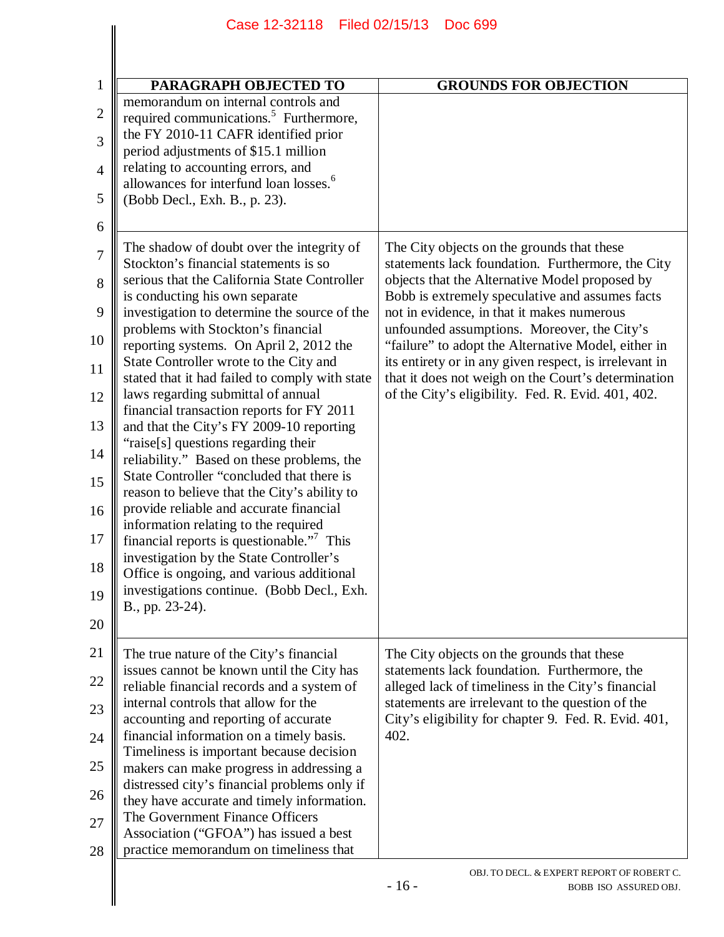|                | Case 12-32118 Filed 02/15/13<br><b>Doc 699</b>                                                                                     |                                                                                                           |  |
|----------------|------------------------------------------------------------------------------------------------------------------------------------|-----------------------------------------------------------------------------------------------------------|--|
|                |                                                                                                                                    |                                                                                                           |  |
| $\mathbf{1}$   | PARAGRAPH OBJECTED TO                                                                                                              | <b>GROUNDS FOR OBJECTION</b>                                                                              |  |
| $\mathbf{2}$   | memorandum on internal controls and<br>required communications. <sup>5</sup> Furthermore,                                          |                                                                                                           |  |
| 3              | the FY 2010-11 CAFR identified prior                                                                                               |                                                                                                           |  |
| $\overline{4}$ | period adjustments of \$15.1 million<br>relating to accounting errors, and                                                         |                                                                                                           |  |
| 5              | allowances for interfund loan losses. <sup>6</sup><br>(Bobb Decl., Exh. B., p. 23).                                                |                                                                                                           |  |
| 6              |                                                                                                                                    |                                                                                                           |  |
| $\overline{7}$ | The shadow of doubt over the integrity of                                                                                          | The City objects on the grounds that these                                                                |  |
| 8              | Stockton's financial statements is so<br>serious that the California State Controller                                              | statements lack foundation. Furthermore, the City<br>objects that the Alternative Model proposed by       |  |
| 9              | is conducting his own separate<br>investigation to determine the source of the                                                     | Bobb is extremely speculative and assumes facts<br>not in evidence, in that it makes numerous             |  |
| 10             | problems with Stockton's financial<br>reporting systems. On April 2, 2012 the                                                      | unfounded assumptions. Moreover, the City's<br>"failure" to adopt the Alternative Model, either in        |  |
| 11             | State Controller wrote to the City and                                                                                             | its entirety or in any given respect, is irrelevant in                                                    |  |
| 12             | stated that it had failed to comply with state<br>laws regarding submittal of annual                                               | that it does not weigh on the Court's determination<br>of the City's eligibility. Fed. R. Evid. 401, 402. |  |
| 13             | financial transaction reports for FY 2011<br>and that the City's FY 2009-10 reporting                                              |                                                                                                           |  |
| 14             | "raise[s] questions regarding their                                                                                                |                                                                                                           |  |
| 15             | reliability." Based on these problems, the<br>State Controller "concluded that there is                                            |                                                                                                           |  |
| 16             | reason to believe that the City's ability to<br>provide reliable and accurate financial                                            |                                                                                                           |  |
| 17             | information relating to the required<br>financial reports is questionable." <sup>7</sup> This                                      |                                                                                                           |  |
| 18             | investigation by the State Controller's                                                                                            |                                                                                                           |  |
|                | Office is ongoing, and various additional<br>investigations continue. (Bobb Decl., Exh.                                            |                                                                                                           |  |
| 19             | B., pp. 23-24).                                                                                                                    |                                                                                                           |  |
| 20             |                                                                                                                                    |                                                                                                           |  |
| 21<br>22       | The true nature of the City's financial<br>issues cannot be known until the City has<br>reliable financial records and a system of | The City objects on the grounds that these<br>statements lack foundation. Furthermore, the                |  |
| 23             | internal controls that allow for the                                                                                               | alleged lack of timeliness in the City's financial<br>statements are irrelevant to the question of the    |  |
| 24             | accounting and reporting of accurate<br>financial information on a timely basis.                                                   | City's eligibility for chapter 9. Fed. R. Evid. 401,<br>402.                                              |  |
| 25             | Timeliness is important because decision                                                                                           |                                                                                                           |  |
| 26             | makers can make progress in addressing a<br>distressed city's financial problems only if                                           |                                                                                                           |  |
| 27             | they have accurate and timely information.<br>The Government Finance Officers                                                      |                                                                                                           |  |
| 28             | Association ("GFOA") has issued a best<br>practice memorandum on timeliness that                                                   |                                                                                                           |  |
|                |                                                                                                                                    | OBJ. TO DECL. & EXPERT REPORT OF ROBERT C.<br>$-16-$<br>BOBB ISO ASSURED OBJ.                             |  |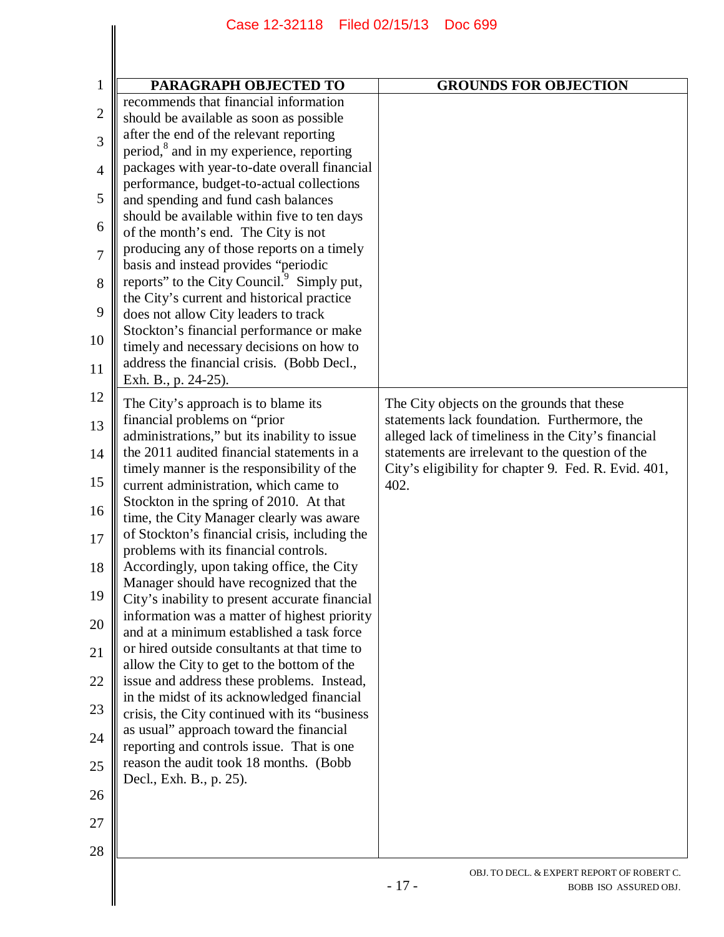| PARAGRAPH OBJECTED TO                                                                          | <b>GROUNDS FOR OBJECTION</b>                                 |
|------------------------------------------------------------------------------------------------|--------------------------------------------------------------|
| recommends that financial information                                                          |                                                              |
| should be available as soon as possible                                                        |                                                              |
| after the end of the relevant reporting                                                        |                                                              |
| period, <sup>8</sup> and in my experience, reporting                                           |                                                              |
| packages with year-to-date overall financial                                                   |                                                              |
| performance, budget-to-actual collections                                                      |                                                              |
| and spending and fund cash balances                                                            |                                                              |
| should be available within five to ten days                                                    |                                                              |
| of the month's end. The City is not                                                            |                                                              |
| producing any of those reports on a timely                                                     |                                                              |
| basis and instead provides "periodic<br>reports" to the City Council. <sup>9</sup> Simply put, |                                                              |
|                                                                                                |                                                              |
| the City's current and historical practice<br>does not allow City leaders to track             |                                                              |
| Stockton's financial performance or make                                                       |                                                              |
| timely and necessary decisions on how to                                                       |                                                              |
| address the financial crisis. (Bobb Decl.,                                                     |                                                              |
| Exh. B., p. 24-25).                                                                            |                                                              |
|                                                                                                |                                                              |
| The City's approach is to blame its                                                            | The City objects on the grounds that these                   |
| financial problems on "prior"                                                                  | statements lack foundation. Furthermore, the                 |
| administrations," but its inability to issue                                                   | alleged lack of timeliness in the City's financial           |
| the 2011 audited financial statements in a                                                     | statements are irrelevant to the question of the             |
| timely manner is the responsibility of the                                                     | City's eligibility for chapter 9. Fed. R. Evid. 401,<br>402. |
| current administration, which came to<br>Stockton in the spring of 2010. At that               |                                                              |
| time, the City Manager clearly was aware                                                       |                                                              |
| of Stockton's financial crisis, including the                                                  |                                                              |
| problems with its financial controls.                                                          |                                                              |
| Accordingly, upon taking office, the City                                                      |                                                              |
| Manager should have recognized that the                                                        |                                                              |
| City's inability to present accurate financial                                                 |                                                              |
| information was a matter of highest priority                                                   |                                                              |
| and at a minimum established a task force                                                      |                                                              |
| or hired outside consultants at that time to                                                   |                                                              |
| allow the City to get to the bottom of the                                                     |                                                              |
| issue and address these problems. Instead,                                                     |                                                              |
| in the midst of its acknowledged financial                                                     |                                                              |
| crisis, the City continued with its "business"<br>as usual" approach toward the financial      |                                                              |
| reporting and controls issue. That is one                                                      |                                                              |
| reason the audit took 18 months. (Bobb                                                         |                                                              |
| Decl., Exh. B., p. 25).                                                                        |                                                              |
|                                                                                                |                                                              |
|                                                                                                |                                                              |
|                                                                                                |                                                              |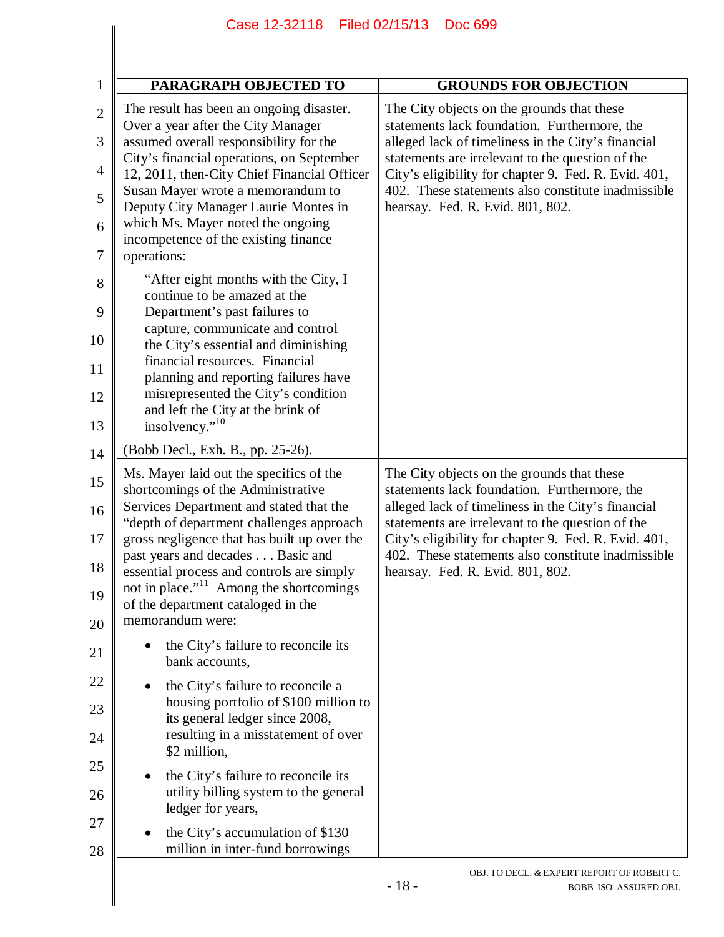|                                                                                                       | Filed 02/15/13<br>Case 12-32118<br><b>Doc 699</b>                                                                                                                                                                                                                                                                                                                                                                                                                                                                                                                                                                                                                                                                                                                                                                                  |                                                                                                                                                                                                                                                                                                                                                        |
|-------------------------------------------------------------------------------------------------------|------------------------------------------------------------------------------------------------------------------------------------------------------------------------------------------------------------------------------------------------------------------------------------------------------------------------------------------------------------------------------------------------------------------------------------------------------------------------------------------------------------------------------------------------------------------------------------------------------------------------------------------------------------------------------------------------------------------------------------------------------------------------------------------------------------------------------------|--------------------------------------------------------------------------------------------------------------------------------------------------------------------------------------------------------------------------------------------------------------------------------------------------------------------------------------------------------|
| $\mathbf{1}$                                                                                          | <b>PARAGRAPH OBJECTED TO</b>                                                                                                                                                                                                                                                                                                                                                                                                                                                                                                                                                                                                                                                                                                                                                                                                       | <b>GROUNDS FOR OBJECTION</b>                                                                                                                                                                                                                                                                                                                           |
| $\overline{2}$<br>3<br>$\overline{4}$<br>5<br>6<br>$\tau$<br>$8\,$<br>9<br>10<br>11<br>12<br>13<br>14 | The result has been an ongoing disaster.<br>Over a year after the City Manager<br>assumed overall responsibility for the<br>City's financial operations, on September<br>12, 2011, then-City Chief Financial Officer<br>Susan Mayer wrote a memorandum to<br>Deputy City Manager Laurie Montes in<br>which Ms. Mayer noted the ongoing<br>incompetence of the existing finance<br>operations:<br>"After eight months with the City, I<br>continue to be amazed at the<br>Department's past failures to<br>capture, communicate and control<br>the City's essential and diminishing<br>financial resources. Financial<br>planning and reporting failures have<br>misrepresented the City's condition<br>and left the City at the brink of<br>insolvency." <sup>10</sup><br>(Bobb Decl., Exh. B., pp. 25-26).                        | The City objects on the grounds that these<br>statements lack foundation. Furthermore, the<br>alleged lack of timeliness in the City's financial<br>statements are irrelevant to the question of the<br>City's eligibility for chapter 9. Fed. R. Evid. 401,<br>402. These statements also constitute inadmissible<br>hearsay. Fed. R. Evid. 801, 802. |
| 15<br>16<br>17<br>18<br>19<br>20<br>21<br>22<br>23<br>24<br>25<br>26<br>27<br>28                      | Ms. Mayer laid out the specifics of the<br>shortcomings of the Administrative<br>Services Department and stated that the<br>"depth of department challenges approach<br>gross negligence that has built up over the<br>past years and decades Basic and<br>essential process and controls are simply<br>not in place." <sup>11</sup> Among the shortcomings<br>of the department cataloged in the<br>memorandum were:<br>the City's failure to reconcile its<br>bank accounts,<br>the City's failure to reconcile a<br>housing portfolio of \$100 million to<br>its general ledger since 2008,<br>resulting in a misstatement of over<br>\$2 million,<br>the City's failure to reconcile its<br>utility billing system to the general<br>ledger for years,<br>the City's accumulation of \$130<br>million in inter-fund borrowings | The City objects on the grounds that these<br>statements lack foundation. Furthermore, the<br>alleged lack of timeliness in the City's financial<br>statements are irrelevant to the question of the<br>City's eligibility for chapter 9. Fed. R. Evid. 401,<br>402. These statements also constitute inadmissible<br>hearsay. Fed. R. Evid. 801, 802. |
|                                                                                                       |                                                                                                                                                                                                                                                                                                                                                                                                                                                                                                                                                                                                                                                                                                                                                                                                                                    | OBJ. TO DECL. & EXPERT REPORT OF ROBERT C.<br>$-18-$<br>BOBB ISO ASSURED OBJ.                                                                                                                                                                                                                                                                          |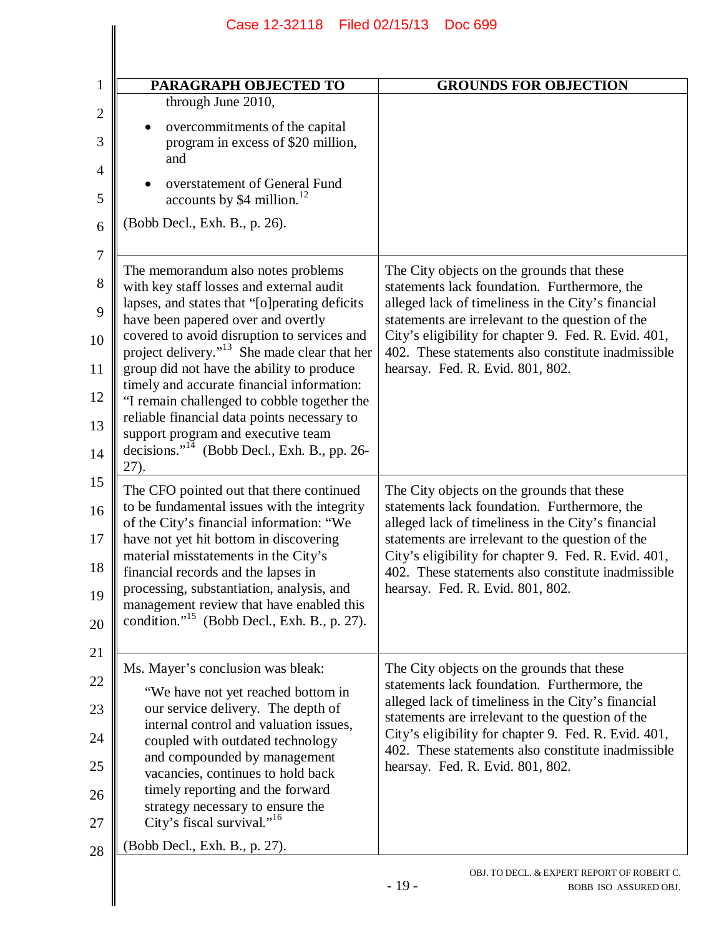| PARAGRAPH OBJECTED TO                                                                                                             | <b>GROUNDS FOR OBJECTION</b>                                                                                                                           |
|-----------------------------------------------------------------------------------------------------------------------------------|--------------------------------------------------------------------------------------------------------------------------------------------------------|
| through June 2010,                                                                                                                |                                                                                                                                                        |
| overcommitments of the capital<br>program in excess of \$20 million,<br>and                                                       |                                                                                                                                                        |
| overstatement of General Fund<br>accounts by \$4 million. <sup>12</sup>                                                           |                                                                                                                                                        |
| (Bobb Decl., Exh. B., p. 26).                                                                                                     |                                                                                                                                                        |
|                                                                                                                                   |                                                                                                                                                        |
| The memorandum also notes problems<br>with key staff losses and external audit                                                    | The City objects on the grounds that these<br>statements lack foundation. Furthermore, the                                                             |
| lapses, and states that "[o] perating deficits<br>have been papered over and overtly                                              | alleged lack of timeliness in the City's financial<br>statements are irrelevant to the question of the                                                 |
| covered to avoid disruption to services and<br>project delivery." <sup>13</sup> She made clear that her                           | City's eligibility for chapter 9. Fed. R. Evid. 401,<br>402. These statements also constitute inadmissible                                             |
| group did not have the ability to produce<br>timely and accurate financial information:                                           | hearsay. Fed. R. Evid. 801, 802.                                                                                                                       |
| "I remain challenged to cobble together the<br>reliable financial data points necessary to                                        |                                                                                                                                                        |
| support program and executive team<br>decisions." <sup>14</sup> (Bobb Decl., Exh. B., pp. 26-<br>27).                             |                                                                                                                                                        |
| The CFO pointed out that there continued                                                                                          | The City objects on the grounds that these                                                                                                             |
| to be fundamental issues with the integrity<br>of the City's financial information: "We<br>have not yet hit bottom in discovering | statements lack foundation. Furthermore, the<br>alleged lack of timeliness in the City's financial<br>statements are irrelevant to the question of the |
| material misstatements in the City's<br>financial records and the lapses in                                                       | City's eligibility for chapter 9. Fed. R. Evid. 401,<br>402. These statements also constitute inadmissible                                             |
| processing, substantiation, analysis, and<br>management review that have enabled this                                             | hearsay. Fed. R. Evid. 801, 802.                                                                                                                       |
| condition." <sup>15</sup> (Bobb Decl., Exh. B., p. 27).                                                                           |                                                                                                                                                        |
| Ms. Mayer's conclusion was bleak:                                                                                                 | The City objects on the grounds that these                                                                                                             |
| "We have not yet reached bottom in                                                                                                | statements lack foundation. Furthermore, the                                                                                                           |
| our service delivery. The depth of<br>internal control and valuation issues,                                                      | alleged lack of timeliness in the City's financial<br>statements are irrelevant to the question of the                                                 |
| coupled with outdated technology<br>and compounded by management                                                                  | City's eligibility for chapter 9. Fed. R. Evid. 401,<br>402. These statements also constitute inadmissible                                             |
| vacancies, continues to hold back                                                                                                 | hearsay. Fed. R. Evid. 801, 802.                                                                                                                       |
| timely reporting and the forward<br>strategy necessary to ensure the                                                              |                                                                                                                                                        |
| City's fiscal survival." <sup>16</sup><br>(Bobb Decl., Exh. B., p. 27).                                                           |                                                                                                                                                        |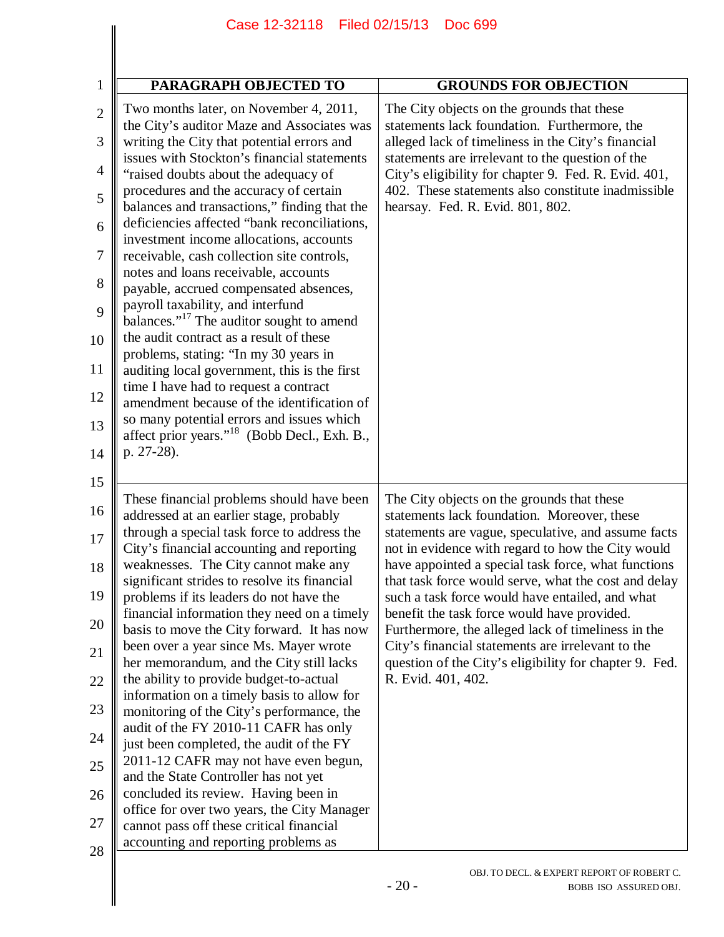|                  | Case 12-32118 Filed 02/15/13                                                              | Doc 699                                                                                                     |
|------------------|-------------------------------------------------------------------------------------------|-------------------------------------------------------------------------------------------------------------|
|                  |                                                                                           |                                                                                                             |
|                  |                                                                                           |                                                                                                             |
| $\mathbf{1}$     | PARAGRAPH OBJECTED TO                                                                     | <b>GROUNDS FOR OBJECTION</b>                                                                                |
| $\overline{2}$   | Two months later, on November 4, 2011,<br>the City's auditor Maze and Associates was      | The City objects on the grounds that these<br>statements lack foundation. Furthermore, the                  |
| 3                | writing the City that potential errors and                                                | alleged lack of timeliness in the City's financial                                                          |
| $\overline{4}$   | issues with Stockton's financial statements<br>"raised doubts about the adequacy of       | statements are irrelevant to the question of the<br>City's eligibility for chapter 9. Fed. R. Evid. 401,    |
| 5                | procedures and the accuracy of certain<br>balances and transactions," finding that the    | 402. These statements also constitute inadmissible<br>hearsay. Fed. R. Evid. 801, 802.                      |
| 6                | deficiencies affected "bank reconciliations,<br>investment income allocations, accounts   |                                                                                                             |
| $\boldsymbol{7}$ | receivable, cash collection site controls,                                                |                                                                                                             |
| 8                | notes and loans receivable, accounts<br>payable, accrued compensated absences,            |                                                                                                             |
| 9                | payroll taxability, and interfund<br>balances." <sup>17</sup> The auditor sought to amend |                                                                                                             |
| 10               | the audit contract as a result of these<br>problems, stating: "In my 30 years in          |                                                                                                             |
| 11<br>12         | auditing local government, this is the first<br>time I have had to request a contract     |                                                                                                             |
| 13               | amendment because of the identification of<br>so many potential errors and issues which   |                                                                                                             |
| 14               | affect prior years." <sup>18</sup> (Bobb Decl., Exh. B.,<br>p. 27-28).                    |                                                                                                             |
| 15               |                                                                                           |                                                                                                             |
| 16               | These financial problems should have been<br>addressed at an earlier stage, probably      | The City objects on the grounds that these<br>statements lack foundation. Moreover, these                   |
| 17               | through a special task force to address the<br>City's financial accounting and reporting  | statements are vague, speculative, and assume facts<br>not in evidence with regard to how the City would    |
| 18               | weaknesses. The City cannot make any<br>significant strides to resolve its financial      | have appointed a special task force, what functions<br>that task force would serve, what the cost and delay |
| 19               | problems if its leaders do not have the<br>financial information they need on a timely    | such a task force would have entailed, and what<br>benefit the task force would have provided.              |
| 20               | basis to move the City forward. It has now<br>been over a year since Ms. Mayer wrote      | Furthermore, the alleged lack of timeliness in the<br>City's financial statements are irrelevant to the     |
| 21               | her memorandum, and the City still lacks<br>the ability to provide budget-to-actual       | question of the City's eligibility for chapter 9. Fed.<br>R. Evid. 401, 402.                                |
| 22<br>23         | information on a timely basis to allow for                                                |                                                                                                             |
| 24               | monitoring of the City's performance, the<br>audit of the FY 2010-11 CAFR has only        |                                                                                                             |
| 25               | just been completed, the audit of the FY<br>2011-12 CAFR may not have even begun,         |                                                                                                             |
| 26               | and the State Controller has not yet<br>concluded its review. Having been in              |                                                                                                             |
| 27               | office for over two years, the City Manager<br>cannot pass off these critical financial   |                                                                                                             |
| 28               | accounting and reporting problems as                                                      |                                                                                                             |
|                  |                                                                                           | OBJ. TO DECL. & EXPERT REPORT OF ROBERT C.<br>$-20-$<br>BOBB ISO ASSURED OBJ.                               |
|                  |                                                                                           |                                                                                                             |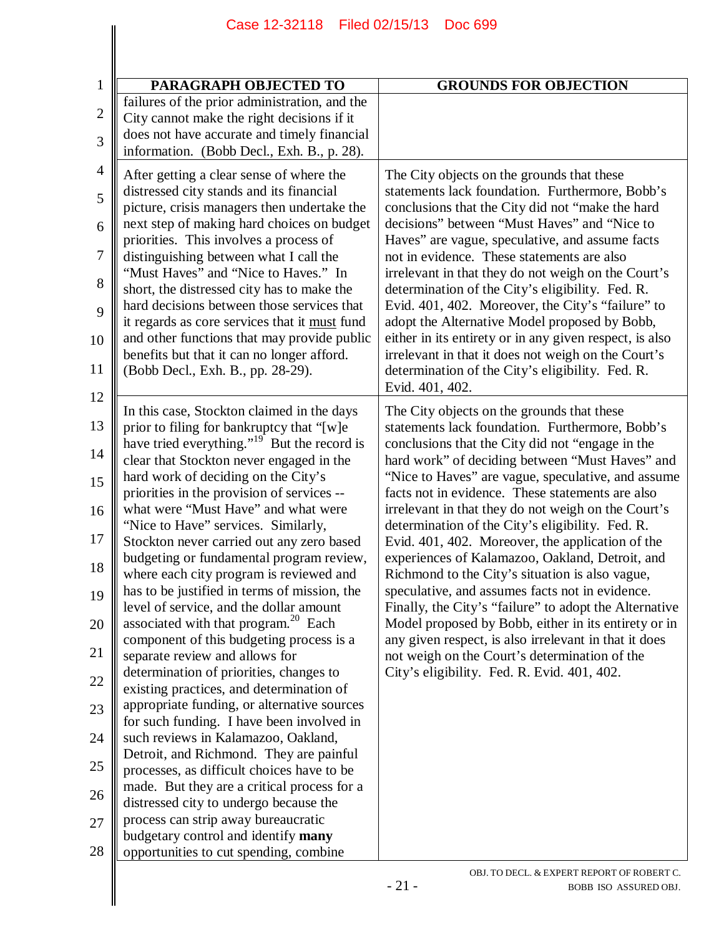| Filed 02/15/13<br>Case 12-32118<br><b>Doc 699</b>                                                                                          |                                                                                                                                                               |  |
|--------------------------------------------------------------------------------------------------------------------------------------------|---------------------------------------------------------------------------------------------------------------------------------------------------------------|--|
|                                                                                                                                            |                                                                                                                                                               |  |
| PARAGRAPH OBJECTED TO                                                                                                                      | <b>GROUNDS FOR OBJECTION</b>                                                                                                                                  |  |
| failures of the prior administration, and the<br>City cannot make the right decisions if it<br>does not have accurate and timely financial |                                                                                                                                                               |  |
| information. (Bobb Decl., Exh. B., p. 28).                                                                                                 |                                                                                                                                                               |  |
| After getting a clear sense of where the<br>distressed city stands and its financial                                                       | The City objects on the grounds that these<br>statements lack foundation. Furthermore, Bobb's                                                                 |  |
| picture, crisis managers then undertake the<br>next step of making hard choices on budget                                                  | conclusions that the City did not "make the hard<br>decisions" between "Must Haves" and "Nice to                                                              |  |
| priorities. This involves a process of<br>distinguishing between what I call the                                                           | Haves" are vague, speculative, and assume facts<br>not in evidence. These statements are also                                                                 |  |
| "Must Haves" and "Nice to Haves." In<br>short, the distressed city has to make the                                                         | irrelevant in that they do not weigh on the Court's<br>determination of the City's eligibility. Fed. R.                                                       |  |
| hard decisions between those services that<br>it regards as core services that it must fund<br>and other functions that may provide public | Evid. 401, 402. Moreover, the City's "failure" to<br>adopt the Alternative Model proposed by Bobb,<br>either in its entirety or in any given respect, is also |  |
| benefits but that it can no longer afford.<br>(Bobb Decl., Exh. B., pp. 28-29).                                                            | irrelevant in that it does not weigh on the Court's<br>determination of the City's eligibility. Fed. R.<br>Evid. 401, 402.                                    |  |
| In this case, Stockton claimed in the days                                                                                                 | The City objects on the grounds that these                                                                                                                    |  |
| prior to filing for bankruptcy that "[w]e<br>have tried everything." <sup>19</sup> But the record is                                       | statements lack foundation. Furthermore, Bobb's<br>conclusions that the City did not "engage in the                                                           |  |
| clear that Stockton never engaged in the<br>hard work of deciding on the City's                                                            | hard work" of deciding between "Must Haves" and<br>"Nice to Haves" are vague, speculative, and assume<br>facts not in evidence. These statements are also     |  |
| priorities in the provision of services --<br>what were "Must Have" and what were<br>"Nice to Have" services. Similarly,                   | irrelevant in that they do not weigh on the Court's<br>determination of the City's eligibility. Fed. R.                                                       |  |
| Stockton never carried out any zero based<br>budgeting or fundamental program review,                                                      | Evid. 401, 402. Moreover, the application of the<br>experiences of Kalamazoo, Oakland, Detroit, and                                                           |  |
| where each city program is reviewed and<br>has to be justified in terms of mission, the                                                    | Richmond to the City's situation is also vague,<br>speculative, and assumes facts not in evidence.                                                            |  |
| level of service, and the dollar amount<br>associated with that program. <sup>20</sup> Each                                                | Finally, the City's "failure" to adopt the Alternative<br>Model proposed by Bobb, either in its entirety or in                                                |  |
| component of this budgeting process is a<br>separate review and allows for                                                                 | any given respect, is also irrelevant in that it does<br>not weigh on the Court's determination of the                                                        |  |
| determination of priorities, changes to<br>existing practices, and determination of                                                        | City's eligibility. Fed. R. Evid. 401, 402.                                                                                                                   |  |
| appropriate funding, or alternative sources<br>for such funding. I have been involved in                                                   |                                                                                                                                                               |  |
| such reviews in Kalamazoo, Oakland,<br>Detroit, and Richmond. They are painful                                                             |                                                                                                                                                               |  |
| processes, as difficult choices have to be<br>made. But they are a critical process for a                                                  |                                                                                                                                                               |  |
| distressed city to undergo because the                                                                                                     |                                                                                                                                                               |  |
| process can strip away bureaucratic<br>budgetary control and identify many<br>opportunities to cut spending, combine                       |                                                                                                                                                               |  |
|                                                                                                                                            | OBJ. TO DECL. & EXPERT REPORT OF ROBERT C.<br>$-21-$<br>BOBB ISO ASSURED OBJ.                                                                                 |  |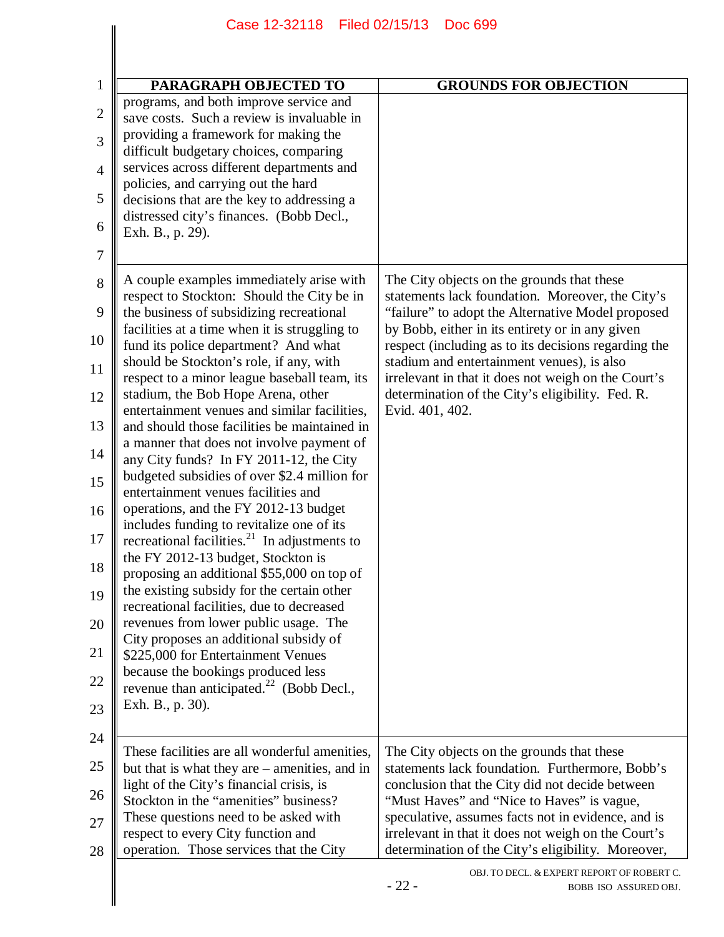|                | Case 12-32118 Filed 02/15/13<br><b>Doc 699</b>                                                        |                                                                                                                                     |  |
|----------------|-------------------------------------------------------------------------------------------------------|-------------------------------------------------------------------------------------------------------------------------------------|--|
|                |                                                                                                       |                                                                                                                                     |  |
| $\mathbf{1}$   | PARAGRAPH OBJECTED TO                                                                                 | <b>GROUNDS FOR OBJECTION</b>                                                                                                        |  |
| $\mathbf{2}$   | programs, and both improve service and<br>save costs. Such a review is invaluable in                  |                                                                                                                                     |  |
| 3              | providing a framework for making the<br>difficult budgetary choices, comparing                        |                                                                                                                                     |  |
| $\overline{4}$ | services across different departments and<br>policies, and carrying out the hard                      |                                                                                                                                     |  |
| 5              | decisions that are the key to addressing a<br>distressed city's finances. (Bobb Decl.,                |                                                                                                                                     |  |
| 6              | Exh. B., p. 29).                                                                                      |                                                                                                                                     |  |
| 7              |                                                                                                       |                                                                                                                                     |  |
| 8              | A couple examples immediately arise with<br>respect to Stockton: Should the City be in                | The City objects on the grounds that these<br>statements lack foundation. Moreover, the City's                                      |  |
| 9              | the business of subsidizing recreational<br>facilities at a time when it is struggling to             | "failure" to adopt the Alternative Model proposed<br>by Bobb, either in its entirety or in any given                                |  |
| 10             | fund its police department? And what<br>should be Stockton's role, if any, with                       | respect (including as to its decisions regarding the<br>stadium and entertainment venues), is also                                  |  |
| 11<br>12       | respect to a minor league baseball team, its<br>stadium, the Bob Hope Arena, other                    | irrelevant in that it does not weigh on the Court's<br>determination of the City's eligibility. Fed. R.                             |  |
| 13             | entertainment venues and similar facilities,<br>and should those facilities be maintained in          | Evid. 401, 402.                                                                                                                     |  |
| 14             | a manner that does not involve payment of                                                             |                                                                                                                                     |  |
| 15             | any City funds? In FY 2011-12, the City<br>budgeted subsidies of over \$2.4 million for               |                                                                                                                                     |  |
| 16             | entertainment venues facilities and<br>operations, and the FY 2012-13 budget                          |                                                                                                                                     |  |
| 17             | includes funding to revitalize one of its<br>recreational facilities. <sup>21</sup> In adjustments to |                                                                                                                                     |  |
| 18             | the FY 2012-13 budget, Stockton is<br>proposing an additional \$55,000 on top of                      |                                                                                                                                     |  |
| 19             | the existing subsidy for the certain other<br>recreational facilities, due to decreased               |                                                                                                                                     |  |
| 20             | revenues from lower public usage. The                                                                 |                                                                                                                                     |  |
| 21             | City proposes an additional subsidy of<br>\$225,000 for Entertainment Venues                          |                                                                                                                                     |  |
| 22             | because the bookings produced less<br>revenue than anticipated. $^{22}$ (Bobb Decl.,                  |                                                                                                                                     |  |
| 23             | Exh. B., p. 30).                                                                                      |                                                                                                                                     |  |
| 24             | These facilities are all wonderful amenities,                                                         | The City objects on the grounds that these                                                                                          |  |
| 25             | but that is what they are $-$ amenities, and in<br>light of the City's financial crisis, is           | statements lack foundation. Furthermore, Bobb's<br>conclusion that the City did not decide between                                  |  |
| 26             | Stockton in the "amenities" business?                                                                 | "Must Haves" and "Nice to Haves" is vague,                                                                                          |  |
| 27             | These questions need to be asked with<br>respect to every City function and                           | speculative, assumes facts not in evidence, and is<br>irrelevant in that it does not weigh on the Court's                           |  |
| 28             | operation. Those services that the City                                                               | determination of the City's eligibility. Moreover,<br>OBJ. TO DECL. & EXPERT REPORT OF ROBERT C.<br>$-22-$<br>BOBB ISO ASSURED OBJ. |  |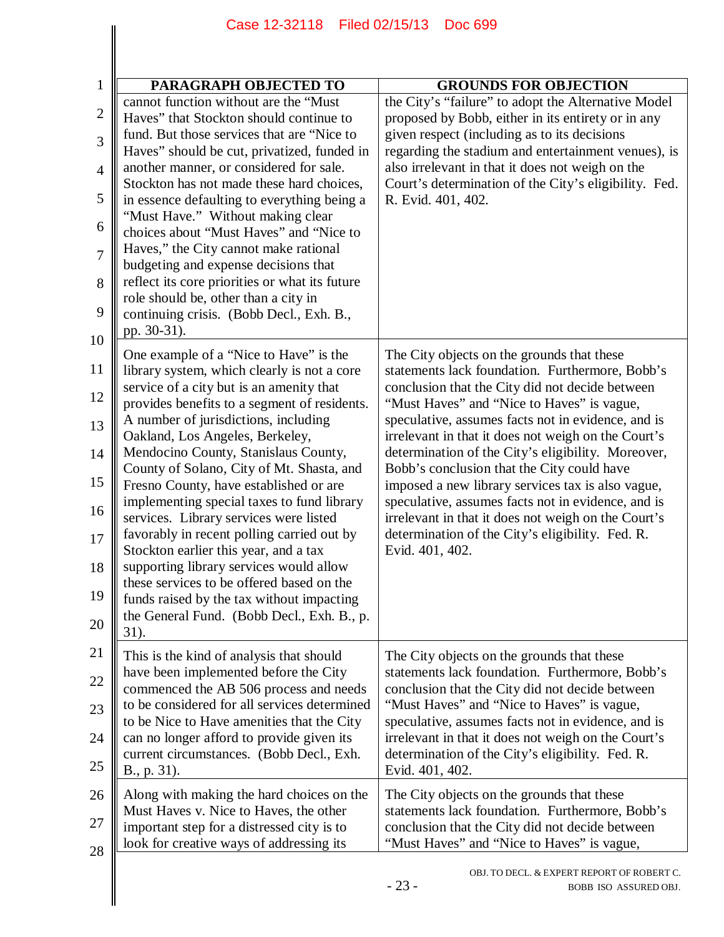| PARAGRAPH OBJECTED TO                                                                  | <b>GROUNDS FOR OBJECTION</b>                          |
|----------------------------------------------------------------------------------------|-------------------------------------------------------|
| cannot function without are the "Must                                                  | the City's "failure" to adopt the Alternative Model   |
| Haves" that Stockton should continue to                                                | proposed by Bobb, either in its entirety or in any    |
| fund. But those services that are "Nice to                                             | given respect (including as to its decisions          |
| Haves" should be cut, privatized, funded in                                            | regarding the stadium and entertainment venues), is   |
| another manner, or considered for sale.                                                | also irrelevant in that it does not weigh on the      |
| Stockton has not made these hard choices,                                              | Court's determination of the City's eligibility. Fed. |
| in essence defaulting to everything being a<br>"Must Have." Without making clear       | R. Evid. 401, 402.                                    |
| choices about "Must Haves" and "Nice to<br>Haves," the City cannot make rational       |                                                       |
| budgeting and expense decisions that<br>reflect its core priorities or what its future |                                                       |
| role should be, other than a city in<br>continuing crisis. (Bobb Decl., Exh. B.,       |                                                       |
| pp. 30-31).                                                                            |                                                       |
| One example of a "Nice to Have" is the                                                 | The City objects on the grounds that these            |
| library system, which clearly is not a core                                            | statements lack foundation. Furthermore, Bobb's       |
| service of a city but is an amenity that                                               | conclusion that the City did not decide between       |
| provides benefits to a segment of residents.                                           | "Must Haves" and "Nice to Haves" is vague,            |
| A number of jurisdictions, including                                                   | speculative, assumes facts not in evidence, and is    |
| Oakland, Los Angeles, Berkeley,                                                        | irrelevant in that it does not weigh on the Court's   |
| Mendocino County, Stanislaus County,                                                   | determination of the City's eligibility. Moreover,    |
| County of Solano, City of Mt. Shasta, and                                              | Bobb's conclusion that the City could have            |
| Fresno County, have established or are                                                 | imposed a new library services tax is also vague,     |
| implementing special taxes to fund library                                             | speculative, assumes facts not in evidence, and is    |
| services. Library services were listed                                                 | irrelevant in that it does not weigh on the Court's   |
| favorably in recent polling carried out by                                             | determination of the City's eligibility. Fed. R.      |
| Stockton earlier this year, and a tax                                                  | Evid. 401, 402.                                       |
| supporting library services would allow                                                |                                                       |
| these services to be offered based on the<br>funds raised by the tax without impacting |                                                       |
| the General Fund. (Bobb Decl., Exh. B., p.<br>31).                                     |                                                       |
| This is the kind of analysis that should                                               | The City objects on the grounds that these            |
| have been implemented before the City                                                  | statements lack foundation. Furthermore, Bobb's       |
| commenced the AB 506 process and needs                                                 | conclusion that the City did not decide between       |
| to be considered for all services determined                                           | "Must Haves" and "Nice to Haves" is vague,            |
| to be Nice to Have amenities that the City                                             | speculative, assumes facts not in evidence, and is    |
| can no longer afford to provide given its                                              | irrelevant in that it does not weigh on the Court's   |
| current circumstances. (Bobb Decl., Exh.                                               | determination of the City's eligibility. Fed. R.      |
| B., p. 31).                                                                            | Evid. 401, 402.                                       |
| Along with making the hard choices on the                                              | The City objects on the grounds that these            |
| Must Haves v. Nice to Haves, the other                                                 | statements lack foundation. Furthermore, Bobb's       |
| important step for a distressed city is to                                             | conclusion that the City did not decide between       |
| look for creative ways of addressing its                                               | "Must Haves" and "Nice to Haves" is vague,            |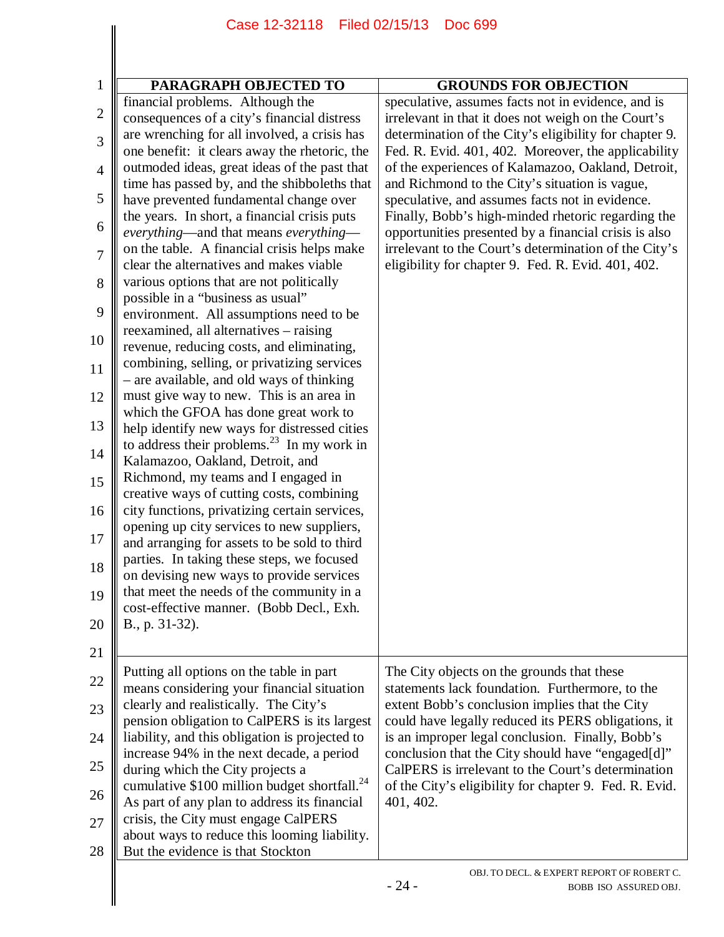|                | Case 12-32118                                                                                            | Filed 02/15/13<br><b>Doc 699</b>                                                                              |  |
|----------------|----------------------------------------------------------------------------------------------------------|---------------------------------------------------------------------------------------------------------------|--|
|                |                                                                                                          |                                                                                                               |  |
| $\mathbf{1}$   | PARAGRAPH OBJECTED TO                                                                                    | <b>GROUNDS FOR OBJECTION</b>                                                                                  |  |
| $\mathbf{2}$   | financial problems. Although the                                                                         | speculative, assumes facts not in evidence, and is                                                            |  |
|                | consequences of a city's financial distress<br>are wrenching for all involved, a crisis has              | irrelevant in that it does not weigh on the Court's<br>determination of the City's eligibility for chapter 9. |  |
| 3              | one benefit: it clears away the rhetoric, the                                                            | Fed. R. Evid. 401, 402. Moreover, the applicability                                                           |  |
| $\overline{4}$ | outmoded ideas, great ideas of the past that<br>time has passed by, and the shibboleths that             | of the experiences of Kalamazoo, Oakland, Detroit,<br>and Richmond to the City's situation is vague,          |  |
| 5              | have prevented fundamental change over                                                                   | speculative, and assumes facts not in evidence.                                                               |  |
| 6              | the years. In short, a financial crisis puts                                                             | Finally, Bobb's high-minded rhetoric regarding the                                                            |  |
|                | everything—and that means everything—                                                                    | opportunities presented by a financial crisis is also                                                         |  |
| $\overline{7}$ | on the table. A financial crisis helps make<br>clear the alternatives and makes viable                   | irrelevant to the Court's determination of the City's<br>eligibility for chapter 9. Fed. R. Evid. 401, 402.   |  |
| 8              | various options that are not politically                                                                 |                                                                                                               |  |
|                | possible in a "business as usual"                                                                        |                                                                                                               |  |
| 9              | environment. All assumptions need to be                                                                  |                                                                                                               |  |
| 10             | reexamined, all alternatives – raising                                                                   |                                                                                                               |  |
|                | revenue, reducing costs, and eliminating,<br>combining, selling, or privatizing services                 |                                                                                                               |  |
| 11             | - are available, and old ways of thinking                                                                |                                                                                                               |  |
| 12             | must give way to new. This is an area in                                                                 |                                                                                                               |  |
|                | which the GFOA has done great work to                                                                    |                                                                                                               |  |
| 13             | help identify new ways for distressed cities<br>to address their problems. $^{23}$ In my work in         |                                                                                                               |  |
| 14             | Kalamazoo, Oakland, Detroit, and                                                                         |                                                                                                               |  |
| 15             | Richmond, my teams and I engaged in                                                                      |                                                                                                               |  |
|                | creative ways of cutting costs, combining                                                                |                                                                                                               |  |
| 16             | city functions, privatizing certain services,                                                            |                                                                                                               |  |
| 17             | opening up city services to new suppliers,<br>and arranging for assets to be sold to third               |                                                                                                               |  |
|                | parties. In taking these steps, we focused                                                               |                                                                                                               |  |
| 18             | on devising new ways to provide services                                                                 |                                                                                                               |  |
| 19             | that meet the needs of the community in a                                                                |                                                                                                               |  |
|                | cost-effective manner. (Bobb Decl., Exh.                                                                 |                                                                                                               |  |
| 20             | B., p. 31-32).                                                                                           |                                                                                                               |  |
| 21             |                                                                                                          |                                                                                                               |  |
| 22             | Putting all options on the table in part                                                                 | The City objects on the grounds that these                                                                    |  |
|                | means considering your financial situation<br>clearly and realistically. The City's                      | statements lack foundation. Furthermore, to the<br>extent Bobb's conclusion implies that the City             |  |
| 23             | pension obligation to CalPERS is its largest                                                             | could have legally reduced its PERS obligations, it                                                           |  |
| 24             | liability, and this obligation is projected to                                                           | is an improper legal conclusion. Finally, Bobb's                                                              |  |
|                | increase 94% in the next decade, a period                                                                | conclusion that the City should have "engaged[d]"                                                             |  |
| 25             | during which the City projects a                                                                         | CalPERS is irrelevant to the Court's determination                                                            |  |
| 26             | cumulative \$100 million budget shortfall. <sup>24</sup><br>As part of any plan to address its financial | of the City's eligibility for chapter 9. Fed. R. Evid.<br>401, 402.                                           |  |
| 27             | crisis, the City must engage CalPERS                                                                     |                                                                                                               |  |
|                | about ways to reduce this looming liability.                                                             |                                                                                                               |  |
| 28             | But the evidence is that Stockton                                                                        |                                                                                                               |  |
|                |                                                                                                          | OBJ. TO DECL. & EXPERT REPORT OF ROBERT C.                                                                    |  |
|                |                                                                                                          | $-24-$<br>BOBB ISO ASSURED OBJ.                                                                               |  |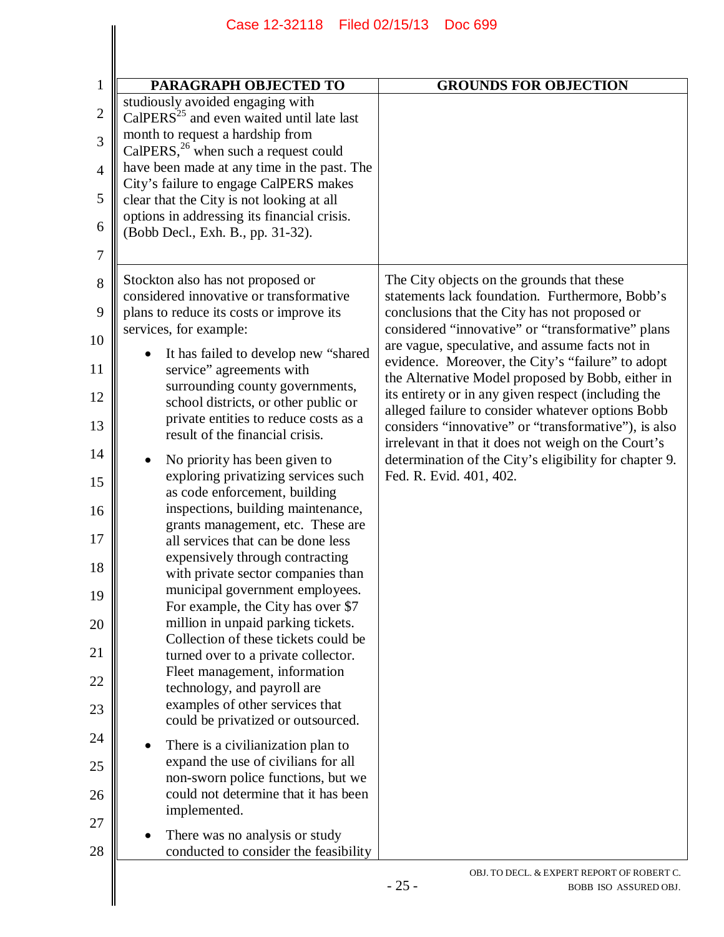| <b>PARAGRAPH OBJECTED TO</b>                                                        | <b>GROUNDS FOR OBJECTION</b>                                                                                  |
|-------------------------------------------------------------------------------------|---------------------------------------------------------------------------------------------------------------|
| studiously avoided engaging with<br>$CalPERS25$ and even waited until late last     |                                                                                                               |
| month to request a hardship from<br>CalPERS, $^{26}$ when such a request could      |                                                                                                               |
| have been made at any time in the past. The                                         |                                                                                                               |
| City's failure to engage CalPERS makes<br>clear that the City is not looking at all |                                                                                                               |
| options in addressing its financial crisis.<br>(Bobb Decl., Exh. B., pp. 31-32).    |                                                                                                               |
|                                                                                     |                                                                                                               |
| Stockton also has not proposed or<br>considered innovative or transformative        | The City objects on the grounds that these<br>statements lack foundation. Furthermore, Bobb's                 |
| plans to reduce its costs or improve its<br>services, for example:                  | conclusions that the City has not proposed or<br>considered "innovative" or "transformative" plans            |
| It has failed to develop new "shared"                                               | are vague, speculative, and assume facts not in<br>evidence. Moreover, the City's "failure" to adopt          |
| service" agreements with<br>surrounding county governments,                         | the Alternative Model proposed by Bobb, either in<br>its entirety or in any given respect (including the      |
| school districts, or other public or<br>private entities to reduce costs as a       | alleged failure to consider whatever options Bobb<br>considers "innovative" or "transformative"), is also     |
| result of the financial crisis.<br>No priority has been given to                    | irrelevant in that it does not weigh on the Court's<br>determination of the City's eligibility for chapter 9. |
| exploring privatizing services such<br>as code enforcement, building                | Fed. R. Evid. 401, 402.                                                                                       |
| inspections, building maintenance,<br>grants management, etc. These are             |                                                                                                               |
| all services that can be done less                                                  |                                                                                                               |
| expensively through contracting<br>with private sector companies than               |                                                                                                               |
| municipal government employees.<br>For example, the City has over \$7               |                                                                                                               |
| million in unpaid parking tickets.<br>Collection of these tickets could be          |                                                                                                               |
| turned over to a private collector.<br>Fleet management, information                |                                                                                                               |
| technology, and payroll are<br>examples of other services that                      |                                                                                                               |
| could be privatized or outsourced.                                                  |                                                                                                               |
| There is a civilianization plan to<br>expand the use of civilians for all           |                                                                                                               |
| non-sworn police functions, but we<br>could not determine that it has been          |                                                                                                               |
| implemented.                                                                        |                                                                                                               |
| There was no analysis or study<br>conducted to consider the feasibility             |                                                                                                               |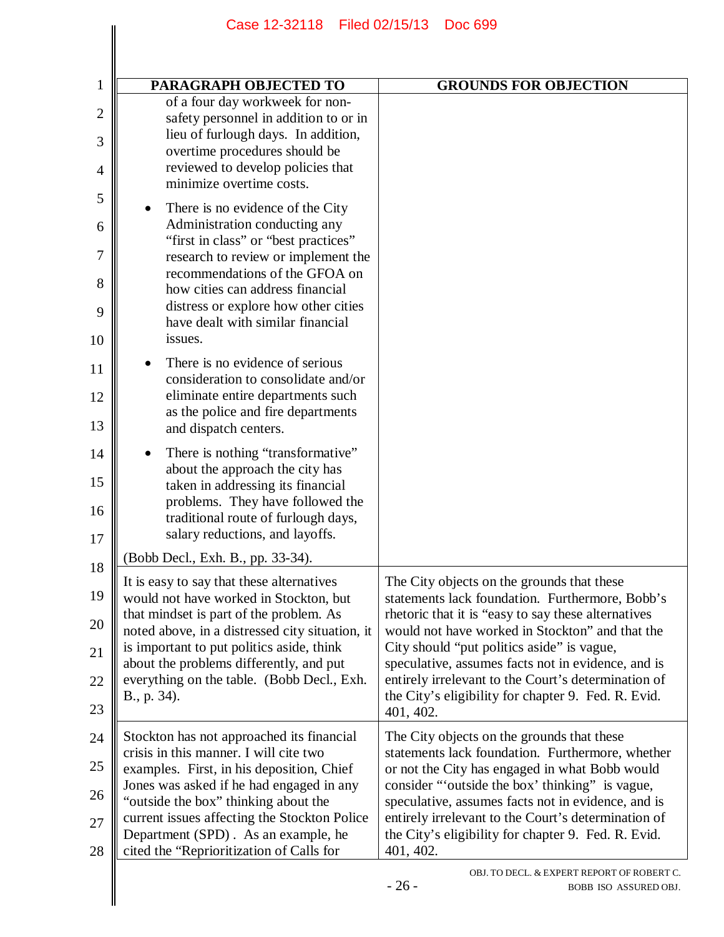|                | Case 12-32118 Filed 02/15/13                                                          | Doc 699                                                                                          |  |
|----------------|---------------------------------------------------------------------------------------|--------------------------------------------------------------------------------------------------|--|
|                |                                                                                       |                                                                                                  |  |
| 1              | PARAGRAPH OBJECTED TO                                                                 | <b>GROUNDS FOR OBJECTION</b>                                                                     |  |
| $\overline{2}$ | of a four day workweek for non-                                                       |                                                                                                  |  |
|                | safety personnel in addition to or in<br>lieu of furlough days. In addition,          |                                                                                                  |  |
| 3              | overtime procedures should be                                                         |                                                                                                  |  |
| 4              | reviewed to develop policies that<br>minimize overtime costs.                         |                                                                                                  |  |
| 5              | There is no evidence of the City<br>$\bullet$                                         |                                                                                                  |  |
| 6              | Administration conducting any                                                         |                                                                                                  |  |
|                | "first in class" or "best practices"                                                  |                                                                                                  |  |
| 7              | research to review or implement the<br>recommendations of the GFOA on                 |                                                                                                  |  |
| 8              | how cities can address financial                                                      |                                                                                                  |  |
| 9              | distress or explore how other cities<br>have dealt with similar financial             |                                                                                                  |  |
| 10             | issues.                                                                               |                                                                                                  |  |
| 11             | There is no evidence of serious<br>$\bullet$                                          |                                                                                                  |  |
|                | consideration to consolidate and/or                                                   |                                                                                                  |  |
| 12             | eliminate entire departments such<br>as the police and fire departments               |                                                                                                  |  |
| 13             | and dispatch centers.                                                                 |                                                                                                  |  |
| 14             | There is nothing "transformative"<br>٠                                                |                                                                                                  |  |
| 15             | about the approach the city has                                                       |                                                                                                  |  |
|                | taken in addressing its financial<br>problems. They have followed the                 |                                                                                                  |  |
| 16             | traditional route of furlough days,                                                   |                                                                                                  |  |
| 17             | salary reductions, and layoffs.                                                       |                                                                                                  |  |
| 18             | (Bobb Decl., Exh. B., pp. 33-34).                                                     |                                                                                                  |  |
| 19             | It is easy to say that these alternatives<br>would not have worked in Stockton, but   | The City objects on the grounds that these<br>statements lack foundation. Furthermore, Bobb's    |  |
|                | that mindset is part of the problem. As                                               | rhetoric that it is "easy to say these alternatives"                                             |  |
| 20             | noted above, in a distressed city situation, it                                       | would not have worked in Stockton" and that the                                                  |  |
| 21             | is important to put politics aside, think<br>about the problems differently, and put  | City should "put politics aside" is vague,<br>speculative, assumes facts not in evidence, and is |  |
| 22             | everything on the table. (Bobb Decl., Exh.                                            | entirely irrelevant to the Court's determination of                                              |  |
| 23             | B., p. 34).                                                                           | the City's eligibility for chapter 9. Fed. R. Evid.<br>401, 402.                                 |  |
| 24             | Stockton has not approached its financial                                             | The City objects on the grounds that these                                                       |  |
|                | crisis in this manner. I will cite two                                                | statements lack foundation. Furthermore, whether                                                 |  |
| 25             | examples. First, in his deposition, Chief<br>Jones was asked if he had engaged in any | or not the City has engaged in what Bobb would<br>consider "outside the box' thinking" is vague, |  |
| 26             | "outside the box" thinking about the                                                  | speculative, assumes facts not in evidence, and is                                               |  |
| 27             | current issues affecting the Stockton Police                                          | entirely irrelevant to the Court's determination of                                              |  |
| 28             | Department (SPD). As an example, he<br>cited the "Reprioritization of Calls for       | the City's eligibility for chapter 9. Fed. R. Evid.<br>401, 402.                                 |  |
|                |                                                                                       | OBJ. TO DECL. & EXPERT REPORT OF ROBERT C.<br>$-26-$<br>BOBB ISO ASSURED OBJ.                    |  |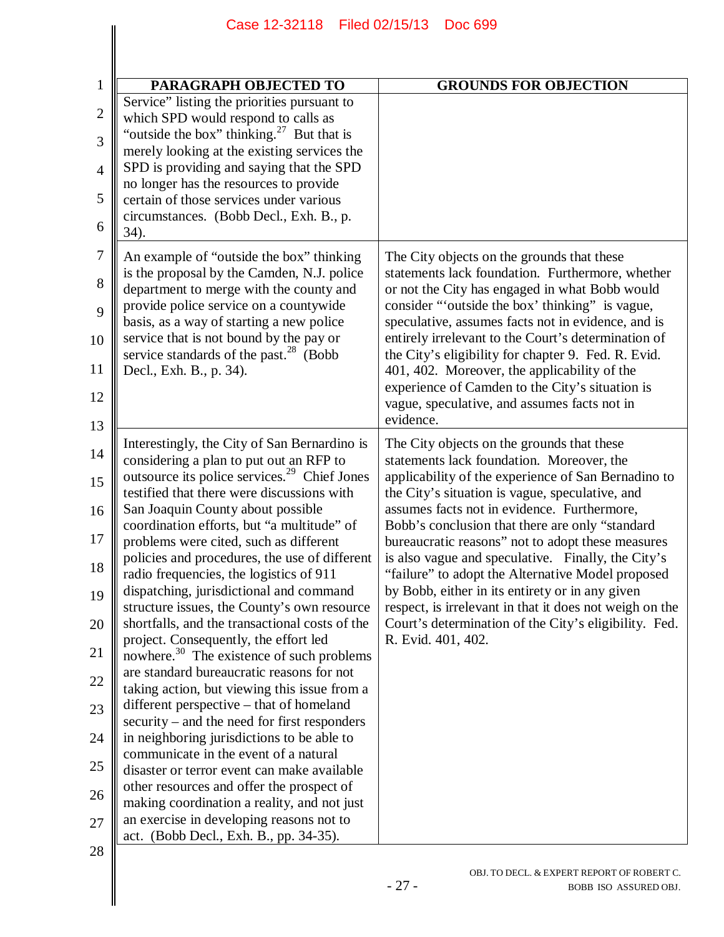| PARAGRAPH OBJECTED TO                                                                                                                                                                                                                                                                                                                                                                                                                                                                                                                                                                                                                                                                                                                                                                                                                                                                                                                                                                                                                                                                                                                                                                     | <b>GROUNDS FOR OBJECTION</b>                                                                                                                                                                                                                                                                                                                                                                                                                                                                                                                                                                                                                                     |
|-------------------------------------------------------------------------------------------------------------------------------------------------------------------------------------------------------------------------------------------------------------------------------------------------------------------------------------------------------------------------------------------------------------------------------------------------------------------------------------------------------------------------------------------------------------------------------------------------------------------------------------------------------------------------------------------------------------------------------------------------------------------------------------------------------------------------------------------------------------------------------------------------------------------------------------------------------------------------------------------------------------------------------------------------------------------------------------------------------------------------------------------------------------------------------------------|------------------------------------------------------------------------------------------------------------------------------------------------------------------------------------------------------------------------------------------------------------------------------------------------------------------------------------------------------------------------------------------------------------------------------------------------------------------------------------------------------------------------------------------------------------------------------------------------------------------------------------------------------------------|
| Service" listing the priorities pursuant to<br>which SPD would respond to calls as<br>"outside the box" thinking. $27$ But that is<br>merely looking at the existing services the<br>SPD is providing and saying that the SPD<br>no longer has the resources to provide<br>certain of those services under various<br>circumstances. (Bobb Decl., Exh. B., p.<br>34).                                                                                                                                                                                                                                                                                                                                                                                                                                                                                                                                                                                                                                                                                                                                                                                                                     |                                                                                                                                                                                                                                                                                                                                                                                                                                                                                                                                                                                                                                                                  |
| An example of "outside the box" thinking<br>is the proposal by the Camden, N.J. police<br>department to merge with the county and<br>provide police service on a countywide<br>basis, as a way of starting a new police<br>service that is not bound by the pay or<br>service standards of the past. <sup>28</sup> (Bobb<br>Decl., Exh. B., p. 34).                                                                                                                                                                                                                                                                                                                                                                                                                                                                                                                                                                                                                                                                                                                                                                                                                                       | The City objects on the grounds that these<br>statements lack foundation. Furthermore, whether<br>or not the City has engaged in what Bobb would<br>consider "outside the box' thinking" is vague,<br>speculative, assumes facts not in evidence, and is<br>entirely irrelevant to the Court's determination of<br>the City's eligibility for chapter 9. Fed. R. Evid.<br>401, 402. Moreover, the applicability of the<br>experience of Camden to the City's situation is<br>vague, speculative, and assumes facts not in<br>evidence.                                                                                                                           |
| Interestingly, the City of San Bernardino is<br>considering a plan to put out an RFP to<br>outsource its police services. <sup>29</sup> Chief Jones<br>testified that there were discussions with<br>San Joaquin County about possible<br>coordination efforts, but "a multitude" of<br>problems were cited, such as different<br>policies and procedures, the use of different<br>radio frequencies, the logistics of 911<br>dispatching, jurisdictional and command<br>structure issues, the County's own resource<br>shortfalls, and the transactional costs of the<br>project. Consequently, the effort led<br>nowhere. <sup>30</sup> The existence of such problems<br>are standard bureaucratic reasons for not<br>taking action, but viewing this issue from a<br>different perspective – that of homeland<br>security – and the need for first responders<br>in neighboring jurisdictions to be able to<br>communicate in the event of a natural<br>disaster or terror event can make available<br>other resources and offer the prospect of<br>making coordination a reality, and not just<br>an exercise in developing reasons not to<br>act. (Bobb Decl., Exh. B., pp. 34-35). | The City objects on the grounds that these<br>statements lack foundation. Moreover, the<br>applicability of the experience of San Bernadino to<br>the City's situation is vague, speculative, and<br>assumes facts not in evidence. Furthermore,<br>Bobb's conclusion that there are only "standard<br>bureaucratic reasons" not to adopt these measures<br>is also vague and speculative. Finally, the City's<br>"failure" to adopt the Alternative Model proposed<br>by Bobb, either in its entirety or in any given<br>respect, is irrelevant in that it does not weigh on the<br>Court's determination of the City's eligibility. Fed.<br>R. Evid. 401, 402. |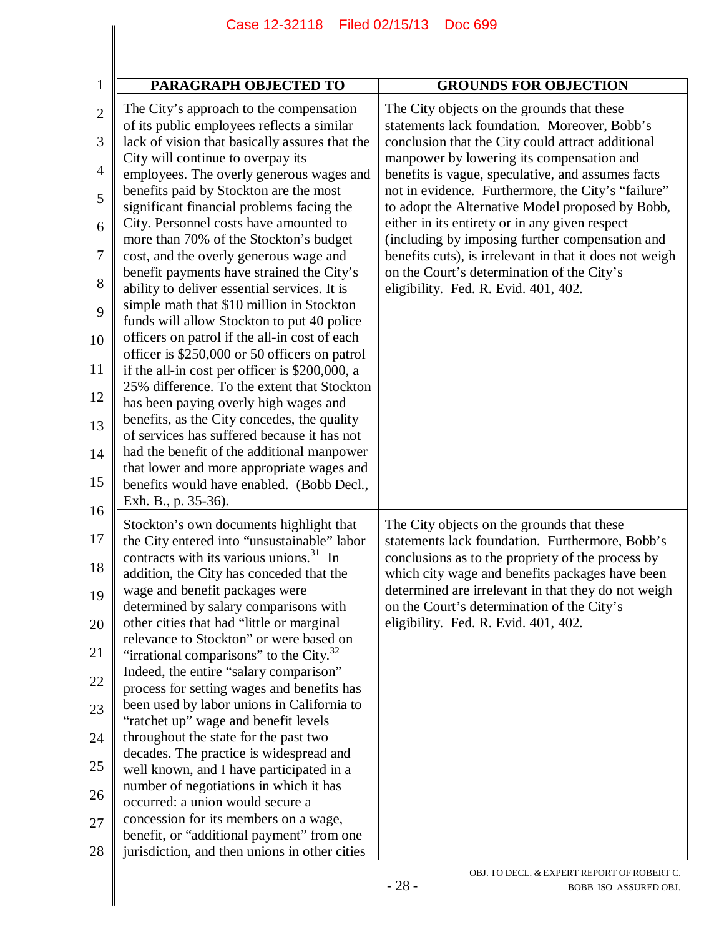|                                                                                                                                | Case 12-32118                                                                                                                                                                                                                                                                                                                                                                                                                                                                                                                                                                                                                                                                                                                                                                                                                                                                                                                                                                                                                                                                                                                                                           | Filed 02/15/13<br><b>Doc 699</b>                                                                                                                                                                                                                                                                                                                                                                                                                                                                                                                                                                                                                  |  |
|--------------------------------------------------------------------------------------------------------------------------------|-------------------------------------------------------------------------------------------------------------------------------------------------------------------------------------------------------------------------------------------------------------------------------------------------------------------------------------------------------------------------------------------------------------------------------------------------------------------------------------------------------------------------------------------------------------------------------------------------------------------------------------------------------------------------------------------------------------------------------------------------------------------------------------------------------------------------------------------------------------------------------------------------------------------------------------------------------------------------------------------------------------------------------------------------------------------------------------------------------------------------------------------------------------------------|---------------------------------------------------------------------------------------------------------------------------------------------------------------------------------------------------------------------------------------------------------------------------------------------------------------------------------------------------------------------------------------------------------------------------------------------------------------------------------------------------------------------------------------------------------------------------------------------------------------------------------------------------|--|
|                                                                                                                                |                                                                                                                                                                                                                                                                                                                                                                                                                                                                                                                                                                                                                                                                                                                                                                                                                                                                                                                                                                                                                                                                                                                                                                         |                                                                                                                                                                                                                                                                                                                                                                                                                                                                                                                                                                                                                                                   |  |
|                                                                                                                                |                                                                                                                                                                                                                                                                                                                                                                                                                                                                                                                                                                                                                                                                                                                                                                                                                                                                                                                                                                                                                                                                                                                                                                         |                                                                                                                                                                                                                                                                                                                                                                                                                                                                                                                                                                                                                                                   |  |
| $\mathbf 1$<br>$\overline{2}$<br>3<br>$\overline{4}$<br>5<br>6<br>$\overline{7}$<br>8<br>9<br>10<br>11<br>12<br>13<br>14<br>15 | PARAGRAPH OBJECTED TO<br>The City's approach to the compensation<br>of its public employees reflects a similar<br>lack of vision that basically assures that the<br>City will continue to overpay its<br>employees. The overly generous wages and<br>benefits paid by Stockton are the most<br>significant financial problems facing the<br>City. Personnel costs have amounted to<br>more than 70% of the Stockton's budget<br>cost, and the overly generous wage and<br>benefit payments have strained the City's<br>ability to deliver essential services. It is<br>simple math that \$10 million in Stockton<br>funds will allow Stockton to put 40 police<br>officers on patrol if the all-in cost of each<br>officer is \$250,000 or 50 officers on patrol<br>if the all-in cost per officer is \$200,000, a<br>25% difference. To the extent that Stockton<br>has been paying overly high wages and<br>benefits, as the City concedes, the quality<br>of services has suffered because it has not<br>had the benefit of the additional manpower<br>that lower and more appropriate wages and<br>benefits would have enabled. (Bobb Decl.,<br>Exh. B., p. 35-36). | <b>GROUNDS FOR OBJECTION</b><br>The City objects on the grounds that these<br>statements lack foundation. Moreover, Bobb's<br>conclusion that the City could attract additional<br>manpower by lowering its compensation and<br>benefits is vague, speculative, and assumes facts<br>not in evidence. Furthermore, the City's "failure"<br>to adopt the Alternative Model proposed by Bobb,<br>either in its entirety or in any given respect<br>(including by imposing further compensation and<br>benefits cuts), is irrelevant in that it does not weigh<br>on the Court's determination of the City's<br>eligibility. Fed. R. Evid. 401, 402. |  |
| 16<br>17<br>18<br>19<br>20<br>21<br>22<br>23<br>24<br>25<br>26<br>27<br>28                                                     | Stockton's own documents highlight that<br>the City entered into "unsustainable" labor<br>contracts with its various unions. <sup>31</sup> In<br>addition, the City has conceded that the<br>wage and benefit packages were<br>determined by salary comparisons with<br>other cities that had "little or marginal<br>relevance to Stockton" or were based on<br>"irrational comparisons" to the City. <sup>32</sup><br>Indeed, the entire "salary comparison"<br>process for setting wages and benefits has<br>been used by labor unions in California to<br>"ratchet up" wage and benefit levels<br>throughout the state for the past two<br>decades. The practice is widespread and<br>well known, and I have participated in a<br>number of negotiations in which it has<br>occurred: a union would secure a<br>concession for its members on a wage,<br>benefit, or "additional payment" from one<br>jurisdiction, and then unions in other cities                                                                                                                                                                                                                  | The City objects on the grounds that these<br>statements lack foundation. Furthermore, Bobb's<br>conclusions as to the propriety of the process by<br>which city wage and benefits packages have been<br>determined are irrelevant in that they do not weigh<br>on the Court's determination of the City's<br>eligibility. Fed. R. Evid. 401, 402.                                                                                                                                                                                                                                                                                                |  |
|                                                                                                                                |                                                                                                                                                                                                                                                                                                                                                                                                                                                                                                                                                                                                                                                                                                                                                                                                                                                                                                                                                                                                                                                                                                                                                                         | OBJ. TO DECL. & EXPERT REPORT OF ROBERT C.<br>$-28-$<br>BOBB ISO ASSURED OBJ.                                                                                                                                                                                                                                                                                                                                                                                                                                                                                                                                                                     |  |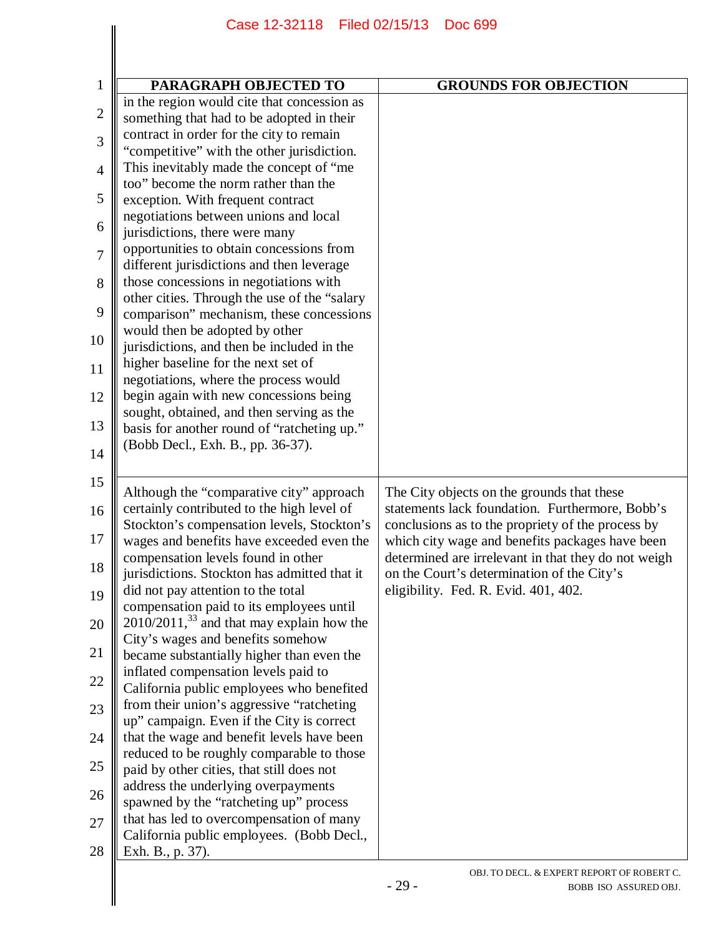|                | Case 12-32118 Filed 02/15/13                                                             | <b>Doc 699</b>                                                                                       |  |
|----------------|------------------------------------------------------------------------------------------|------------------------------------------------------------------------------------------------------|--|
|                |                                                                                          |                                                                                                      |  |
|                |                                                                                          |                                                                                                      |  |
| 1              | PARAGRAPH OBJECTED TO                                                                    | <b>GROUNDS FOR OBJECTION</b>                                                                         |  |
| $\mathbf{2}$   | in the region would cite that concession as                                              |                                                                                                      |  |
|                | something that had to be adopted in their<br>contract in order for the city to remain    |                                                                                                      |  |
| 3              | "competitive" with the other jurisdiction.                                               |                                                                                                      |  |
| $\overline{4}$ | This inevitably made the concept of "me                                                  |                                                                                                      |  |
| 5              | too" become the norm rather than the<br>exception. With frequent contract                |                                                                                                      |  |
|                | negotiations between unions and local                                                    |                                                                                                      |  |
| 6              | jurisdictions, there were many                                                           |                                                                                                      |  |
| 7              | opportunities to obtain concessions from<br>different jurisdictions and then leverage    |                                                                                                      |  |
| 8              | those concessions in negotiations with                                                   |                                                                                                      |  |
| 9              | other cities. Through the use of the "salary<br>comparison" mechanism, these concessions |                                                                                                      |  |
| 10             | would then be adopted by other                                                           |                                                                                                      |  |
|                | jurisdictions, and then be included in the                                               |                                                                                                      |  |
| 11             | higher baseline for the next set of<br>negotiations, where the process would             |                                                                                                      |  |
| 12             | begin again with new concessions being                                                   |                                                                                                      |  |
| 13             | sought, obtained, and then serving as the<br>basis for another round of "ratcheting up." |                                                                                                      |  |
|                | (Bobb Decl., Exh. B., pp. 36-37).                                                        |                                                                                                      |  |
| 14             |                                                                                          |                                                                                                      |  |
| 15             | Although the "comparative city" approach                                                 | The City objects on the grounds that these                                                           |  |
| 16             | certainly contributed to the high level of                                               | statements lack foundation. Furthermore, Bobb's                                                      |  |
| 17             | Stockton's compensation levels, Stockton's<br>wages and benefits have exceeded even the  | conclusions as to the propriety of the process by<br>which city wage and benefits packages have been |  |
|                | compensation levels found in other                                                       | determined are irrelevant in that they do not weigh                                                  |  |
| 18             | jurisdictions. Stockton has admitted that it                                             | on the Court's determination of the City's                                                           |  |
| 19             | did not pay attention to the total<br>compensation paid to its employees until           | eligibility. Fed. R. Evid. 401, 402.                                                                 |  |
| 20             | $2010/2011$ , <sup>33</sup> and that may explain how the                                 |                                                                                                      |  |
| 21             | City's wages and benefits somehow<br>became substantially higher than even the           |                                                                                                      |  |
|                | inflated compensation levels paid to                                                     |                                                                                                      |  |
| 22             | California public employees who benefited                                                |                                                                                                      |  |
| 23             | from their union's aggressive "ratcheting<br>up" campaign. Even if the City is correct   |                                                                                                      |  |
| 24             | that the wage and benefit levels have been                                               |                                                                                                      |  |
| 25             | reduced to be roughly comparable to those                                                |                                                                                                      |  |
|                | paid by other cities, that still does not<br>address the underlying overpayments         |                                                                                                      |  |
| 26             | spawned by the "ratcheting up" process                                                   |                                                                                                      |  |
| 27             | that has led to overcompensation of many                                                 |                                                                                                      |  |
| 28             | California public employees. (Bobb Decl.,<br>Exh. B., p. 37).                            |                                                                                                      |  |
|                |                                                                                          | OBJ. TO DECL. & EXPERT REPORT OF ROBERT C.<br>$-29-$<br>BOBB ISO ASSURED OBJ.                        |  |
|                |                                                                                          |                                                                                                      |  |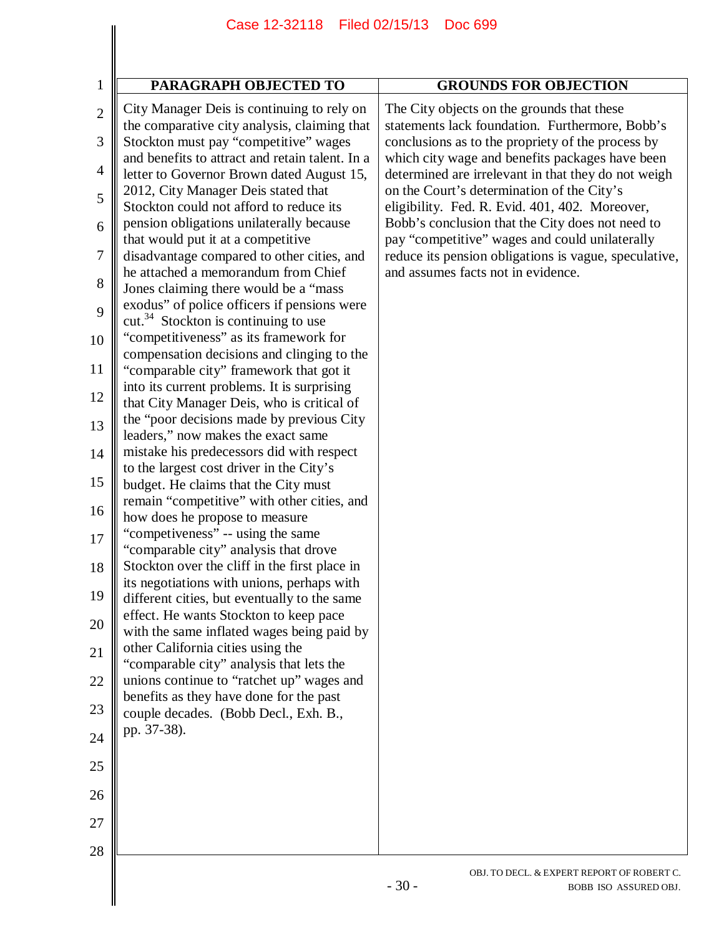|                | Case 12-32118 Filed 02/15/13                                                                 | Doc 699                                                                                                |
|----------------|----------------------------------------------------------------------------------------------|--------------------------------------------------------------------------------------------------------|
|                |                                                                                              |                                                                                                        |
|                |                                                                                              |                                                                                                        |
| $\mathbf{1}$   | PARAGRAPH OBJECTED TO                                                                        | <b>GROUNDS FOR OBJECTION</b>                                                                           |
| $\overline{2}$ | City Manager Deis is continuing to rely on<br>the comparative city analysis, claiming that   | The City objects on the grounds that these<br>statements lack foundation. Furthermore, Bobb's          |
| 3              | Stockton must pay "competitive" wages                                                        | conclusions as to the propriety of the process by                                                      |
| 4              | and benefits to attract and retain talent. In a<br>letter to Governor Brown dated August 15, | which city wage and benefits packages have been<br>determined are irrelevant in that they do not weigh |
| 5              | 2012, City Manager Deis stated that<br>Stockton could not afford to reduce its               | on the Court's determination of the City's<br>eligibility. Fed. R. Evid. 401, 402. Moreover,           |
| 6              | pension obligations unilaterally because<br>that would put it at a competitive               | Bobb's conclusion that the City does not need to<br>pay "competitive" wages and could unilaterally     |
| 7              | disadvantage compared to other cities, and                                                   | reduce its pension obligations is vague, speculative,                                                  |
| 8              | he attached a memorandum from Chief                                                          | and assumes facts not in evidence.                                                                     |
| 9              | Jones claiming there would be a "mass"<br>exodus" of police officers if pensions were        |                                                                                                        |
|                | $cut.^{34}$ Stockton is continuing to use<br>"competitiveness" as its framework for          |                                                                                                        |
| 10             | compensation decisions and clinging to the                                                   |                                                                                                        |
| 11             | "comparable city" framework that got it<br>into its current problems. It is surprising       |                                                                                                        |
| 12             | that City Manager Deis, who is critical of                                                   |                                                                                                        |
| 13             | the "poor decisions made by previous City"<br>leaders," now makes the exact same             |                                                                                                        |
| 14             | mistake his predecessors did with respect                                                    |                                                                                                        |
| 15             | to the largest cost driver in the City's<br>budget. He claims that the City must             |                                                                                                        |
| 16             | remain "competitive" with other cities, and                                                  |                                                                                                        |
| 17             | how does he propose to measure<br>"competiveness" -- using the same                          |                                                                                                        |
| 18             | "comparable city" analysis that drove<br>Stockton over the cliff in the first place in       |                                                                                                        |
| 19             | its negotiations with unions, perhaps with                                                   |                                                                                                        |
| 20             | different cities, but eventually to the same<br>effect. He wants Stockton to keep pace       |                                                                                                        |
| 21             | with the same inflated wages being paid by<br>other California cities using the              |                                                                                                        |
| 22             | "comparable city" analysis that lets the<br>unions continue to "ratchet up" wages and        |                                                                                                        |
| 23             | benefits as they have done for the past                                                      |                                                                                                        |
| 24             | couple decades. (Bobb Decl., Exh. B.,<br>pp. 37-38).                                         |                                                                                                        |
| 25             |                                                                                              |                                                                                                        |
| 26             |                                                                                              |                                                                                                        |
| 27             |                                                                                              |                                                                                                        |
| 28             |                                                                                              |                                                                                                        |
|                |                                                                                              | OBJ. TO DECL. & EXPERT REPORT OF ROBERT C.<br>$-30-$<br>BOBB ISO ASSURED OBJ.                          |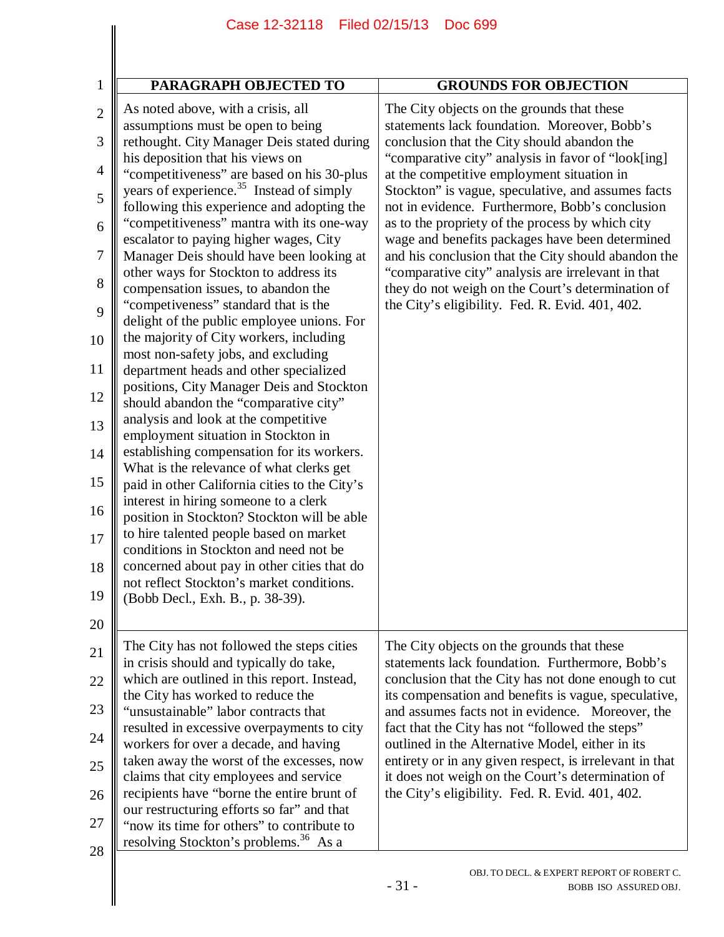|                | Filed 02/15/13<br>Case 12-32118<br><b>Doc 699</b>                                                  |                                                                                                              |  |
|----------------|----------------------------------------------------------------------------------------------------|--------------------------------------------------------------------------------------------------------------|--|
|                |                                                                                                    |                                                                                                              |  |
|                |                                                                                                    |                                                                                                              |  |
| 1              | PARAGRAPH OBJECTED TO                                                                              | <b>GROUNDS FOR OBJECTION</b>                                                                                 |  |
| $\overline{2}$ | As noted above, with a crisis, all<br>assumptions must be open to being                            | The City objects on the grounds that these<br>statements lack foundation. Moreover, Bobb's                   |  |
| 3              | rethought. City Manager Deis stated during                                                         | conclusion that the City should abandon the                                                                  |  |
| $\overline{4}$ | his deposition that his views on<br>"competitiveness" are based on his 30-plus                     | "comparative city" analysis in favor of "look[ing]<br>at the competitive employment situation in             |  |
| 5              | years of experience. <sup>35</sup> Instead of simply<br>following this experience and adopting the | Stockton" is vague, speculative, and assumes facts<br>not in evidence. Furthermore, Bobb's conclusion        |  |
| 6              | "competitiveness" mantra with its one-way                                                          | as to the propriety of the process by which city<br>wage and benefits packages have been determined          |  |
| $\overline{7}$ | escalator to paying higher wages, City<br>Manager Deis should have been looking at                 | and his conclusion that the City should abandon the                                                          |  |
| 8              | other ways for Stockton to address its<br>compensation issues, to abandon the                      | "comparative city" analysis are irrelevant in that<br>they do not weigh on the Court's determination of      |  |
| 9              | "competiveness" standard that is the<br>delight of the public employee unions. For                 | the City's eligibility. Fed. R. Evid. 401, 402.                                                              |  |
| 10             | the majority of City workers, including<br>most non-safety jobs, and excluding                     |                                                                                                              |  |
| 11             | department heads and other specialized                                                             |                                                                                                              |  |
| 12             | positions, City Manager Deis and Stockton<br>should abandon the "comparative city"                 |                                                                                                              |  |
| 13             | analysis and look at the competitive<br>employment situation in Stockton in                        |                                                                                                              |  |
| 14             | establishing compensation for its workers.                                                         |                                                                                                              |  |
| 15             | What is the relevance of what clerks get<br>paid in other California cities to the City's          |                                                                                                              |  |
| 16             | interest in hiring someone to a clerk<br>position in Stockton? Stockton will be able               |                                                                                                              |  |
| 17             | to hire talented people based on market<br>conditions in Stockton and need not be                  |                                                                                                              |  |
| 18             | concerned about pay in other cities that do                                                        |                                                                                                              |  |
| 19             | not reflect Stockton's market conditions.<br>(Bobb Decl., Exh. B., p. 38-39).                      |                                                                                                              |  |
| 20             |                                                                                                    |                                                                                                              |  |
| 21             | The City has not followed the steps cities<br>in crisis should and typically do take,              | The City objects on the grounds that these<br>statements lack foundation. Furthermore, Bobb's                |  |
| 22             | which are outlined in this report. Instead,                                                        | conclusion that the City has not done enough to cut                                                          |  |
| 23             | the City has worked to reduce the<br>"unsustainable" labor contracts that                          | its compensation and benefits is vague, speculative,<br>and assumes facts not in evidence. Moreover, the     |  |
| 24             | resulted in excessive overpayments to city<br>workers for over a decade, and having                | fact that the City has not "followed the steps"<br>outlined in the Alternative Model, either in its          |  |
| 25             | taken away the worst of the excesses, now<br>claims that city employees and service                | entirety or in any given respect, is irrelevant in that<br>it does not weigh on the Court's determination of |  |
| 26             | recipients have "borne the entire brunt of                                                         | the City's eligibility. Fed. R. Evid. 401, 402.                                                              |  |
| 27             | our restructuring efforts so far" and that<br>"now its time for others" to contribute to           |                                                                                                              |  |
| 28             | resolving Stockton's problems. <sup>36</sup> As a                                                  |                                                                                                              |  |
|                |                                                                                                    | OBJ. TO DECL. & EXPERT REPORT OF ROBERT C.                                                                   |  |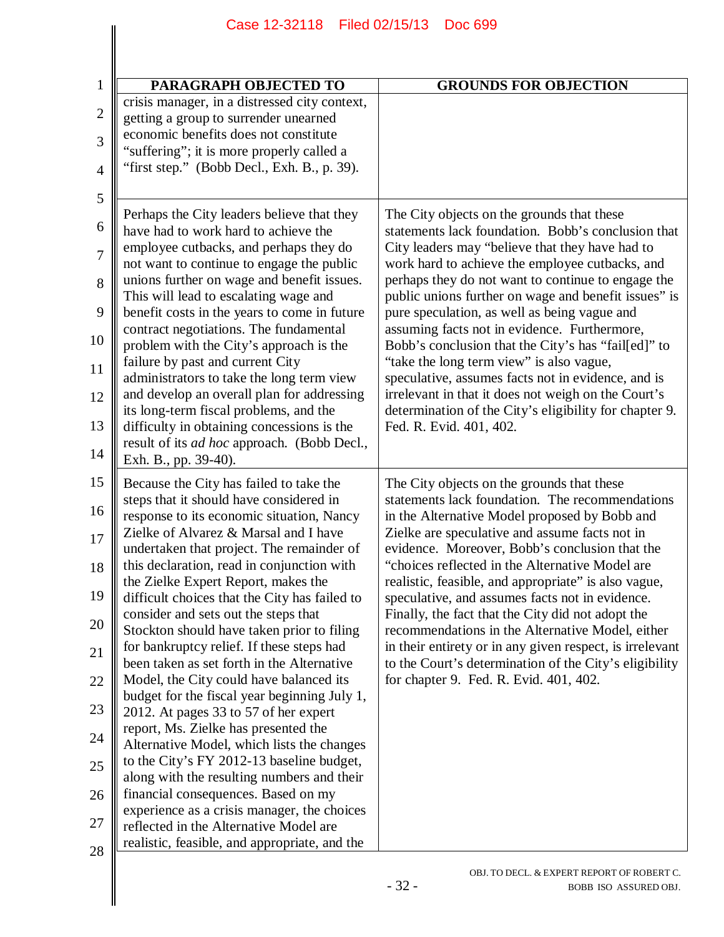| PARAGRAPH OBJECTED TO                                                                                                                                                                                                                                                                                                                                                                                                                                                                                                                                                                                                                                                                                                                                                                                                                                                                                                                                                                                                                              | <b>GROUNDS FOR OBJECTION</b>                                                                                                                                                                                                                                                                                                                                                                                                                                                                                                                                                                                                                                                                                              |
|----------------------------------------------------------------------------------------------------------------------------------------------------------------------------------------------------------------------------------------------------------------------------------------------------------------------------------------------------------------------------------------------------------------------------------------------------------------------------------------------------------------------------------------------------------------------------------------------------------------------------------------------------------------------------------------------------------------------------------------------------------------------------------------------------------------------------------------------------------------------------------------------------------------------------------------------------------------------------------------------------------------------------------------------------|---------------------------------------------------------------------------------------------------------------------------------------------------------------------------------------------------------------------------------------------------------------------------------------------------------------------------------------------------------------------------------------------------------------------------------------------------------------------------------------------------------------------------------------------------------------------------------------------------------------------------------------------------------------------------------------------------------------------------|
| crisis manager, in a distressed city context,<br>getting a group to surrender unearned<br>economic benefits does not constitute<br>"suffering"; it is more properly called a<br>"first step." (Bobb Decl., Exh. B., p. 39).                                                                                                                                                                                                                                                                                                                                                                                                                                                                                                                                                                                                                                                                                                                                                                                                                        |                                                                                                                                                                                                                                                                                                                                                                                                                                                                                                                                                                                                                                                                                                                           |
|                                                                                                                                                                                                                                                                                                                                                                                                                                                                                                                                                                                                                                                                                                                                                                                                                                                                                                                                                                                                                                                    |                                                                                                                                                                                                                                                                                                                                                                                                                                                                                                                                                                                                                                                                                                                           |
| Perhaps the City leaders believe that they<br>have had to work hard to achieve the<br>employee cutbacks, and perhaps they do<br>not want to continue to engage the public<br>unions further on wage and benefit issues.<br>This will lead to escalating wage and<br>benefit costs in the years to come in future<br>contract negotiations. The fundamental<br>problem with the City's approach is the<br>failure by past and current City<br>administrators to take the long term view<br>and develop an overall plan for addressing<br>its long-term fiscal problems, and the<br>difficulty in obtaining concessions is the<br>result of its <i>ad hoc</i> approach. (Bobb Decl.,<br>Exh. B., pp. 39-40).                                                                                                                                                                                                                                                                                                                                         | The City objects on the grounds that these<br>statements lack foundation. Bobb's conclusion that<br>City leaders may "believe that they have had to<br>work hard to achieve the employee cutbacks, and<br>perhaps they do not want to continue to engage the<br>public unions further on wage and benefit issues" is<br>pure speculation, as well as being vague and<br>assuming facts not in evidence. Furthermore,<br>Bobb's conclusion that the City's has "fail[ed]" to<br>"take the long term view" is also vague,<br>speculative, assumes facts not in evidence, and is<br>irrelevant in that it does not weigh on the Court's<br>determination of the City's eligibility for chapter 9.<br>Fed. R. Evid. 401, 402. |
| Because the City has failed to take the<br>steps that it should have considered in<br>response to its economic situation, Nancy<br>Zielke of Alvarez & Marsal and I have<br>undertaken that project. The remainder of<br>this declaration, read in conjunction with<br>the Zielke Expert Report, makes the<br>difficult choices that the City has failed to<br>consider and sets out the steps that<br>Stockton should have taken prior to filing<br>for bankruptcy relief. If these steps had<br>been taken as set forth in the Alternative<br>Model, the City could have balanced its<br>budget for the fiscal year beginning July 1,<br>2012. At pages 33 to 57 of her expert<br>report, Ms. Zielke has presented the<br>Alternative Model, which lists the changes<br>to the City's FY 2012-13 baseline budget,<br>along with the resulting numbers and their<br>financial consequences. Based on my<br>experience as a crisis manager, the choices<br>reflected in the Alternative Model are<br>realistic, feasible, and appropriate, and the | The City objects on the grounds that these<br>statements lack foundation. The recommendations<br>in the Alternative Model proposed by Bobb and<br>Zielke are speculative and assume facts not in<br>evidence. Moreover, Bobb's conclusion that the<br>"choices reflected in the Alternative Model are<br>realistic, feasible, and appropriate" is also vague,<br>speculative, and assumes facts not in evidence.<br>Finally, the fact that the City did not adopt the<br>recommendations in the Alternative Model, either<br>in their entirety or in any given respect, is irrelevant<br>to the Court's determination of the City's eligibility<br>for chapter 9. Fed. R. Evid. 401, 402.                                 |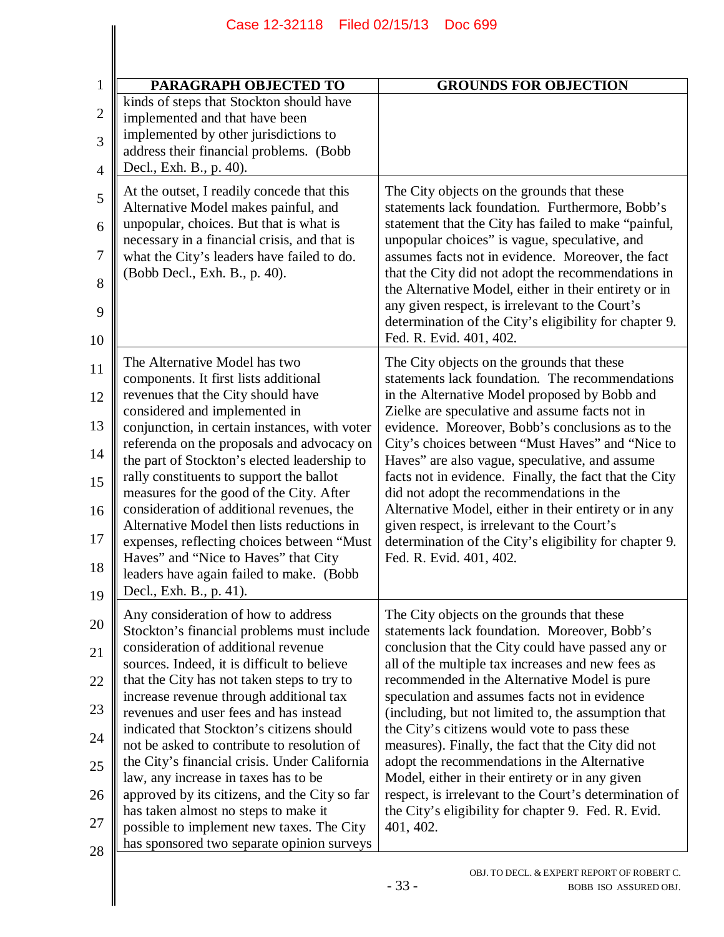| PARAGRAPH OBJECTED TO                                                                                                                                                                                                                                                                                                                                                                                                                                                                                                                                                                                                                                                                | <b>GROUNDS FOR OBJECTION</b>                                                                                                                                                                                                                                                                                                                                                                                                                                                                                                                                                                                                                                                                        |
|--------------------------------------------------------------------------------------------------------------------------------------------------------------------------------------------------------------------------------------------------------------------------------------------------------------------------------------------------------------------------------------------------------------------------------------------------------------------------------------------------------------------------------------------------------------------------------------------------------------------------------------------------------------------------------------|-----------------------------------------------------------------------------------------------------------------------------------------------------------------------------------------------------------------------------------------------------------------------------------------------------------------------------------------------------------------------------------------------------------------------------------------------------------------------------------------------------------------------------------------------------------------------------------------------------------------------------------------------------------------------------------------------------|
| kinds of steps that Stockton should have<br>implemented and that have been<br>implemented by other jurisdictions to<br>address their financial problems. (Bobb<br>Decl., Exh. B., p. 40).                                                                                                                                                                                                                                                                                                                                                                                                                                                                                            |                                                                                                                                                                                                                                                                                                                                                                                                                                                                                                                                                                                                                                                                                                     |
| At the outset, I readily concede that this<br>Alternative Model makes painful, and<br>unpopular, choices. But that is what is<br>necessary in a financial crisis, and that is<br>what the City's leaders have failed to do.<br>(Bobb Decl., Exh. B., p. 40).                                                                                                                                                                                                                                                                                                                                                                                                                         | The City objects on the grounds that these<br>statements lack foundation. Furthermore, Bobb's<br>statement that the City has failed to make "painful,<br>unpopular choices" is vague, speculative, and<br>assumes facts not in evidence. Moreover, the fact<br>that the City did not adopt the recommendations in<br>the Alternative Model, either in their entirety or in<br>any given respect, is irrelevant to the Court's<br>determination of the City's eligibility for chapter 9.<br>Fed. R. Evid. 401, 402.                                                                                                                                                                                  |
| The Alternative Model has two<br>components. It first lists additional<br>revenues that the City should have<br>considered and implemented in<br>conjunction, in certain instances, with voter<br>referenda on the proposals and advocacy on<br>the part of Stockton's elected leadership to<br>rally constituents to support the ballot<br>measures for the good of the City. After<br>consideration of additional revenues, the<br>Alternative Model then lists reductions in<br>expenses, reflecting choices between "Must<br>Haves" and "Nice to Haves" that City<br>leaders have again failed to make. (Bobb<br>Decl., Exh. B., p. 41).                                         | The City objects on the grounds that these<br>statements lack foundation. The recommendations<br>in the Alternative Model proposed by Bobb and<br>Zielke are speculative and assume facts not in<br>evidence. Moreover, Bobb's conclusions as to the<br>City's choices between "Must Haves" and "Nice to<br>Haves" are also vague, speculative, and assume<br>facts not in evidence. Finally, the fact that the City<br>did not adopt the recommendations in the<br>Alternative Model, either in their entirety or in any<br>given respect, is irrelevant to the Court's<br>determination of the City's eligibility for chapter 9.<br>Fed. R. Evid. 401, 402.                                       |
| Any consideration of how to address<br>Stockton's financial problems must include<br>consideration of additional revenue<br>sources. Indeed, it is difficult to believe<br>that the City has not taken steps to try to<br>increase revenue through additional tax<br>revenues and user fees and has instead<br>indicated that Stockton's citizens should<br>not be asked to contribute to resolution of<br>the City's financial crisis. Under California<br>law, any increase in taxes has to be<br>approved by its citizens, and the City so far<br>has taken almost no steps to make it<br>possible to implement new taxes. The City<br>has sponsored two separate opinion surveys | The City objects on the grounds that these<br>statements lack foundation. Moreover, Bobb's<br>conclusion that the City could have passed any or<br>all of the multiple tax increases and new fees as<br>recommended in the Alternative Model is pure<br>speculation and assumes facts not in evidence<br>(including, but not limited to, the assumption that<br>the City's citizens would vote to pass these<br>measures). Finally, the fact that the City did not<br>adopt the recommendations in the Alternative<br>Model, either in their entirety or in any given<br>respect, is irrelevant to the Court's determination of<br>the City's eligibility for chapter 9. Fed. R. Evid.<br>401, 402. |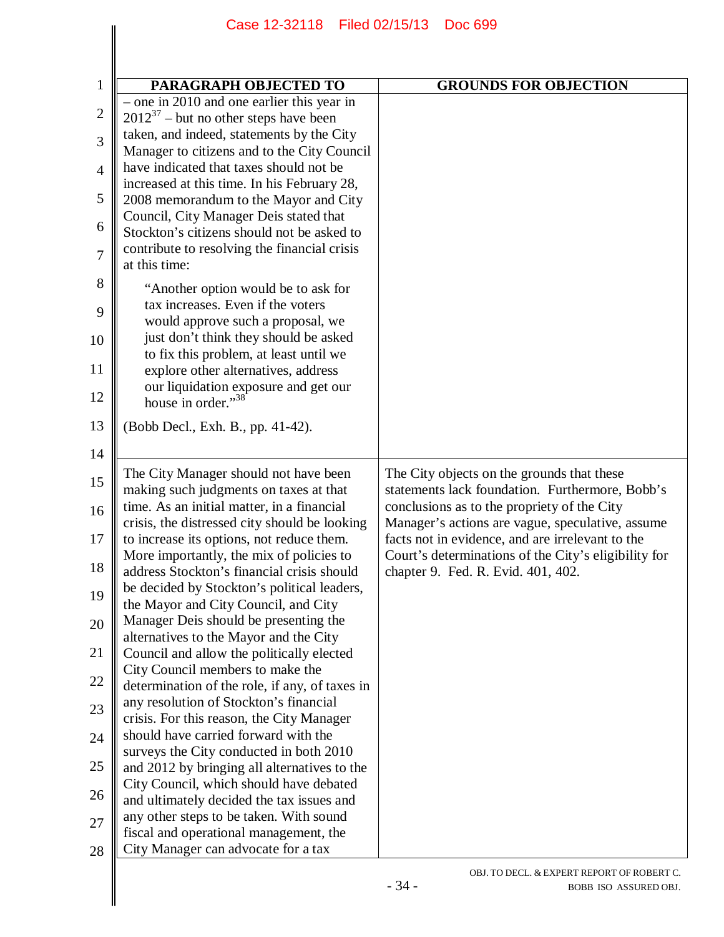|                | Case 12-32118                                                                              | Filed 02/15/13<br>Doc 699                                                                            |  |
|----------------|--------------------------------------------------------------------------------------------|------------------------------------------------------------------------------------------------------|--|
|                |                                                                                            |                                                                                                      |  |
|                |                                                                                            |                                                                                                      |  |
| $\mathbf{1}$   | PARAGRAPH OBJECTED TO                                                                      | <b>GROUNDS FOR OBJECTION</b>                                                                         |  |
| $\overline{2}$ | $-$ one in 2010 and one earlier this year in<br>$2012^{37}$ – but no other steps have been |                                                                                                      |  |
|                | taken, and indeed, statements by the City                                                  |                                                                                                      |  |
| 3              | Manager to citizens and to the City Council                                                |                                                                                                      |  |
| $\overline{4}$ | have indicated that taxes should not be                                                    |                                                                                                      |  |
|                | increased at this time. In his February 28,                                                |                                                                                                      |  |
| 5              | 2008 memorandum to the Mayor and City                                                      |                                                                                                      |  |
| 6              | Council, City Manager Deis stated that                                                     |                                                                                                      |  |
|                | Stockton's citizens should not be asked to                                                 |                                                                                                      |  |
| $\overline{7}$ | contribute to resolving the financial crisis<br>at this time:                              |                                                                                                      |  |
| 8              | "Another option would be to ask for                                                        |                                                                                                      |  |
| 9              | tax increases. Even if the voters                                                          |                                                                                                      |  |
|                | would approve such a proposal, we                                                          |                                                                                                      |  |
| 10             | just don't think they should be asked                                                      |                                                                                                      |  |
| 11             | to fix this problem, at least until we<br>explore other alternatives, address              |                                                                                                      |  |
|                | our liquidation exposure and get our                                                       |                                                                                                      |  |
| 12             | house in order."38                                                                         |                                                                                                      |  |
| 13             | (Bobb Decl., Exh. B., pp. 41-42).                                                          |                                                                                                      |  |
| 14             |                                                                                            |                                                                                                      |  |
|                | The City Manager should not have been                                                      | The City objects on the grounds that these                                                           |  |
| 15             | making such judgments on taxes at that                                                     | statements lack foundation. Furthermore, Bobb's                                                      |  |
| 16             | time. As an initial matter, in a financial                                                 | conclusions as to the propriety of the City                                                          |  |
| 17             | crisis, the distressed city should be looking<br>to increase its options, not reduce them. | Manager's actions are vague, speculative, assume<br>facts not in evidence, and are irrelevant to the |  |
|                | More importantly, the mix of policies to                                                   | Court's determinations of the City's eligibility for                                                 |  |
| 18             | address Stockton's financial crisis should                                                 | chapter 9. Fed. R. Evid. 401, 402.                                                                   |  |
| 19             | be decided by Stockton's political leaders,                                                |                                                                                                      |  |
|                | the Mayor and City Council, and City                                                       |                                                                                                      |  |
| 20             | Manager Deis should be presenting the<br>alternatives to the Mayor and the City            |                                                                                                      |  |
| 21             | Council and allow the politically elected                                                  |                                                                                                      |  |
|                | City Council members to make the                                                           |                                                                                                      |  |
| 22             | determination of the role, if any, of taxes in                                             |                                                                                                      |  |
| 23             | any resolution of Stockton's financial                                                     |                                                                                                      |  |
|                | crisis. For this reason, the City Manager<br>should have carried forward with the          |                                                                                                      |  |
| 24             | surveys the City conducted in both 2010                                                    |                                                                                                      |  |
| 25             | and 2012 by bringing all alternatives to the                                               |                                                                                                      |  |
|                | City Council, which should have debated                                                    |                                                                                                      |  |
| 26             | and ultimately decided the tax issues and                                                  |                                                                                                      |  |
| 27             | any other steps to be taken. With sound                                                    |                                                                                                      |  |
|                | fiscal and operational management, the                                                     |                                                                                                      |  |
| 28             | City Manager can advocate for a tax                                                        |                                                                                                      |  |
|                |                                                                                            | OBJ. TO DECL. & EXPERT REPORT OF ROBERT C.                                                           |  |
|                |                                                                                            | $-34-$<br>BOBB ISO ASSURED OBJ.                                                                      |  |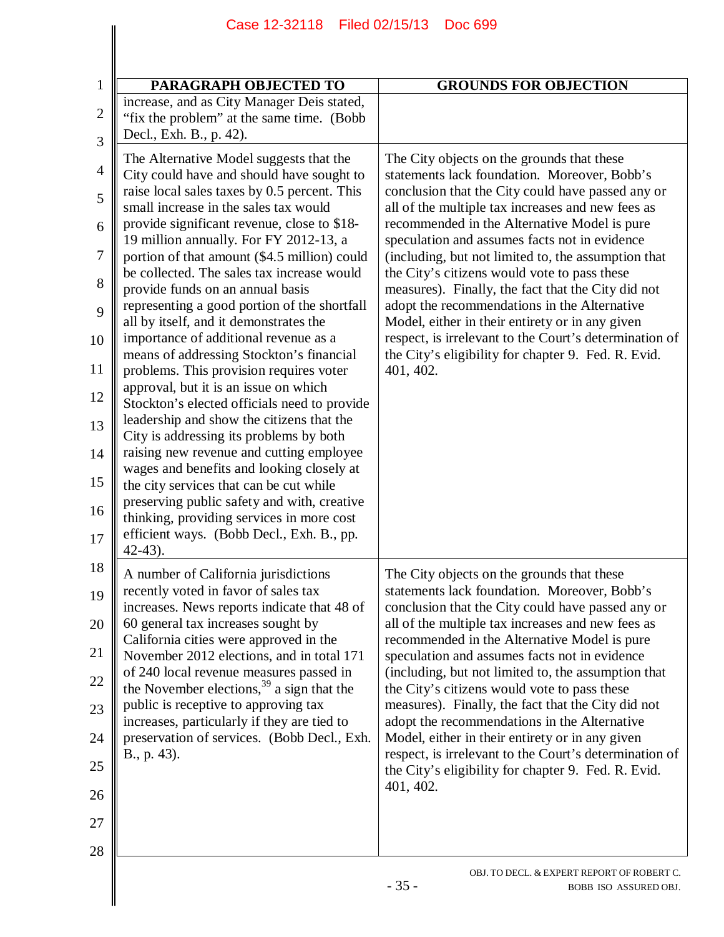| PARAGRAPH OBJECTED TO                                                                                                                                                                                                                                                                                                                                                                                                                                                                                                                                                                                                                                                                                                                                                                                                                                                                                                                                                                                                                                                                                         | <b>GROUNDS FOR OBJECTION</b>                                                                                                                                                                                                                                                                                                                                                                                                                                                                                                                                                                                                                                                                        |
|---------------------------------------------------------------------------------------------------------------------------------------------------------------------------------------------------------------------------------------------------------------------------------------------------------------------------------------------------------------------------------------------------------------------------------------------------------------------------------------------------------------------------------------------------------------------------------------------------------------------------------------------------------------------------------------------------------------------------------------------------------------------------------------------------------------------------------------------------------------------------------------------------------------------------------------------------------------------------------------------------------------------------------------------------------------------------------------------------------------|-----------------------------------------------------------------------------------------------------------------------------------------------------------------------------------------------------------------------------------------------------------------------------------------------------------------------------------------------------------------------------------------------------------------------------------------------------------------------------------------------------------------------------------------------------------------------------------------------------------------------------------------------------------------------------------------------------|
| increase, and as City Manager Deis stated,<br>"fix the problem" at the same time. (Bobb)<br>Decl., Exh. B., p. 42).                                                                                                                                                                                                                                                                                                                                                                                                                                                                                                                                                                                                                                                                                                                                                                                                                                                                                                                                                                                           |                                                                                                                                                                                                                                                                                                                                                                                                                                                                                                                                                                                                                                                                                                     |
| The Alternative Model suggests that the<br>City could have and should have sought to<br>raise local sales taxes by 0.5 percent. This<br>small increase in the sales tax would<br>provide significant revenue, close to \$18-<br>19 million annually. For FY 2012-13, a<br>portion of that amount (\$4.5 million) could<br>be collected. The sales tax increase would<br>provide funds on an annual basis<br>representing a good portion of the shortfall<br>all by itself, and it demonstrates the<br>importance of additional revenue as a<br>means of addressing Stockton's financial<br>problems. This provision requires voter<br>approval, but it is an issue on which<br>Stockton's elected officials need to provide<br>leadership and show the citizens that the<br>City is addressing its problems by both<br>raising new revenue and cutting employee<br>wages and benefits and looking closely at<br>the city services that can be cut while<br>preserving public safety and with, creative<br>thinking, providing services in more cost<br>efficient ways. (Bobb Decl., Exh. B., pp.<br>$42 - 43$ | The City objects on the grounds that these<br>statements lack foundation. Moreover, Bobb's<br>conclusion that the City could have passed any or<br>all of the multiple tax increases and new fees as<br>recommended in the Alternative Model is pure<br>speculation and assumes facts not in evidence<br>(including, but not limited to, the assumption that<br>the City's citizens would vote to pass these<br>measures). Finally, the fact that the City did not<br>adopt the recommendations in the Alternative<br>Model, either in their entirety or in any given<br>respect, is irrelevant to the Court's determination of<br>the City's eligibility for chapter 9. Fed. R. Evid.<br>401, 402. |
| A number of California jurisdictions<br>recently voted in favor of sales tax<br>increases. News reports indicate that 48 of<br>60 general tax increases sought by<br>California cities were approved in the<br>November 2012 elections, and in total 171<br>of 240 local revenue measures passed in<br>the November elections, <sup>39</sup> a sign that the<br>public is receptive to approving tax<br>increases, particularly if they are tied to<br>preservation of services. (Bobb Decl., Exh.<br>B., p. 43).                                                                                                                                                                                                                                                                                                                                                                                                                                                                                                                                                                                             | The City objects on the grounds that these<br>statements lack foundation. Moreover, Bobb's<br>conclusion that the City could have passed any or<br>all of the multiple tax increases and new fees as<br>recommended in the Alternative Model is pure<br>speculation and assumes facts not in evidence<br>(including, but not limited to, the assumption that<br>the City's citizens would vote to pass these<br>measures). Finally, the fact that the City did not<br>adopt the recommendations in the Alternative<br>Model, either in their entirety or in any given<br>respect, is irrelevant to the Court's determination of<br>the City's eligibility for chapter 9. Fed. R. Evid.<br>401, 402. |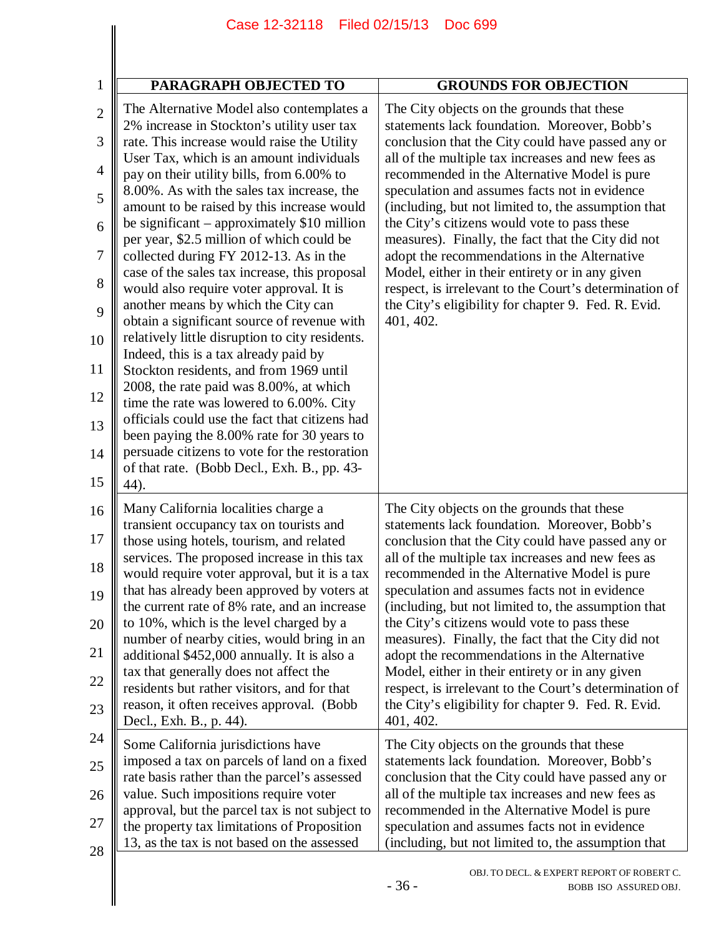| PARAGRAPH OBJECTED TO                                                                       | <b>GROUNDS FOR OBJECTION</b>                           |
|---------------------------------------------------------------------------------------------|--------------------------------------------------------|
| The Alternative Model also contemplates a                                                   | The City objects on the grounds that these             |
| 2% increase in Stockton's utility user tax                                                  | statements lack foundation. Moreover, Bobb's           |
| rate. This increase would raise the Utility                                                 | conclusion that the City could have passed any or      |
| User Tax, which is an amount individuals                                                    | all of the multiple tax increases and new fees as      |
| pay on their utility bills, from 6.00% to                                                   | recommended in the Alternative Model is pure           |
| 8.00%. As with the sales tax increase, the                                                  | speculation and assumes facts not in evidence          |
| amount to be raised by this increase would                                                  | (including, but not limited to, the assumption that    |
| be significant $-$ approximately \$10 million                                               | the City's citizens would vote to pass these           |
| per year, \$2.5 million of which could be                                                   | measures). Finally, the fact that the City did not     |
| collected during FY 2012-13. As in the                                                      | adopt the recommendations in the Alternative           |
| case of the sales tax increase, this proposal                                               | Model, either in their entirety or in any given        |
| would also require voter approval. It is                                                    | respect, is irrelevant to the Court's determination of |
| another means by which the City can                                                         | the City's eligibility for chapter 9. Fed. R. Evid.    |
| obtain a significant source of revenue with                                                 | 401, 402.                                              |
| relatively little disruption to city residents.<br>Indeed, this is a tax already paid by    |                                                        |
| Stockton residents, and from 1969 until<br>2008, the rate paid was 8.00%, at which          |                                                        |
| time the rate was lowered to 6.00%. City<br>officials could use the fact that citizens had  |                                                        |
| been paying the 8.00% rate for 30 years to<br>persuade citizens to vote for the restoration |                                                        |
| of that rate. (Bobb Decl., Exh. B., pp. 43-<br>44).                                         |                                                        |
| Many California localities charge a                                                         | The City objects on the grounds that these             |
| transient occupancy tax on tourists and                                                     | statements lack foundation. Moreover, Bobb's           |
| those using hotels, tourism, and related                                                    | conclusion that the City could have passed any or      |
| services. The proposed increase in this tax                                                 | all of the multiple tax increases and new fees as      |
| would require voter approval, but it is a tax                                               | recommended in the Alternative Model is pure           |
| that has already been approved by voters at                                                 | speculation and assumes facts not in evidence          |
| the current rate of 8% rate, and an increase                                                | (including, but not limited to, the assumption that    |
| to 10%, which is the level charged by a                                                     | the City's citizens would vote to pass these           |
| number of nearby cities, would bring in an                                                  | measures). Finally, the fact that the City did not     |
| additional \$452,000 annually. It is also a                                                 | adopt the recommendations in the Alternative           |
| tax that generally does not affect the                                                      | Model, either in their entirety or in any given        |
| residents but rather visitors, and for that                                                 | respect, is irrelevant to the Court's determination of |
| reason, it often receives approval. (Bobb                                                   | the City's eligibility for chapter 9. Fed. R. Evid.    |
| Decl., Exh. B., p. 44).                                                                     | 401, 402.                                              |
| Some California jurisdictions have                                                          | The City objects on the grounds that these             |
| imposed a tax on parcels of land on a fixed                                                 | statements lack foundation. Moreover, Bobb's           |
| rate basis rather than the parcel's assessed                                                | conclusion that the City could have passed any or      |
| value. Such impositions require voter                                                       | all of the multiple tax increases and new fees as      |
| approval, but the parcel tax is not subject to                                              | recommended in the Alternative Model is pure           |
| the property tax limitations of Proposition                                                 | speculation and assumes facts not in evidence          |
| 13, as the tax is not based on the assessed                                                 | (including, but not limited to, the assumption that    |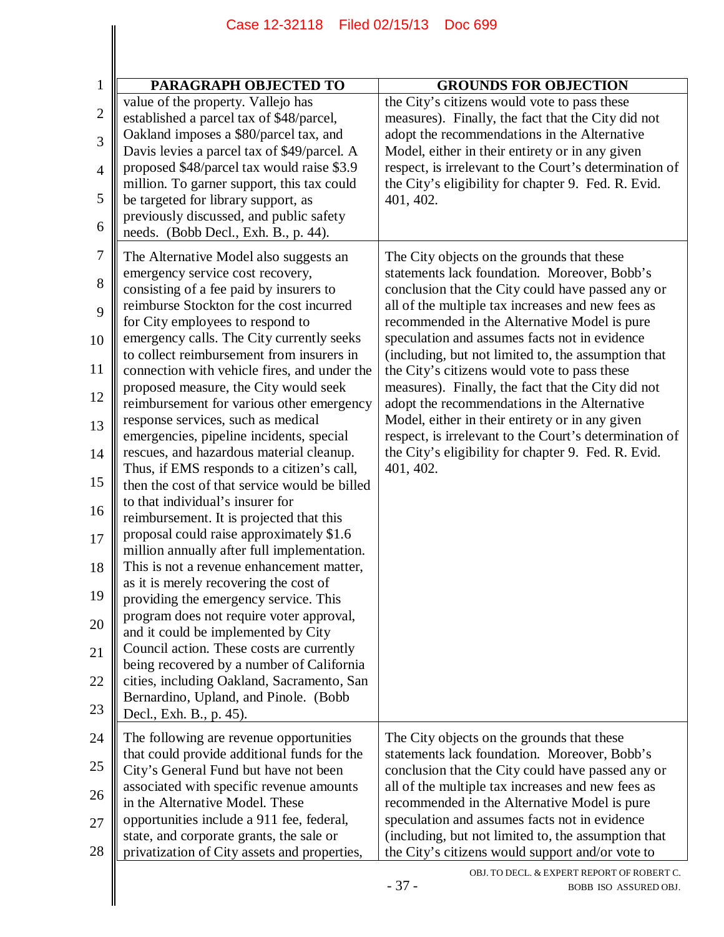|                | Case 12-32118 Filed 02/15/13                                                                | <b>Doc 699</b>                                                                                            |
|----------------|---------------------------------------------------------------------------------------------|-----------------------------------------------------------------------------------------------------------|
|                |                                                                                             |                                                                                                           |
| $\mathbf{1}$   | PARAGRAPH OBJECTED TO                                                                       | <b>GROUNDS FOR OBJECTION</b>                                                                              |
| $\mathbf{2}$   | value of the property. Vallejo has                                                          | the City's citizens would vote to pass these                                                              |
| 3              | established a parcel tax of \$48/parcel,<br>Oakland imposes a \$80/parcel tax, and          | measures). Finally, the fact that the City did not<br>adopt the recommendations in the Alternative        |
| $\overline{4}$ | Davis levies a parcel tax of \$49/parcel. A<br>proposed \$48/parcel tax would raise \$3.9   | Model, either in their entirety or in any given<br>respect, is irrelevant to the Court's determination of |
| 5              | million. To garner support, this tax could<br>be targeted for library support, as           | the City's eligibility for chapter 9. Fed. R. Evid.<br>401, 402.                                          |
| 6              | previously discussed, and public safety<br>needs. (Bobb Decl., Exh. B., p. 44).             |                                                                                                           |
| 7              | The Alternative Model also suggests an<br>emergency service cost recovery,                  | The City objects on the grounds that these<br>statements lack foundation. Moreover, Bobb's                |
| 8              | consisting of a fee paid by insurers to<br>reimburse Stockton for the cost incurred         | conclusion that the City could have passed any or<br>all of the multiple tax increases and new fees as    |
| 9              | for City employees to respond to                                                            | recommended in the Alternative Model is pure                                                              |
| 10             | emergency calls. The City currently seeks                                                   | speculation and assumes facts not in evidence                                                             |
| 11             | to collect reimbursement from insurers in<br>connection with vehicle fires, and under the   | (including, but not limited to, the assumption that<br>the City's citizens would vote to pass these       |
| 12             | proposed measure, the City would seek<br>reimbursement for various other emergency          | measures). Finally, the fact that the City did not<br>adopt the recommendations in the Alternative        |
| 13             | response services, such as medical<br>emergencies, pipeline incidents, special              | Model, either in their entirety or in any given<br>respect, is irrelevant to the Court's determination of |
| 14             | rescues, and hazardous material cleanup.                                                    | the City's eligibility for chapter 9. Fed. R. Evid.                                                       |
| 15             | Thus, if EMS responds to a citizen's call,<br>then the cost of that service would be billed | 401, 402.                                                                                                 |
| 16             | to that individual's insurer for<br>reimbursement. It is projected that this                |                                                                                                           |
| 17             | proposal could raise approximately \$1.6<br>million annually after full implementation.     |                                                                                                           |
| 18             | This is not a revenue enhancement matter,<br>as it is merely recovering the cost of         |                                                                                                           |
| 19             | providing the emergency service. This                                                       |                                                                                                           |
| 20             | program does not require voter approval,<br>and it could be implemented by City             |                                                                                                           |
| 21             | Council action. These costs are currently<br>being recovered by a number of California      |                                                                                                           |
| 22<br>23       | cities, including Oakland, Sacramento, San<br>Bernardino, Upland, and Pinole. (Bobb)        |                                                                                                           |
| 24             | Decl., Exh. B., p. 45).<br>The following are revenue opportunities                          | The City objects on the grounds that these                                                                |
| 25             | that could provide additional funds for the<br>City's General Fund but have not been        | statements lack foundation. Moreover, Bobb's<br>conclusion that the City could have passed any or         |
| 26             | associated with specific revenue amounts<br>in the Alternative Model. These                 | all of the multiple tax increases and new fees as<br>recommended in the Alternative Model is pure         |
| 27             | opportunities include a 911 fee, federal,<br>state, and corporate grants, the sale or       | speculation and assumes facts not in evidence<br>(including, but not limited to, the assumption that      |
| 28             | privatization of City assets and properties,                                                | the City's citizens would support and/or vote to                                                          |
|                |                                                                                             | OBJ. TO DECL. & EXPERT REPORT OF ROBERT C.<br>$-37-$<br>BOBB ISO ASSURED OBJ.                             |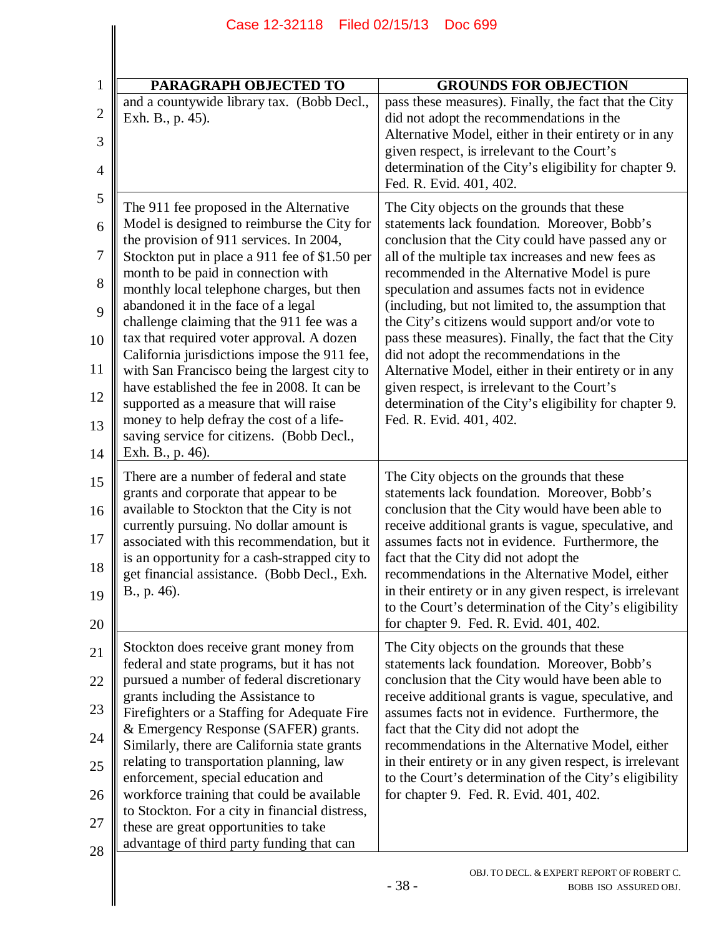| PARAGRAPH OBJECTED TO                                                                                                                                                                                                                                                                                                                                                                                                                                                                                                                                                                                                                                                                                         | <b>GROUNDS FOR OBJECTION</b>                                                                                                                                                                                                                                                                                                                                                                                                                                                                                                                                                                                                                                                                                       |
|---------------------------------------------------------------------------------------------------------------------------------------------------------------------------------------------------------------------------------------------------------------------------------------------------------------------------------------------------------------------------------------------------------------------------------------------------------------------------------------------------------------------------------------------------------------------------------------------------------------------------------------------------------------------------------------------------------------|--------------------------------------------------------------------------------------------------------------------------------------------------------------------------------------------------------------------------------------------------------------------------------------------------------------------------------------------------------------------------------------------------------------------------------------------------------------------------------------------------------------------------------------------------------------------------------------------------------------------------------------------------------------------------------------------------------------------|
| and a countywide library tax. (Bobb Decl.,<br>Exh. B., p. 45).                                                                                                                                                                                                                                                                                                                                                                                                                                                                                                                                                                                                                                                | pass these measures). Finally, the fact that the City<br>did not adopt the recommendations in the<br>Alternative Model, either in their entirety or in any<br>given respect, is irrelevant to the Court's<br>determination of the City's eligibility for chapter 9.<br>Fed. R. Evid. 401, 402.                                                                                                                                                                                                                                                                                                                                                                                                                     |
| The 911 fee proposed in the Alternative<br>Model is designed to reimburse the City for<br>the provision of 911 services. In 2004,<br>Stockton put in place a 911 fee of \$1.50 per<br>month to be paid in connection with<br>monthly local telephone charges, but then<br>abandoned it in the face of a legal<br>challenge claiming that the 911 fee was a<br>tax that required voter approval. A dozen<br>California jurisdictions impose the 911 fee,<br>with San Francisco being the largest city to<br>have established the fee in 2008. It can be<br>supported as a measure that will raise<br>money to help defray the cost of a life-<br>saving service for citizens. (Bobb Decl.,<br>Exh. B., p. 46). | The City objects on the grounds that these<br>statements lack foundation. Moreover, Bobb's<br>conclusion that the City could have passed any or<br>all of the multiple tax increases and new fees as<br>recommended in the Alternative Model is pure<br>speculation and assumes facts not in evidence<br>(including, but not limited to, the assumption that<br>the City's citizens would support and/or vote to<br>pass these measures). Finally, the fact that the City<br>did not adopt the recommendations in the<br>Alternative Model, either in their entirety or in any<br>given respect, is irrelevant to the Court's<br>determination of the City's eligibility for chapter 9.<br>Fed. R. Evid. 401, 402. |
| There are a number of federal and state<br>grants and corporate that appear to be<br>available to Stockton that the City is not<br>currently pursuing. No dollar amount is<br>associated with this recommendation, but it<br>is an opportunity for a cash-strapped city to<br>get financial assistance. (Bobb Decl., Exh.<br>B., p. 46).                                                                                                                                                                                                                                                                                                                                                                      | The City objects on the grounds that these<br>statements lack foundation. Moreover, Bobb's<br>conclusion that the City would have been able to<br>receive additional grants is vague, speculative, and<br>assumes facts not in evidence. Furthermore, the<br>fact that the City did not adopt the<br>recommendations in the Alternative Model, either<br>in their entirety or in any given respect, is irrelevant<br>to the Court's determination of the City's eligibility<br>for chapter 9. Fed. R. Evid. 401, 402.                                                                                                                                                                                              |
| Stockton does receive grant money from<br>federal and state programs, but it has not<br>pursued a number of federal discretionary<br>grants including the Assistance to<br>Firefighters or a Staffing for Adequate Fire<br>& Emergency Response (SAFER) grants.<br>Similarly, there are California state grants<br>relating to transportation planning, law<br>enforcement, special education and<br>workforce training that could be available<br>to Stockton. For a city in financial distress,<br>these are great opportunities to take                                                                                                                                                                    | The City objects on the grounds that these<br>statements lack foundation. Moreover, Bobb's<br>conclusion that the City would have been able to<br>receive additional grants is vague, speculative, and<br>assumes facts not in evidence. Furthermore, the<br>fact that the City did not adopt the<br>recommendations in the Alternative Model, either<br>in their entirety or in any given respect, is irrelevant<br>to the Court's determination of the City's eligibility<br>for chapter 9. Fed. R. Evid. 401, 402.                                                                                                                                                                                              |

 $\parallel$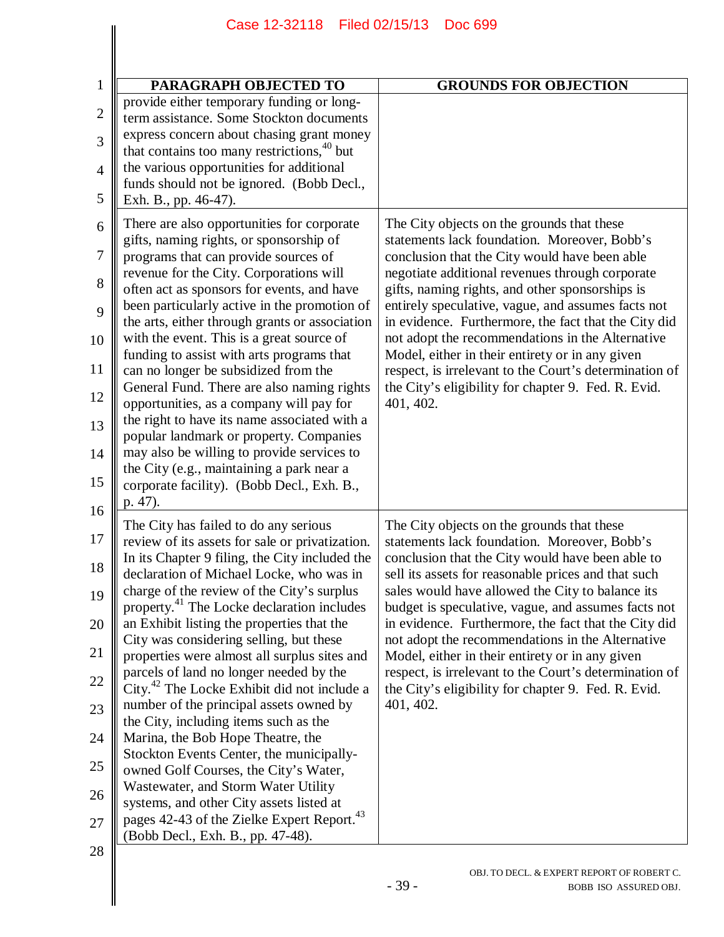| <b>PARAGRAPH OBJECTED TO</b>                                                                                                                                                                                                                                                                                                                                                                                                                                                                                                                                                                                                                                                                                                                                                                                                                                                                                                                  | <b>GROUNDS FOR OBJECTION</b>                                                                                                                                                                                                                                                                                                                                                                                                                                                                                                                                                                                  |
|-----------------------------------------------------------------------------------------------------------------------------------------------------------------------------------------------------------------------------------------------------------------------------------------------------------------------------------------------------------------------------------------------------------------------------------------------------------------------------------------------------------------------------------------------------------------------------------------------------------------------------------------------------------------------------------------------------------------------------------------------------------------------------------------------------------------------------------------------------------------------------------------------------------------------------------------------|---------------------------------------------------------------------------------------------------------------------------------------------------------------------------------------------------------------------------------------------------------------------------------------------------------------------------------------------------------------------------------------------------------------------------------------------------------------------------------------------------------------------------------------------------------------------------------------------------------------|
| provide either temporary funding or long-<br>term assistance. Some Stockton documents<br>express concern about chasing grant money                                                                                                                                                                                                                                                                                                                                                                                                                                                                                                                                                                                                                                                                                                                                                                                                            |                                                                                                                                                                                                                                                                                                                                                                                                                                                                                                                                                                                                               |
| that contains too many restrictions, <sup>40</sup> but<br>the various opportunities for additional<br>funds should not be ignored. (Bobb Decl.,<br>Exh. B., pp. 46-47).                                                                                                                                                                                                                                                                                                                                                                                                                                                                                                                                                                                                                                                                                                                                                                       |                                                                                                                                                                                                                                                                                                                                                                                                                                                                                                                                                                                                               |
| There are also opportunities for corporate<br>gifts, naming rights, or sponsorship of<br>programs that can provide sources of<br>revenue for the City. Corporations will<br>often act as sponsors for events, and have<br>been particularly active in the promotion of<br>the arts, either through grants or association<br>with the event. This is a great source of<br>funding to assist with arts programs that<br>can no longer be subsidized from the<br>General Fund. There are also naming rights<br>opportunities, as a company will pay for<br>the right to have its name associated with a<br>popular landmark or property. Companies<br>may also be willing to provide services to<br>the City (e.g., maintaining a park near a<br>corporate facility). (Bobb Decl., Exh. B.,<br>p. 47).                                                                                                                                           | The City objects on the grounds that these<br>statements lack foundation. Moreover, Bobb's<br>conclusion that the City would have been able<br>negotiate additional revenues through corporate<br>gifts, naming rights, and other sponsorships is<br>entirely speculative, vague, and assumes facts not<br>in evidence. Furthermore, the fact that the City did<br>not adopt the recommendations in the Alternative<br>Model, either in their entirety or in any given<br>respect, is irrelevant to the Court's determination of<br>the City's eligibility for chapter 9. Fed. R. Evid.<br>401, 402.          |
| The City has failed to do any serious<br>review of its assets for sale or privatization.<br>In its Chapter 9 filing, the City included the<br>declaration of Michael Locke, who was in<br>charge of the review of the City's surplus<br>property. <sup>41</sup> The Locke declaration includes<br>an Exhibit listing the properties that the<br>City was considering selling, but these<br>properties were almost all surplus sites and<br>parcels of land no longer needed by the<br>City. <sup>42</sup> The Locke Exhibit did not include a<br>number of the principal assets owned by<br>the City, including items such as the<br>Marina, the Bob Hope Theatre, the<br>Stockton Events Center, the municipally-<br>owned Golf Courses, the City's Water,<br>Wastewater, and Storm Water Utility<br>systems, and other City assets listed at<br>pages 42-43 of the Zielke Expert Report. <sup>43</sup><br>(Bobb Decl., Exh. B., pp. 47-48). | The City objects on the grounds that these<br>statements lack foundation. Moreover, Bobb's<br>conclusion that the City would have been able to<br>sell its assets for reasonable prices and that such<br>sales would have allowed the City to balance its<br>budget is speculative, vague, and assumes facts not<br>in evidence. Furthermore, the fact that the City did<br>not adopt the recommendations in the Alternative<br>Model, either in their entirety or in any given<br>respect, is irrelevant to the Court's determination of<br>the City's eligibility for chapter 9. Fed. R. Evid.<br>401, 402. |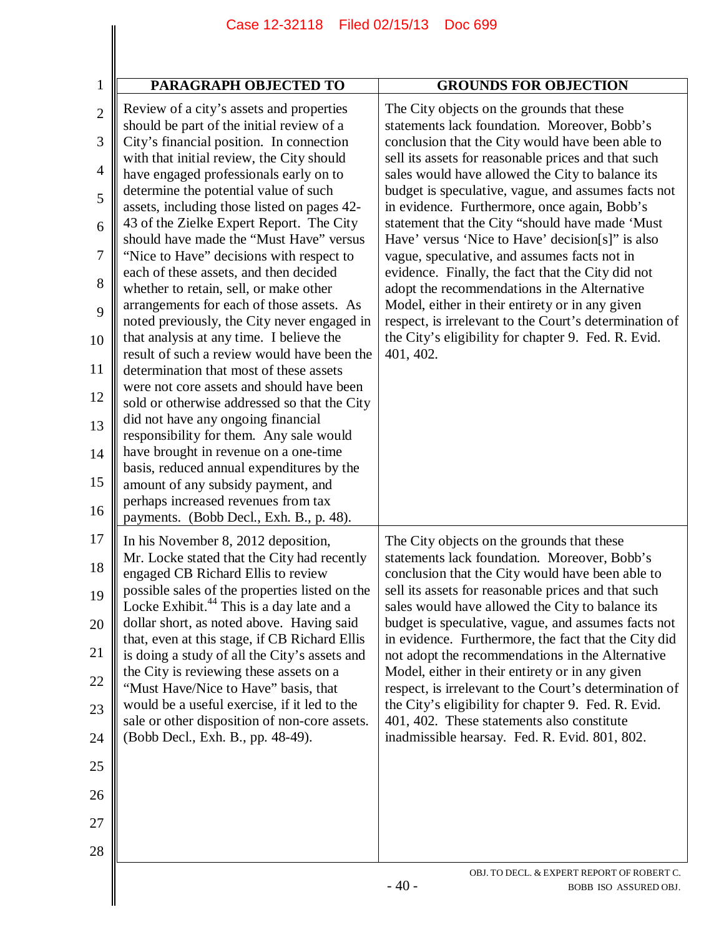| PARAGRAPH OBJECTED TO                                                                                                                                                                                                                                                                                                                                                                                                                                                                                                                                                                                                                                                                                                                                                                                                                                                                                                                                                                                                                                                                                                                                                 | <b>GROUNDS FOR OBJECTION</b>                                                                                                                                                                                                                                                                                                                                                                                                                                                                                                                                                                                                                                                                                                                                                                                  |
|-----------------------------------------------------------------------------------------------------------------------------------------------------------------------------------------------------------------------------------------------------------------------------------------------------------------------------------------------------------------------------------------------------------------------------------------------------------------------------------------------------------------------------------------------------------------------------------------------------------------------------------------------------------------------------------------------------------------------------------------------------------------------------------------------------------------------------------------------------------------------------------------------------------------------------------------------------------------------------------------------------------------------------------------------------------------------------------------------------------------------------------------------------------------------|---------------------------------------------------------------------------------------------------------------------------------------------------------------------------------------------------------------------------------------------------------------------------------------------------------------------------------------------------------------------------------------------------------------------------------------------------------------------------------------------------------------------------------------------------------------------------------------------------------------------------------------------------------------------------------------------------------------------------------------------------------------------------------------------------------------|
| Review of a city's assets and properties<br>should be part of the initial review of a<br>City's financial position. In connection<br>with that initial review, the City should<br>have engaged professionals early on to<br>determine the potential value of such<br>assets, including those listed on pages 42-<br>43 of the Zielke Expert Report. The City<br>should have made the "Must Have" versus<br>"Nice to Have" decisions with respect to<br>each of these assets, and then decided<br>whether to retain, sell, or make other<br>arrangements for each of those assets. As<br>noted previously, the City never engaged in<br>that analysis at any time. I believe the<br>result of such a review would have been the<br>determination that most of these assets<br>were not core assets and should have been<br>sold or otherwise addressed so that the City<br>did not have any ongoing financial<br>responsibility for them. Any sale would<br>have brought in revenue on a one-time<br>basis, reduced annual expenditures by the<br>amount of any subsidy payment, and<br>perhaps increased revenues from tax<br>payments. (Bobb Decl., Exh. B., p. 48). | The City objects on the grounds that these<br>statements lack foundation. Moreover, Bobb's<br>conclusion that the City would have been able to<br>sell its assets for reasonable prices and that such<br>sales would have allowed the City to balance its<br>budget is speculative, vague, and assumes facts not<br>in evidence. Furthermore, once again, Bobb's<br>statement that the City "should have made 'Must<br>Have' versus 'Nice to Have' decision[s]" is also<br>vague, speculative, and assumes facts not in<br>evidence. Finally, the fact that the City did not<br>adopt the recommendations in the Alternative<br>Model, either in their entirety or in any given<br>respect, is irrelevant to the Court's determination of<br>the City's eligibility for chapter 9. Fed. R. Evid.<br>401, 402. |
| In his November 8, 2012 deposition,<br>Mr. Locke stated that the City had recently<br>engaged CB Richard Ellis to review<br>possible sales of the properties listed on the<br>Locke Exhibit. <sup>44</sup> This is a day late and a<br>dollar short, as noted above. Having said<br>that, even at this stage, if CB Richard Ellis<br>is doing a study of all the City's assets and<br>the City is reviewing these assets on a<br>"Must Have/Nice to Have" basis, that<br>would be a useful exercise, if it led to the<br>sale or other disposition of non-core assets.<br>(Bobb Decl., Exh. B., pp. 48-49).                                                                                                                                                                                                                                                                                                                                                                                                                                                                                                                                                           | The City objects on the grounds that these<br>statements lack foundation. Moreover, Bobb's<br>conclusion that the City would have been able to<br>sell its assets for reasonable prices and that such<br>sales would have allowed the City to balance its<br>budget is speculative, vague, and assumes facts not<br>in evidence. Furthermore, the fact that the City did<br>not adopt the recommendations in the Alternative<br>Model, either in their entirety or in any given<br>respect, is irrelevant to the Court's determination of<br>the City's eligibility for chapter 9. Fed. R. Evid.<br>401, 402. These statements also constitute<br>inadmissible hearsay. Fed. R. Evid. 801, 802.                                                                                                               |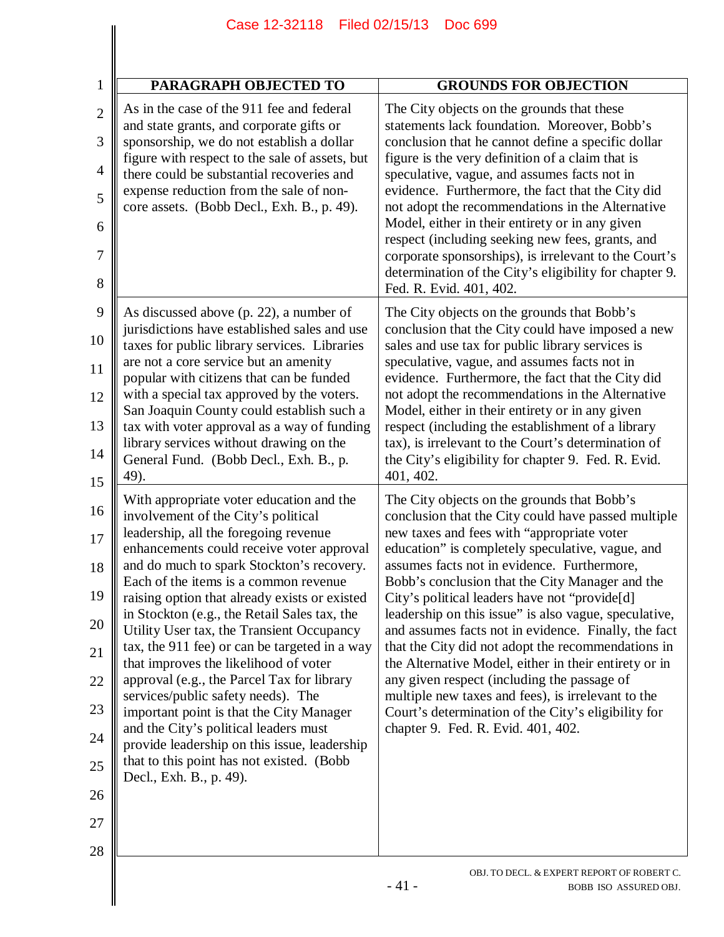| PARAGRAPH OBJECTED TO                                                                                                                                                                                                                                                                                                                                                                                                                                                                                                                                                                                                                                                                                                                                                                                | <b>GROUNDS FOR OBJECTION</b>                                                                                                                                                                                                                                                                                                                                                                                                                                                                                                                                                                                                                                                                                                                                                              |
|------------------------------------------------------------------------------------------------------------------------------------------------------------------------------------------------------------------------------------------------------------------------------------------------------------------------------------------------------------------------------------------------------------------------------------------------------------------------------------------------------------------------------------------------------------------------------------------------------------------------------------------------------------------------------------------------------------------------------------------------------------------------------------------------------|-------------------------------------------------------------------------------------------------------------------------------------------------------------------------------------------------------------------------------------------------------------------------------------------------------------------------------------------------------------------------------------------------------------------------------------------------------------------------------------------------------------------------------------------------------------------------------------------------------------------------------------------------------------------------------------------------------------------------------------------------------------------------------------------|
| As in the case of the 911 fee and federal<br>and state grants, and corporate gifts or<br>sponsorship, we do not establish a dollar<br>figure with respect to the sale of assets, but<br>there could be substantial recoveries and<br>expense reduction from the sale of non-<br>core assets. (Bobb Decl., Exh. B., p. 49).                                                                                                                                                                                                                                                                                                                                                                                                                                                                           | The City objects on the grounds that these<br>statements lack foundation. Moreover, Bobb's<br>conclusion that he cannot define a specific dollar<br>figure is the very definition of a claim that is<br>speculative, vague, and assumes facts not in<br>evidence. Furthermore, the fact that the City did<br>not adopt the recommendations in the Alternative<br>Model, either in their entirety or in any given<br>respect (including seeking new fees, grants, and<br>corporate sponsorships), is irrelevant to the Court's<br>determination of the City's eligibility for chapter 9.<br>Fed. R. Evid. 401, 402.                                                                                                                                                                        |
| As discussed above (p. 22), a number of<br>jurisdictions have established sales and use<br>taxes for public library services. Libraries<br>are not a core service but an amenity<br>popular with citizens that can be funded<br>with a special tax approved by the voters.<br>San Joaquin County could establish such a                                                                                                                                                                                                                                                                                                                                                                                                                                                                              | The City objects on the grounds that Bobb's<br>conclusion that the City could have imposed a new<br>sales and use tax for public library services is<br>speculative, vague, and assumes facts not in<br>evidence. Furthermore, the fact that the City did<br>not adopt the recommendations in the Alternative<br>Model, either in their entirety or in any given                                                                                                                                                                                                                                                                                                                                                                                                                          |
| tax with voter approval as a way of funding<br>library services without drawing on the<br>General Fund. (Bobb Decl., Exh. B., p.<br>49).                                                                                                                                                                                                                                                                                                                                                                                                                                                                                                                                                                                                                                                             | respect (including the establishment of a library<br>tax), is irrelevant to the Court's determination of<br>the City's eligibility for chapter 9. Fed. R. Evid.<br>401, 402.                                                                                                                                                                                                                                                                                                                                                                                                                                                                                                                                                                                                              |
| With appropriate voter education and the<br>involvement of the City's political<br>leadership, all the foregoing revenue<br>enhancements could receive voter approval<br>and do much to spark Stockton's recovery.<br>Each of the items is a common revenue<br>raising option that already exists or existed<br>in Stockton (e.g., the Retail Sales tax, the<br>Utility User tax, the Transient Occupancy<br>tax, the 911 fee) or can be targeted in a way<br>that improves the likelihood of voter<br>approval (e.g., the Parcel Tax for library<br>services/public safety needs). The<br>important point is that the City Manager<br>and the City's political leaders must<br>provide leadership on this issue, leadership<br>that to this point has not existed. (Bobb<br>Decl., Exh. B., p. 49). | The City objects on the grounds that Bobb's<br>conclusion that the City could have passed multiple<br>new taxes and fees with "appropriate voter<br>education" is completely speculative, vague, and<br>assumes facts not in evidence. Furthermore,<br>Bobb's conclusion that the City Manager and the<br>City's political leaders have not "provide[d]<br>leadership on this issue" is also vague, speculative,<br>and assumes facts not in evidence. Finally, the fact<br>that the City did not adopt the recommendations in<br>the Alternative Model, either in their entirety or in<br>any given respect (including the passage of<br>multiple new taxes and fees), is irrelevant to the<br>Court's determination of the City's eligibility for<br>chapter 9. Fed. R. Evid. 401, 402. |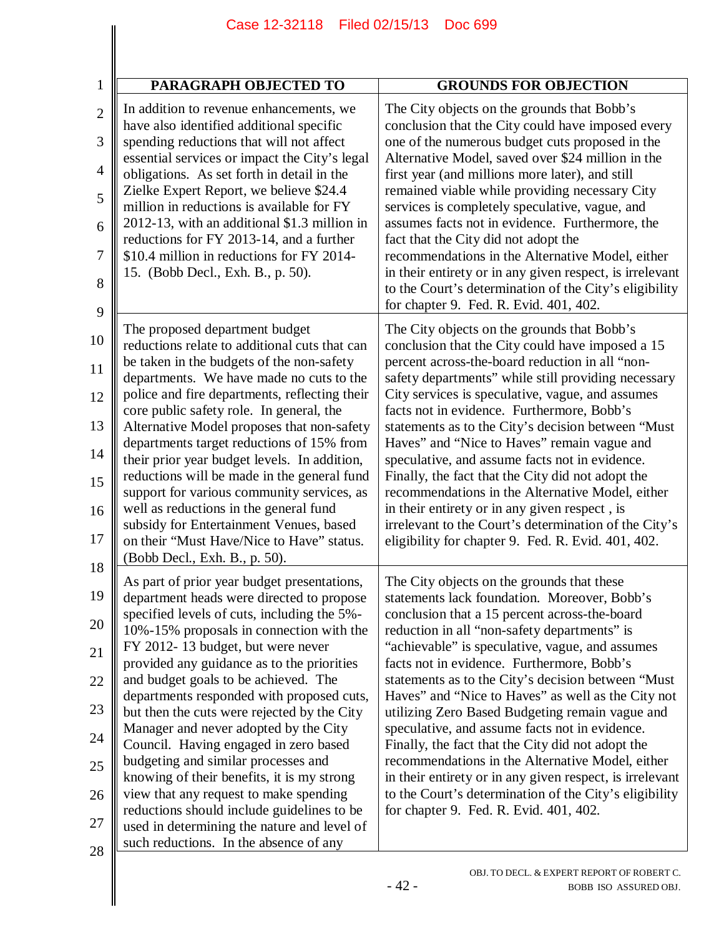| <b>PARAGRAPH OBJECTED TO</b>                                                                                                                                                                                  | <b>GROUNDS FOR OBJECTION</b>                                                                                                                                                                                     |
|---------------------------------------------------------------------------------------------------------------------------------------------------------------------------------------------------------------|------------------------------------------------------------------------------------------------------------------------------------------------------------------------------------------------------------------|
| In addition to revenue enhancements, we                                                                                                                                                                       | The City objects on the grounds that Bobb's                                                                                                                                                                      |
| have also identified additional specific                                                                                                                                                                      | conclusion that the City could have imposed every                                                                                                                                                                |
| spending reductions that will not affect                                                                                                                                                                      | one of the numerous budget cuts proposed in the                                                                                                                                                                  |
| essential services or impact the City's legal                                                                                                                                                                 | Alternative Model, saved over \$24 million in the                                                                                                                                                                |
| obligations. As set forth in detail in the                                                                                                                                                                    | first year (and millions more later), and still                                                                                                                                                                  |
| Zielke Expert Report, we believe \$24.4                                                                                                                                                                       | remained viable while providing necessary City                                                                                                                                                                   |
| million in reductions is available for FY                                                                                                                                                                     | services is completely speculative, vague, and                                                                                                                                                                   |
| 2012-13, with an additional \$1.3 million in                                                                                                                                                                  | assumes facts not in evidence. Furthermore, the                                                                                                                                                                  |
| reductions for FY 2013-14, and a further                                                                                                                                                                      | fact that the City did not adopt the                                                                                                                                                                             |
| \$10.4 million in reductions for FY 2014-<br>15. (Bobb Decl., Exh. B., p. 50).                                                                                                                                | recommendations in the Alternative Model, either<br>in their entirety or in any given respect, is irrelevant<br>to the Court's determination of the City's eligibility<br>for chapter 9. Fed. R. Evid. 401, 402. |
| The proposed department budget                                                                                                                                                                                | The City objects on the grounds that Bobb's                                                                                                                                                                      |
| reductions relate to additional cuts that can                                                                                                                                                                 | conclusion that the City could have imposed a 15                                                                                                                                                                 |
| be taken in the budgets of the non-safety                                                                                                                                                                     | percent across-the-board reduction in all "non-                                                                                                                                                                  |
| departments. We have made no cuts to the                                                                                                                                                                      | safety departments" while still providing necessary                                                                                                                                                              |
| police and fire departments, reflecting their                                                                                                                                                                 | City services is speculative, vague, and assumes                                                                                                                                                                 |
| core public safety role. In general, the                                                                                                                                                                      | facts not in evidence. Furthermore, Bobb's                                                                                                                                                                       |
| Alternative Model proposes that non-safety                                                                                                                                                                    | statements as to the City's decision between "Must                                                                                                                                                               |
| departments target reductions of 15% from                                                                                                                                                                     | Haves" and "Nice to Haves" remain vague and                                                                                                                                                                      |
| their prior year budget levels. In addition,                                                                                                                                                                  | speculative, and assume facts not in evidence.                                                                                                                                                                   |
| reductions will be made in the general fund                                                                                                                                                                   | Finally, the fact that the City did not adopt the                                                                                                                                                                |
| support for various community services, as<br>well as reductions in the general fund<br>subsidy for Entertainment Venues, based<br>on their "Must Have/Nice to Have" status.<br>(Bobb Decl., Exh. B., p. 50). | recommendations in the Alternative Model, either<br>in their entirety or in any given respect, is<br>irrelevant to the Court's determination of the City's<br>eligibility for chapter 9. Fed. R. Evid. 401, 402. |
| As part of prior year budget presentations,                                                                                                                                                                   | The City objects on the grounds that these                                                                                                                                                                       |
| department heads were directed to propose                                                                                                                                                                     | statements lack foundation. Moreover, Bobb's                                                                                                                                                                     |
| specified levels of cuts, including the 5%-                                                                                                                                                                   | conclusion that a 15 percent across-the-board                                                                                                                                                                    |
| 10%-15% proposals in connection with the                                                                                                                                                                      | reduction in all "non-safety departments" is                                                                                                                                                                     |
| FY 2012-13 budget, but were never                                                                                                                                                                             | "achievable" is speculative, vague, and assumes                                                                                                                                                                  |
| provided any guidance as to the priorities                                                                                                                                                                    | facts not in evidence. Furthermore, Bobb's                                                                                                                                                                       |
| and budget goals to be achieved. The                                                                                                                                                                          | statements as to the City's decision between "Must                                                                                                                                                               |
| departments responded with proposed cuts,                                                                                                                                                                     | Haves" and "Nice to Haves" as well as the City not                                                                                                                                                               |
| but then the cuts were rejected by the City                                                                                                                                                                   | utilizing Zero Based Budgeting remain vague and                                                                                                                                                                  |
| Manager and never adopted by the City                                                                                                                                                                         | speculative, and assume facts not in evidence.                                                                                                                                                                   |
| Council. Having engaged in zero based                                                                                                                                                                         | Finally, the fact that the City did not adopt the                                                                                                                                                                |
| budgeting and similar processes and                                                                                                                                                                           | recommendations in the Alternative Model, either                                                                                                                                                                 |
| knowing of their benefits, it is my strong                                                                                                                                                                    | in their entirety or in any given respect, is irrelevant                                                                                                                                                         |
| view that any request to make spending                                                                                                                                                                        | to the Court's determination of the City's eligibility                                                                                                                                                           |
| reductions should include guidelines to be                                                                                                                                                                    | for chapter 9. Fed. R. Evid. 401, 402.                                                                                                                                                                           |
| used in determining the nature and level of<br>such reductions. In the absence of any                                                                                                                         |                                                                                                                                                                                                                  |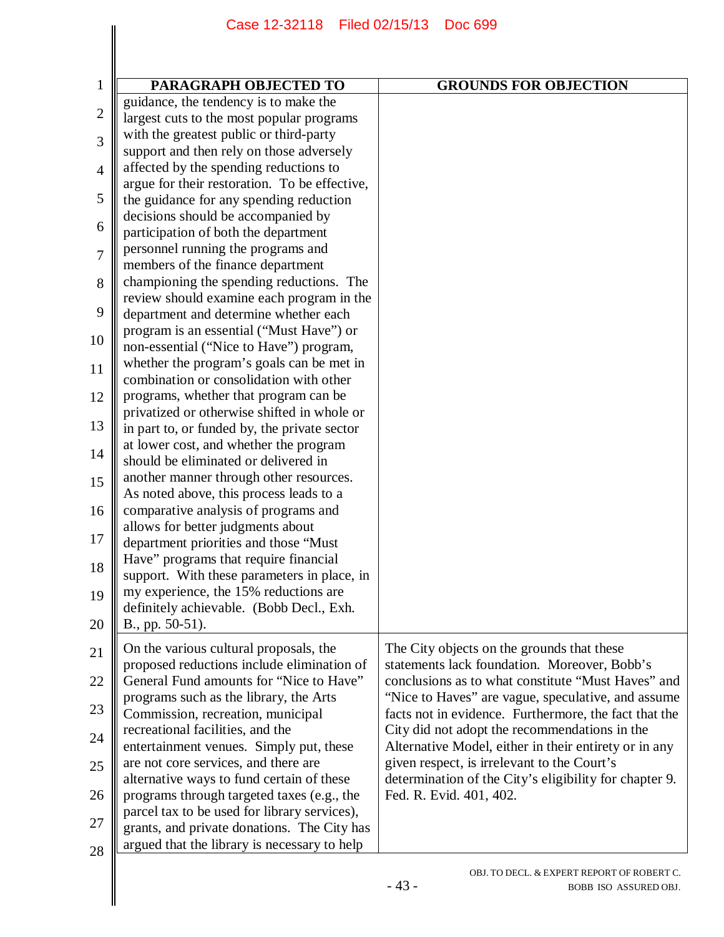|                | Case 12-32118 Filed 02/15/13                                                                | <b>Doc 699</b>                                         |
|----------------|---------------------------------------------------------------------------------------------|--------------------------------------------------------|
|                |                                                                                             |                                                        |
|                |                                                                                             |                                                        |
| $\mathbf{1}$   | PARAGRAPH OBJECTED TO                                                                       | <b>GROUNDS FOR OBJECTION</b>                           |
| $\mathbf{2}$   | guidance, the tendency is to make the<br>largest cuts to the most popular programs          |                                                        |
|                | with the greatest public or third-party                                                     |                                                        |
| 3              | support and then rely on those adversely                                                    |                                                        |
| $\overline{4}$ | affected by the spending reductions to                                                      |                                                        |
|                | argue for their restoration. To be effective,                                               |                                                        |
| 5              | the guidance for any spending reduction                                                     |                                                        |
|                | decisions should be accompanied by                                                          |                                                        |
| 6              | participation of both the department                                                        |                                                        |
| 7              | personnel running the programs and                                                          |                                                        |
|                | members of the finance department                                                           |                                                        |
| 8              | championing the spending reductions. The                                                    |                                                        |
|                | review should examine each program in the                                                   |                                                        |
| 9              | department and determine whether each                                                       |                                                        |
| 10             | program is an essential ("Must Have") or                                                    |                                                        |
|                | non-essential ("Nice to Have") program,                                                     |                                                        |
| 11             | whether the program's goals can be met in                                                   |                                                        |
|                | combination or consolidation with other                                                     |                                                        |
| 12             | programs, whether that program can be                                                       |                                                        |
| 13             | privatized or otherwise shifted in whole or<br>in part to, or funded by, the private sector |                                                        |
|                | at lower cost, and whether the program                                                      |                                                        |
| 14             | should be eliminated or delivered in                                                        |                                                        |
| 15             | another manner through other resources.                                                     |                                                        |
|                | As noted above, this process leads to a                                                     |                                                        |
| 16             | comparative analysis of programs and                                                        |                                                        |
|                | allows for better judgments about                                                           |                                                        |
| 17             | department priorities and those "Must                                                       |                                                        |
| 18             | Have" programs that require financial                                                       |                                                        |
|                | support. With these parameters in place, in                                                 |                                                        |
| 19             | my experience, the 15% reductions are                                                       |                                                        |
|                | definitely achievable. (Bobb Decl., Exh.                                                    |                                                        |
| 20             | B., pp. 50-51).                                                                             |                                                        |
| 21             | On the various cultural proposals, the                                                      | The City objects on the grounds that these             |
|                | proposed reductions include elimination of                                                  | statements lack foundation. Moreover, Bobb's           |
| 22             | General Fund amounts for "Nice to Have"                                                     | conclusions as to what constitute "Must Haves" and     |
|                | programs such as the library, the Arts                                                      | "Nice to Haves" are vague, speculative, and assume     |
| 23             | Commission, recreation, municipal                                                           | facts not in evidence. Furthermore, the fact that the  |
| 24             | recreational facilities, and the                                                            | City did not adopt the recommendations in the          |
|                | entertainment venues. Simply put, these                                                     | Alternative Model, either in their entirety or in any  |
| 25             | are not core services, and there are                                                        | given respect, is irrelevant to the Court's            |
|                | alternative ways to fund certain of these                                                   | determination of the City's eligibility for chapter 9. |
| 26             | programs through targeted taxes (e.g., the<br>parcel tax to be used for library services),  | Fed. R. Evid. 401, 402.                                |
| 27             | grants, and private donations. The City has                                                 |                                                        |
|                | argued that the library is necessary to help                                                |                                                        |
| 28             |                                                                                             |                                                        |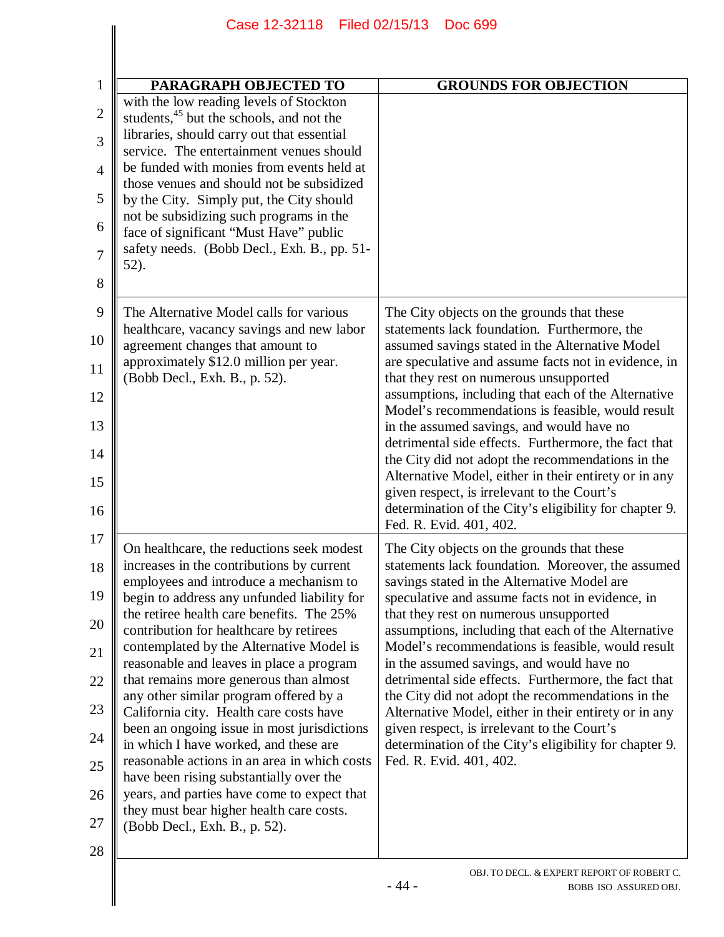| PARAGRAPH OBJECTED TO                                                                                                                                                                                                                                                                                                                                                                                                                                                                                                                                                                                                                                                                                                                                                                                         | <b>GROUNDS FOR OBJECTION</b>                                                                                                                                                                                                                                                                                                                                                                                                                                                                                                                                                                                                                                                                                       |
|---------------------------------------------------------------------------------------------------------------------------------------------------------------------------------------------------------------------------------------------------------------------------------------------------------------------------------------------------------------------------------------------------------------------------------------------------------------------------------------------------------------------------------------------------------------------------------------------------------------------------------------------------------------------------------------------------------------------------------------------------------------------------------------------------------------|--------------------------------------------------------------------------------------------------------------------------------------------------------------------------------------------------------------------------------------------------------------------------------------------------------------------------------------------------------------------------------------------------------------------------------------------------------------------------------------------------------------------------------------------------------------------------------------------------------------------------------------------------------------------------------------------------------------------|
| with the low reading levels of Stockton<br>students, <sup>45</sup> but the schools, and not the<br>libraries, should carry out that essential<br>service. The entertainment venues should<br>be funded with monies from events held at<br>those venues and should not be subsidized<br>by the City. Simply put, the City should<br>not be subsidizing such programs in the<br>face of significant "Must Have" public<br>safety needs. (Bobb Decl., Exh. B., pp. 51-<br>52).                                                                                                                                                                                                                                                                                                                                   |                                                                                                                                                                                                                                                                                                                                                                                                                                                                                                                                                                                                                                                                                                                    |
| The Alternative Model calls for various<br>healthcare, vacancy savings and new labor<br>agreement changes that amount to<br>approximately \$12.0 million per year.<br>(Bobb Decl., Exh. B., p. 52).                                                                                                                                                                                                                                                                                                                                                                                                                                                                                                                                                                                                           | The City objects on the grounds that these<br>statements lack foundation. Furthermore, the<br>assumed savings stated in the Alternative Model<br>are speculative and assume facts not in evidence, in<br>that they rest on numerous unsupported<br>assumptions, including that each of the Alternative<br>Model's recommendations is feasible, would result<br>in the assumed savings, and would have no<br>detrimental side effects. Furthermore, the fact that<br>the City did not adopt the recommendations in the<br>Alternative Model, either in their entirety or in any<br>given respect, is irrelevant to the Court's<br>determination of the City's eligibility for chapter 9.<br>Fed. R. Evid. 401, 402. |
| On healthcare, the reductions seek modest<br>increases in the contributions by current<br>employees and introduce a mechanism to<br>begin to address any unfunded liability for<br>the retiree health care benefits. The 25%<br>contribution for healthcare by retirees<br>contemplated by the Alternative Model is<br>reasonable and leaves in place a program<br>that remains more generous than almost<br>any other similar program offered by a<br>California city. Health care costs have<br>been an ongoing issue in most jurisdictions<br>in which I have worked, and these are<br>reasonable actions in an area in which costs<br>have been rising substantially over the<br>years, and parties have come to expect that<br>they must bear higher health care costs.<br>(Bobb Decl., Exh. B., p. 52). | The City objects on the grounds that these<br>statements lack foundation. Moreover, the assumed<br>savings stated in the Alternative Model are<br>speculative and assume facts not in evidence, in<br>that they rest on numerous unsupported<br>assumptions, including that each of the Alternative<br>Model's recommendations is feasible, would result<br>in the assumed savings, and would have no<br>detrimental side effects. Furthermore, the fact that<br>the City did not adopt the recommendations in the<br>Alternative Model, either in their entirety or in any<br>given respect, is irrelevant to the Court's<br>determination of the City's eligibility for chapter 9.<br>Fed. R. Evid. 401, 402.    |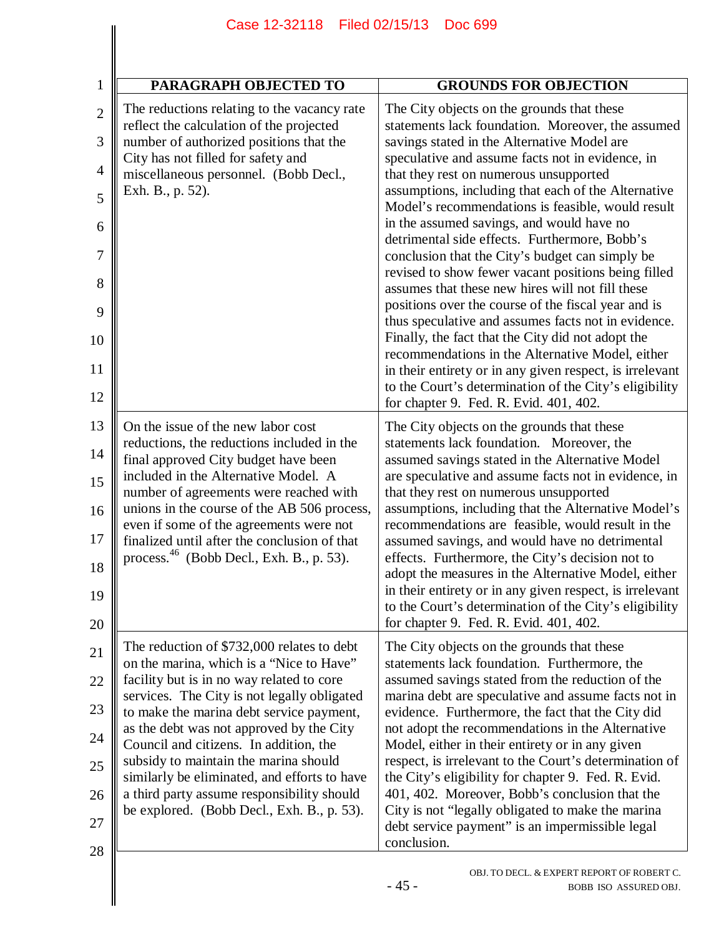| PARAGRAPH OBJECTED TO                                                                                                                                                                                                                                                                                                                                                                                                                                                                                     | <b>GROUNDS FOR OBJECTION</b>                                                                                                                                                                                                                                                                                                                                                                                                                                                                                                                                                                                                                                                                                                                                                                                                                                                                                                                                                                                |
|-----------------------------------------------------------------------------------------------------------------------------------------------------------------------------------------------------------------------------------------------------------------------------------------------------------------------------------------------------------------------------------------------------------------------------------------------------------------------------------------------------------|-------------------------------------------------------------------------------------------------------------------------------------------------------------------------------------------------------------------------------------------------------------------------------------------------------------------------------------------------------------------------------------------------------------------------------------------------------------------------------------------------------------------------------------------------------------------------------------------------------------------------------------------------------------------------------------------------------------------------------------------------------------------------------------------------------------------------------------------------------------------------------------------------------------------------------------------------------------------------------------------------------------|
| The reductions relating to the vacancy rate<br>reflect the calculation of the projected<br>number of authorized positions that the<br>City has not filled for safety and<br>miscellaneous personnel. (Bobb Decl.,<br>Exh. B., p. 52).                                                                                                                                                                                                                                                                     | The City objects on the grounds that these<br>statements lack foundation. Moreover, the assumed<br>savings stated in the Alternative Model are<br>speculative and assume facts not in evidence, in<br>that they rest on numerous unsupported<br>assumptions, including that each of the Alternative<br>Model's recommendations is feasible, would result<br>in the assumed savings, and would have no<br>detrimental side effects. Furthermore, Bobb's<br>conclusion that the City's budget can simply be<br>revised to show fewer vacant positions being filled<br>assumes that these new hires will not fill these<br>positions over the course of the fiscal year and is<br>thus speculative and assumes facts not in evidence.<br>Finally, the fact that the City did not adopt the<br>recommendations in the Alternative Model, either<br>in their entirety or in any given respect, is irrelevant<br>to the Court's determination of the City's eligibility<br>for chapter 9. Fed. R. Evid. 401, 402. |
| On the issue of the new labor cost<br>reductions, the reductions included in the<br>final approved City budget have been<br>included in the Alternative Model. A<br>number of agreements were reached with<br>unions in the course of the AB 506 process,<br>even if some of the agreements were not<br>finalized until after the conclusion of that<br>process. $46$ (Bobb Decl., Exh. B., p. 53).                                                                                                       | The City objects on the grounds that these<br>statements lack foundation. Moreover, the<br>assumed savings stated in the Alternative Model<br>are speculative and assume facts not in evidence, in<br>that they rest on numerous unsupported<br>assumptions, including that the Alternative Model's<br>recommendations are feasible, would result in the<br>assumed savings, and would have no detrimental<br>effects. Furthermore, the City's decision not to<br>adopt the measures in the Alternative Model, either<br>in their entirety or in any given respect, is irrelevant<br>to the Court's determination of the City's eligibility<br>for chapter 9. Fed. R. Evid. 401, 402.                                                                                                                                                                                                                                                                                                                       |
| The reduction of \$732,000 relates to debt<br>on the marina, which is a "Nice to Have"<br>facility but is in no way related to core<br>services. The City is not legally obligated<br>to make the marina debt service payment,<br>as the debt was not approved by the City<br>Council and citizens. In addition, the<br>subsidy to maintain the marina should<br>similarly be eliminated, and efforts to have<br>a third party assume responsibility should<br>be explored. (Bobb Decl., Exh. B., p. 53). | The City objects on the grounds that these<br>statements lack foundation. Furthermore, the<br>assumed savings stated from the reduction of the<br>marina debt are speculative and assume facts not in<br>evidence. Furthermore, the fact that the City did<br>not adopt the recommendations in the Alternative<br>Model, either in their entirety or in any given<br>respect, is irrelevant to the Court's determination of<br>the City's eligibility for chapter 9. Fed. R. Evid.<br>401, 402. Moreover, Bobb's conclusion that the<br>City is not "legally obligated to make the marina<br>debt service payment" is an impermissible legal<br>conclusion.                                                                                                                                                                                                                                                                                                                                                 |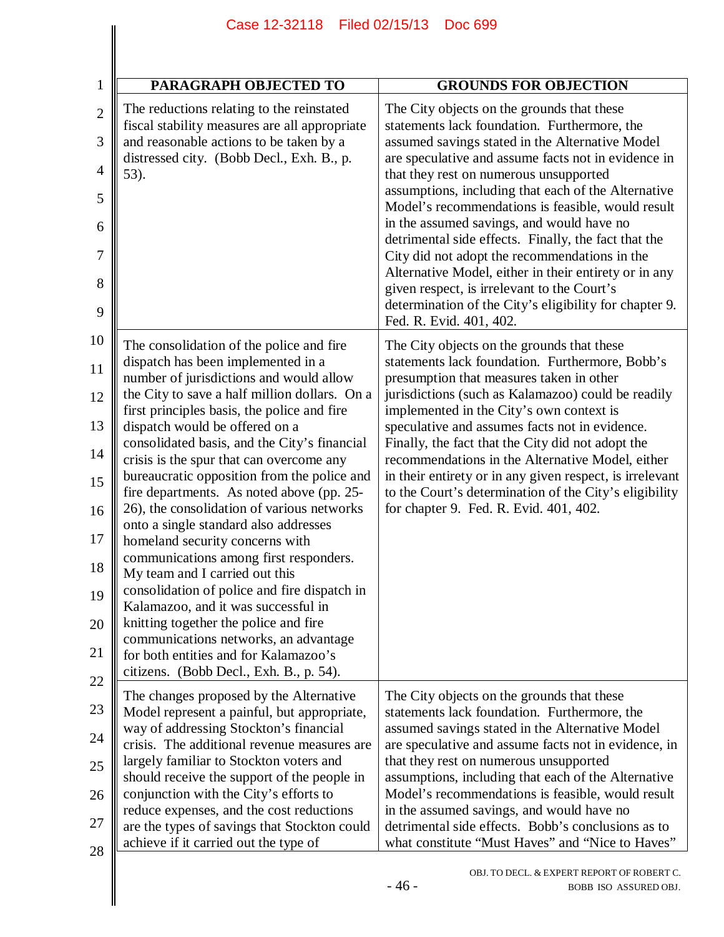| PARAGRAPH OBJECTED TO                                                                                                                                                                                                                                                                                                                                                                                                                                                                                                                                                                                                                                                                                                                                                                                                                                                                                                  | <b>GROUNDS FOR OBJECTION</b>                                                                                                                                                                                                                                                                                                                                                                                                                                                                                                                                                                                                                                                                                  |
|------------------------------------------------------------------------------------------------------------------------------------------------------------------------------------------------------------------------------------------------------------------------------------------------------------------------------------------------------------------------------------------------------------------------------------------------------------------------------------------------------------------------------------------------------------------------------------------------------------------------------------------------------------------------------------------------------------------------------------------------------------------------------------------------------------------------------------------------------------------------------------------------------------------------|---------------------------------------------------------------------------------------------------------------------------------------------------------------------------------------------------------------------------------------------------------------------------------------------------------------------------------------------------------------------------------------------------------------------------------------------------------------------------------------------------------------------------------------------------------------------------------------------------------------------------------------------------------------------------------------------------------------|
| The reductions relating to the reinstated<br>fiscal stability measures are all appropriate<br>and reasonable actions to be taken by a<br>distressed city. (Bobb Decl., Exh. B., p.<br>53).                                                                                                                                                                                                                                                                                                                                                                                                                                                                                                                                                                                                                                                                                                                             | The City objects on the grounds that these<br>statements lack foundation. Furthermore, the<br>assumed savings stated in the Alternative Model<br>are speculative and assume facts not in evidence in<br>that they rest on numerous unsupported<br>assumptions, including that each of the Alternative<br>Model's recommendations is feasible, would result<br>in the assumed savings, and would have no<br>detrimental side effects. Finally, the fact that the<br>City did not adopt the recommendations in the<br>Alternative Model, either in their entirety or in any<br>given respect, is irrelevant to the Court's<br>determination of the City's eligibility for chapter 9.<br>Fed. R. Evid. 401, 402. |
| The consolidation of the police and fire<br>dispatch has been implemented in a<br>number of jurisdictions and would allow<br>the City to save a half million dollars. On a<br>first principles basis, the police and fire<br>dispatch would be offered on a<br>consolidated basis, and the City's financial<br>crisis is the spur that can overcome any<br>bureaucratic opposition from the police and<br>fire departments. As noted above (pp. 25-<br>26), the consolidation of various networks<br>onto a single standard also addresses<br>homeland security concerns with<br>communications among first responders.<br>My team and I carried out this<br>consolidation of police and fire dispatch in<br>Kalamazoo, and it was successful in<br>knitting together the police and fire<br>communications networks, an advantage<br>for both entities and for Kalamazoo's<br>citizens. (Bobb Decl., Exh. B., p. 54). | The City objects on the grounds that these<br>statements lack foundation. Furthermore, Bobb's<br>presumption that measures taken in other<br>jurisdictions (such as Kalamazoo) could be readily<br>implemented in the City's own context is<br>speculative and assumes facts not in evidence.<br>Finally, the fact that the City did not adopt the<br>recommendations in the Alternative Model, either<br>in their entirety or in any given respect, is irrelevant<br>to the Court's determination of the City's eligibility<br>for chapter 9. Fed. R. Evid. 401, 402.                                                                                                                                        |
| The changes proposed by the Alternative<br>Model represent a painful, but appropriate,<br>way of addressing Stockton's financial<br>crisis. The additional revenue measures are<br>largely familiar to Stockton voters and<br>should receive the support of the people in<br>conjunction with the City's efforts to<br>reduce expenses, and the cost reductions<br>are the types of savings that Stockton could<br>achieve if it carried out the type of                                                                                                                                                                                                                                                                                                                                                                                                                                                               | The City objects on the grounds that these<br>statements lack foundation. Furthermore, the<br>assumed savings stated in the Alternative Model<br>are speculative and assume facts not in evidence, in<br>that they rest on numerous unsupported<br>assumptions, including that each of the Alternative<br>Model's recommendations is feasible, would result<br>in the assumed savings, and would have no<br>detrimental side effects. Bobb's conclusions as to<br>what constitute "Must Haves" and "Nice to Haves"                                                                                                                                                                                            |